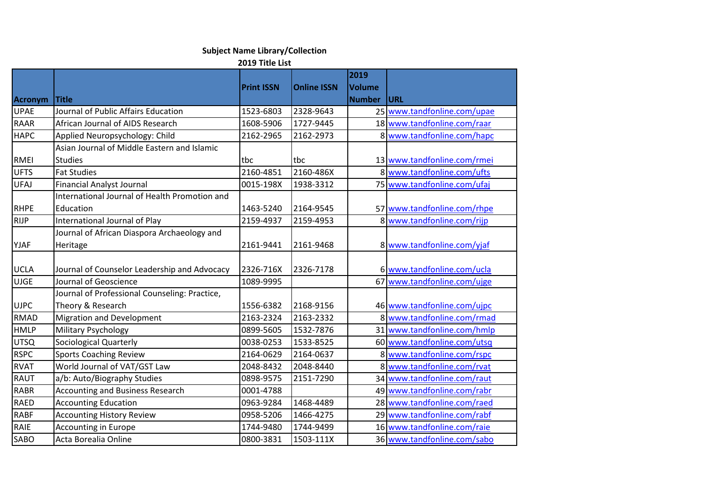## **Subject Name Library/Collection**

## **2019 Title List**

| <b>Acronym</b> | <b>Title</b>                                                       | <b>Print ISSN</b> | <b>Online ISSN</b> | 2019<br><b>Volume</b><br><b>Number</b> | <b>URL</b>                  |
|----------------|--------------------------------------------------------------------|-------------------|--------------------|----------------------------------------|-----------------------------|
| <b>UPAE</b>    | Journal of Public Affairs Education                                | 1523-6803         | 2328-9643          |                                        | 25 www.tandfonline.com/upae |
| <b>RAAR</b>    | African Journal of AIDS Research                                   | 1608-5906         | 1727-9445          |                                        | 18 www.tandfonline.com/raar |
| <b>HAPC</b>    | Applied Neuropsychology: Child                                     | 2162-2965         | 2162-2973          |                                        | 8 www.tandfonline.com/hapc  |
|                | Asian Journal of Middle Eastern and Islamic                        |                   |                    |                                        |                             |
| <b>RMEI</b>    | <b>Studies</b>                                                     | tbc               | tbc                |                                        | 13 www.tandfonline.com/rmei |
| <b>UFTS</b>    | <b>Fat Studies</b>                                                 | 2160-4851         | 2160-486X          |                                        | 8 www.tandfonline.com/ufts  |
| <b>UFAJ</b>    | <b>Financial Analyst Journal</b>                                   | 0015-198X         | 1938-3312          |                                        | 75 www.tandfonline.com/ufaj |
|                | International Journal of Health Promotion and                      |                   |                    |                                        |                             |
| <b>RHPE</b>    | Education                                                          | 1463-5240         | 2164-9545          |                                        | 57 www.tandfonline.com/rhpe |
| <b>RIJP</b>    | International Journal of Play                                      | 2159-4937         | 2159-4953          |                                        | 8 www.tandfonline.com/rijp  |
|                | Journal of African Diaspora Archaeology and                        |                   |                    |                                        |                             |
| <b>YJAF</b>    | Heritage                                                           | 2161-9441         | 2161-9468          |                                        | 8 www.tandfonline.com/yjaf  |
| <b>UCLA</b>    | Journal of Counselor Leadership and Advocacy                       | 2326-716X         | 2326-7178          |                                        | 6 www.tandfonline.com/ucla  |
| <b>UJGE</b>    | Journal of Geoscience                                              | 1089-9995         |                    |                                        | 67 www.tandfonline.com/ujge |
| <b>UJPC</b>    | Journal of Professional Counseling: Practice,<br>Theory & Research | 1556-6382         | 2168-9156          |                                        | 46 www.tandfonline.com/ujpc |
| <b>RMAD</b>    | <b>Migration and Development</b>                                   | 2163-2324         | 2163-2332          |                                        | 8 www.tandfonline.com/rmad  |
| <b>HMLP</b>    | <b>Military Psychology</b>                                         | 0899-5605         | 1532-7876          |                                        | 31 www.tandfonline.com/hmlp |
| <b>UTSQ</b>    | Sociological Quarterly                                             | 0038-0253         | 1533-8525          |                                        | 60 www.tandfonline.com/utsq |
| <b>RSPC</b>    | <b>Sports Coaching Review</b>                                      | 2164-0629         | 2164-0637          |                                        | 8 www.tandfonline.com/rspc  |
| <b>RVAT</b>    | World Journal of VAT/GST Law                                       | 2048-8432         | 2048-8440          |                                        | 8 www.tandfonline.com/rvat  |
| <b>RAUT</b>    | a/b: Auto/Biography Studies                                        | 0898-9575         | 2151-7290          |                                        | 34 www.tandfonline.com/raut |
| <b>RABR</b>    | <b>Accounting and Business Research</b>                            | 0001-4788         |                    |                                        | 49 www.tandfonline.com/rabr |
| <b>RAED</b>    | <b>Accounting Education</b>                                        | 0963-9284         | 1468-4489          |                                        | 28 www.tandfonline.com/raed |
| <b>RABF</b>    | <b>Accounting History Review</b>                                   | 0958-5206         | 1466-4275          |                                        | 29 www.tandfonline.com/rabf |
| RAIE           | <b>Accounting in Europe</b>                                        | 1744-9480         | 1744-9499          |                                        | 16 www.tandfonline.com/raie |
| <b>SABO</b>    | Acta Borealia Online                                               | 0800-3831         | 1503-111X          |                                        | 36 www.tandfonline.com/sabo |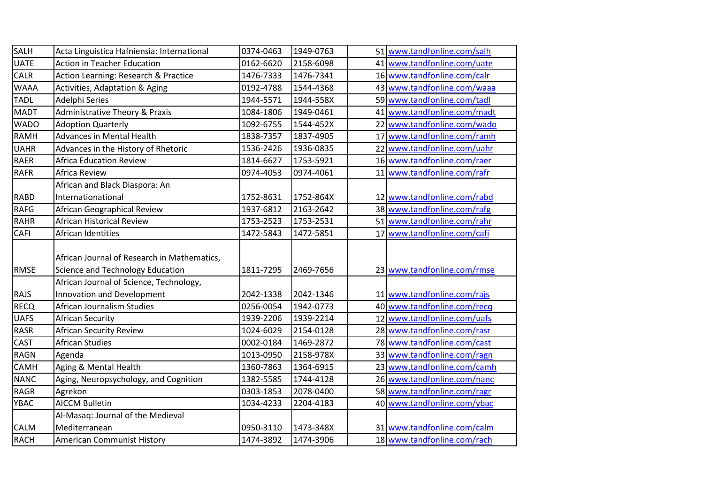| SALH        | Acta Linguistica Hafniensia: International                                      | 0374-0463 | 1949-0763 | 51 www.tandfonline.com/salh |
|-------------|---------------------------------------------------------------------------------|-----------|-----------|-----------------------------|
| <b>UATE</b> | <b>Action in Teacher Education</b>                                              | 0162-6620 | 2158-6098 | 41 www.tandfonline.com/uate |
| CALR        | Action Learning: Research & Practice                                            | 1476-7333 | 1476-7341 | 16 www.tandfonline.com/calr |
| <b>WAAA</b> | Activities, Adaptation & Aging                                                  | 0192-4788 | 1544-4368 | 43 www.tandfonline.com/waaa |
| <b>TADL</b> | Adelphi Series                                                                  | 1944-5571 | 1944-558X | 59 www.tandfonline.com/tadl |
| MADT        | <b>Administrative Theory &amp; Praxis</b>                                       | 1084-1806 | 1949-0461 | 41 www.tandfonline.com/madt |
| <b>WADO</b> | <b>Adoption Quarterly</b>                                                       | 1092-6755 | 1544-452X | 22 www.tandfonline.com/wado |
| <b>RAMH</b> | <b>Advances in Mental Health</b>                                                | 1838-7357 | 1837-4905 | 17 www.tandfonline.com/ramh |
| <b>UAHR</b> | Advances in the History of Rhetoric                                             | 1536-2426 | 1936-0835 | 22 www.tandfonline.com/uahr |
| <b>RAER</b> | <b>Africa Education Review</b>                                                  | 1814-6627 | 1753-5921 | 16 www.tandfonline.com/raer |
| <b>RAFR</b> | Africa Review                                                                   | 0974-4053 | 0974-4061 | 11 www.tandfonline.com/rafr |
|             | African and Black Diaspora: An                                                  |           |           |                             |
| <b>RABD</b> | Internationational                                                              | 1752-8631 | 1752-864X | 12 www.tandfonline.com/rabd |
| <b>RAFG</b> | African Geographical Review                                                     | 1937-6812 | 2163-2642 | 38 www.tandfonline.com/rafg |
| <b>RAHR</b> | <b>African Historical Review</b>                                                | 1753-2523 | 1753-2531 | 51 www.tandfonline.com/rahr |
| CAFI        | African Identities                                                              | 1472-5843 | 1472-5851 | 17 www.tandfonline.com/cafi |
| <b>RMSE</b> | African Journal of Research in Mathematics,<br>Science and Technology Education | 1811-7295 | 2469-7656 | 23 www.tandfonline.com/rmse |
| <b>RAJS</b> | African Journal of Science, Technology,<br>Innovation and Development           | 2042-1338 | 2042-1346 | 11 www.tandfonline.com/rajs |
| <b>RECQ</b> | African Journalism Studies                                                      | 0256-0054 | 1942-0773 | 40 www.tandfonline.com/recq |
| <b>UAFS</b> | African Security                                                                | 1939-2206 | 1939-2214 | 12 www.tandfonline.com/uafs |
| <b>RASR</b> | African Security Review                                                         | 1024-6029 | 2154-0128 | 28 www.tandfonline.com/rasr |
| CAST        | <b>African Studies</b>                                                          | 0002-0184 | 1469-2872 | 78 www.tandfonline.com/cast |
| <b>RAGN</b> | Agenda                                                                          | 1013-0950 | 2158-978X | 33 www.tandfonline.com/ragn |
| CAMH        | Aging & Mental Health                                                           | 1360-7863 | 1364-6915 | 23 www.tandfonline.com/camh |
| <b>NANC</b> | Aging, Neuropsychology, and Cognition                                           | 1382-5585 | 1744-4128 | 26 www.tandfonline.com/nanc |
| <b>RAGR</b> | Agrekon                                                                         | 0303-1853 | 2078-0400 | 58 www.tandfonline.com/ragr |
| YBAC        | <b>AICCM Bulletin</b>                                                           | 1034-4233 | 2204-4183 | 40 www.tandfonline.com/ybac |
|             | Al-Masaq: Journal of the Medieval                                               |           |           |                             |
| <b>CALM</b> | Mediterranean                                                                   | 0950-3110 | 1473-348X | 31 www.tandfonline.com/calm |
| <b>RACH</b> | <b>American Communist History</b>                                               | 1474-3892 | 1474-3906 | 18 www.tandfonline.com/rach |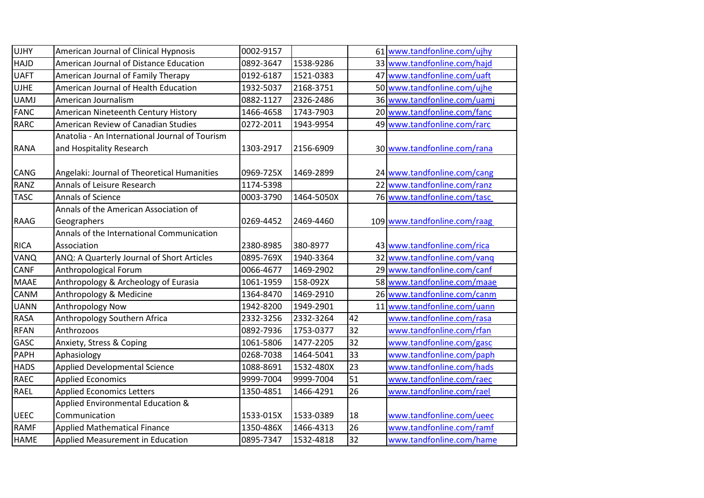| American Journal of Clinical Hypnosis          | 0002-9157                                                                                                                                                                                                                                                                                                                                                                                                                      |                                                                                                                                             |                                                                                                                               | 61 www.tandfonline.com/ujhy                                |
|------------------------------------------------|--------------------------------------------------------------------------------------------------------------------------------------------------------------------------------------------------------------------------------------------------------------------------------------------------------------------------------------------------------------------------------------------------------------------------------|---------------------------------------------------------------------------------------------------------------------------------------------|-------------------------------------------------------------------------------------------------------------------------------|------------------------------------------------------------|
| American Journal of Distance Education         | 0892-3647                                                                                                                                                                                                                                                                                                                                                                                                                      | 1538-9286                                                                                                                                   |                                                                                                                               | 33 www.tandfonline.com/hajd                                |
| American Journal of Family Therapy             | 0192-6187                                                                                                                                                                                                                                                                                                                                                                                                                      | 1521-0383                                                                                                                                   |                                                                                                                               | 47 www.tandfonline.com/uaft                                |
| American Journal of Health Education           | 1932-5037                                                                                                                                                                                                                                                                                                                                                                                                                      | 2168-3751                                                                                                                                   |                                                                                                                               | 50 www.tandfonline.com/ujhe                                |
| American Journalism                            | 0882-1127                                                                                                                                                                                                                                                                                                                                                                                                                      | 2326-2486                                                                                                                                   |                                                                                                                               | 36 www.tandfonline.com/uamj                                |
| American Nineteenth Century History            | 1466-4658                                                                                                                                                                                                                                                                                                                                                                                                                      | 1743-7903                                                                                                                                   |                                                                                                                               | 20 www.tandfonline.com/fanc                                |
| American Review of Canadian Studies            | 0272-2011                                                                                                                                                                                                                                                                                                                                                                                                                      | 1943-9954                                                                                                                                   |                                                                                                                               | 49 www.tandfonline.com/rarc                                |
| Anatolia - An International Journal of Tourism |                                                                                                                                                                                                                                                                                                                                                                                                                                |                                                                                                                                             |                                                                                                                               |                                                            |
| and Hospitality Research                       | 1303-2917                                                                                                                                                                                                                                                                                                                                                                                                                      | 2156-6909                                                                                                                                   |                                                                                                                               | 30 www.tandfonline.com/rana                                |
|                                                |                                                                                                                                                                                                                                                                                                                                                                                                                                |                                                                                                                                             |                                                                                                                               |                                                            |
|                                                |                                                                                                                                                                                                                                                                                                                                                                                                                                |                                                                                                                                             |                                                                                                                               | 24 www.tandfonline.com/cang<br>22 www.tandfonline.com/ranz |
|                                                |                                                                                                                                                                                                                                                                                                                                                                                                                                |                                                                                                                                             |                                                                                                                               |                                                            |
|                                                |                                                                                                                                                                                                                                                                                                                                                                                                                                |                                                                                                                                             |                                                                                                                               | 76 www.tandfonline.com/tasc                                |
|                                                |                                                                                                                                                                                                                                                                                                                                                                                                                                |                                                                                                                                             |                                                                                                                               |                                                            |
|                                                |                                                                                                                                                                                                                                                                                                                                                                                                                                |                                                                                                                                             |                                                                                                                               | 109 www.tandfonline.com/raag                               |
|                                                |                                                                                                                                                                                                                                                                                                                                                                                                                                |                                                                                                                                             |                                                                                                                               |                                                            |
|                                                |                                                                                                                                                                                                                                                                                                                                                                                                                                |                                                                                                                                             |                                                                                                                               | 43 www.tandfonline.com/rica                                |
|                                                |                                                                                                                                                                                                                                                                                                                                                                                                                                |                                                                                                                                             |                                                                                                                               | 32 www.tandfonline.com/vang                                |
|                                                |                                                                                                                                                                                                                                                                                                                                                                                                                                |                                                                                                                                             |                                                                                                                               | 29 www.tandfonline.com/canf                                |
|                                                |                                                                                                                                                                                                                                                                                                                                                                                                                                |                                                                                                                                             |                                                                                                                               | 58 www.tandfonline.com/maae                                |
|                                                |                                                                                                                                                                                                                                                                                                                                                                                                                                |                                                                                                                                             |                                                                                                                               | 26 www.tandfonline.com/canm                                |
|                                                |                                                                                                                                                                                                                                                                                                                                                                                                                                |                                                                                                                                             |                                                                                                                               | 11 www.tandfonline.com/uann                                |
|                                                |                                                                                                                                                                                                                                                                                                                                                                                                                                |                                                                                                                                             |                                                                                                                               | www.tandfonline.com/rasa                                   |
|                                                | 0892-7936                                                                                                                                                                                                                                                                                                                                                                                                                      | 1753-0377                                                                                                                                   |                                                                                                                               | www.tandfonline.com/rfan                                   |
| Anxiety, Stress & Coping                       | 1061-5806                                                                                                                                                                                                                                                                                                                                                                                                                      | 1477-2205                                                                                                                                   |                                                                                                                               | www.tandfonline.com/gasc                                   |
| Aphasiology                                    | 0268-7038                                                                                                                                                                                                                                                                                                                                                                                                                      | 1464-5041                                                                                                                                   | 33                                                                                                                            | www.tandfonline.com/paph                                   |
| <b>Applied Developmental Science</b>           | 1088-8691                                                                                                                                                                                                                                                                                                                                                                                                                      | 1532-480X                                                                                                                                   | 23                                                                                                                            | www.tandfonline.com/hads                                   |
| <b>Applied Economics</b>                       | 9999-7004                                                                                                                                                                                                                                                                                                                                                                                                                      | 9999-7004                                                                                                                                   | 51                                                                                                                            | www.tandfonline.com/raec                                   |
| <b>Applied Economics Letters</b>               | 1350-4851                                                                                                                                                                                                                                                                                                                                                                                                                      | 1466-4291                                                                                                                                   | $\overline{26}$                                                                                                               | www.tandfonline.com/rael                                   |
| Applied Environmental Education &              |                                                                                                                                                                                                                                                                                                                                                                                                                                |                                                                                                                                             |                                                                                                                               |                                                            |
| Communication                                  | 1533-015X                                                                                                                                                                                                                                                                                                                                                                                                                      | 1533-0389                                                                                                                                   | 18                                                                                                                            | www.tandfonline.com/ueec                                   |
| <b>Applied Mathematical Finance</b>            | 1350-486X                                                                                                                                                                                                                                                                                                                                                                                                                      | 1466-4313                                                                                                                                   | 26                                                                                                                            | www.tandfonline.com/ramf                                   |
| Applied Measurement in Education               | 0895-7347                                                                                                                                                                                                                                                                                                                                                                                                                      | 1532-4818                                                                                                                                   | 32                                                                                                                            | www.tandfonline.com/hame                                   |
|                                                | Angelaki: Journal of Theoretical Humanities<br>Annals of Leisure Research<br>Annals of Science<br>Annals of the American Association of<br>Geographers<br>Annals of the International Communication<br>Association<br>ANQ: A Quarterly Journal of Short Articles<br>Anthropological Forum<br>Anthropology & Archeology of Eurasia<br>Anthropology & Medicine<br>Anthropology Now<br>Anthropology Southern Africa<br>Anthrozoos | 0969-725X<br>1174-5398<br>0003-3790<br>0269-4452<br>2380-8985<br>0895-769X<br>0066-4677<br>1061-1959<br>1364-8470<br>1942-8200<br>2332-3256 | 1469-2899<br>1464-5050X<br>2469-4460<br>380-8977<br>1940-3364<br>1469-2902<br>158-092X<br>1469-2910<br>1949-2901<br>2332-3264 | 42<br>32<br>32                                             |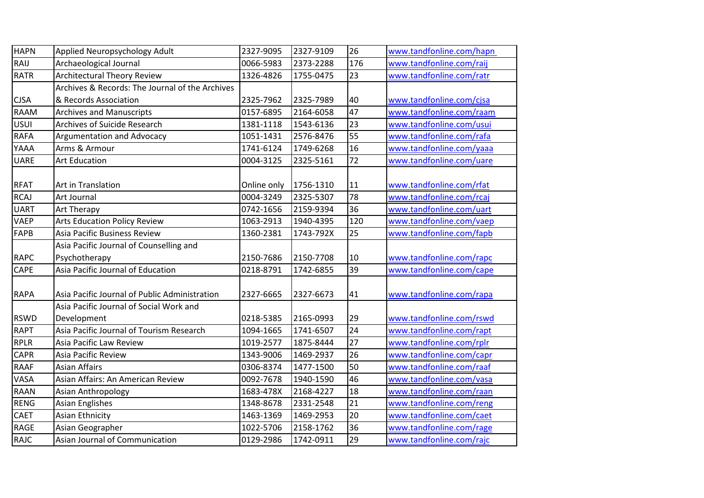| <b>HAPN</b> | Applied Neuropsychology Adult                   | 2327-9095   | 2327-9109 | 26  | www.tandfonline.com/hapn |
|-------------|-------------------------------------------------|-------------|-----------|-----|--------------------------|
| RAIJ        | Archaeological Journal                          | 0066-5983   | 2373-2288 | 176 | www.tandfonline.com/raij |
| <b>RATR</b> | <b>Architectural Theory Review</b>              | 1326-4826   | 1755-0475 | 23  | www.tandfonline.com/ratr |
|             | Archives & Records: The Journal of the Archives |             |           |     |                          |
| <b>CJSA</b> | & Records Association                           | 2325-7962   | 2325-7989 | 40  | www.tandfonline.com/cjsa |
| RAAM        | <b>Archives and Manuscripts</b>                 | 0157-6895   | 2164-6058 | 47  | www.tandfonline.com/raam |
| <b>USUI</b> | Archives of Suicide Research                    | 1381-1118   | 1543-6136 | 23  | www.tandfonline.com/usui |
| <b>RAFA</b> | <b>Argumentation and Advocacy</b>               | 1051-1431   | 2576-8476 | 55  | www.tandfonline.com/rafa |
| YAAA        | Arms & Armour                                   | 1741-6124   | 1749-6268 | 16  | www.tandfonline.com/yaaa |
| <b>UARE</b> | <b>Art Education</b>                            | 0004-3125   | 2325-5161 | 72  | www.tandfonline.com/uare |
|             |                                                 |             |           |     |                          |
| <b>RFAT</b> | Art in Translation                              | Online only | 1756-1310 | 11  | www.tandfonline.com/rfat |
| <b>RCAJ</b> | Art Journal                                     | 0004-3249   | 2325-5307 | 78  | www.tandfonline.com/rcaj |
| <b>UART</b> | <b>Art Therapy</b>                              | 0742-1656   | 2159-9394 | 36  | www.tandfonline.com/uart |
| <b>VAEP</b> | <b>Arts Education Policy Review</b>             | 1063-2913   | 1940-4395 | 120 | www.tandfonline.com/vaep |
| <b>FAPB</b> | <b>Asia Pacific Business Review</b>             | 1360-2381   | 1743-792X | 25  | www.tandfonline.com/fapb |
|             | Asia Pacific Journal of Counselling and         |             |           |     |                          |
| <b>RAPC</b> | Psychotherapy                                   | 2150-7686   | 2150-7708 | 10  | www.tandfonline.com/rapc |
| CAPE        | Asia Pacific Journal of Education               | 0218-8791   | 1742-6855 | 39  | www.tandfonline.com/cape |
|             |                                                 |             |           |     |                          |
| <b>RAPA</b> | Asia Pacific Journal of Public Administration   | 2327-6665   | 2327-6673 | 41  | www.tandfonline.com/rapa |
|             | Asia Pacific Journal of Social Work and         |             |           |     |                          |
| <b>RSWD</b> | Development                                     | 0218-5385   | 2165-0993 | 29  | www.tandfonline.com/rswd |
| <b>RAPT</b> | Asia Pacific Journal of Tourism Research        | 1094-1665   | 1741-6507 | 24  | www.tandfonline.com/rapt |
| <b>RPLR</b> | Asia Pacific Law Review                         | 1019-2577   | 1875-8444 | 27  | www.tandfonline.com/rplr |
| <b>CAPR</b> | Asia Pacific Review                             | 1343-9006   | 1469-2937 | 26  | www.tandfonline.com/capr |
| <b>RAAF</b> | <b>Asian Affairs</b>                            | 0306-8374   | 1477-1500 | 50  | www.tandfonline.com/raaf |
| VASA        | Asian Affairs: An American Review               | 0092-7678   | 1940-1590 | 46  | www.tandfonline.com/vasa |
| <b>RAAN</b> | Asian Anthropology                              | 1683-478X   | 2168-4227 | 18  | www.tandfonline.com/raan |
| <b>RENG</b> | <b>Asian Englishes</b>                          | 1348-8678   | 2331-2548 | 21  | www.tandfonline.com/reng |
| CAET        | <b>Asian Ethnicity</b>                          | 1463-1369   | 1469-2953 | 20  | www.tandfonline.com/caet |
| RAGE        | Asian Geographer                                | 1022-5706   | 2158-1762 | 36  | www.tandfonline.com/rage |
| <b>RAJC</b> | Asian Journal of Communication                  | 0129-2986   | 1742-0911 | 29  | www.tandfonline.com/rajc |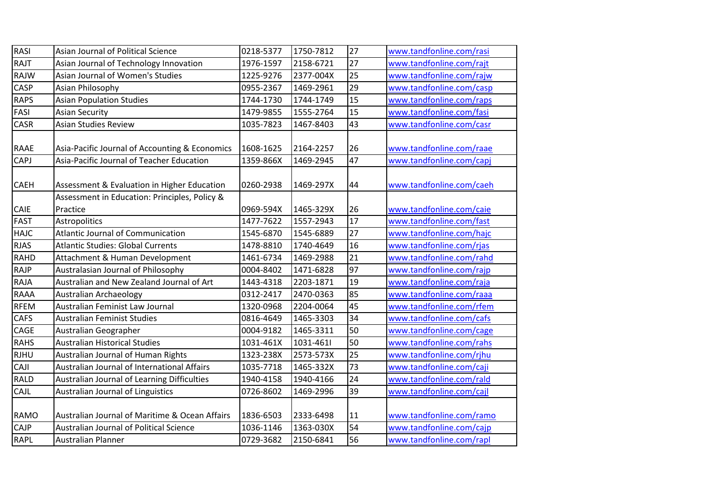| <b>RASI</b> | Asian Journal of Political Science             | 0218-5377 | 1750-7812 | 27 | www.tandfonline.com/rasi |
|-------------|------------------------------------------------|-----------|-----------|----|--------------------------|
| RAJT        | Asian Journal of Technology Innovation         | 1976-1597 | 2158-6721 | 27 | www.tandfonline.com/rajt |
| RAJW        | Asian Journal of Women's Studies               | 1225-9276 | 2377-004X | 25 | www.tandfonline.com/rajw |
| <b>CASP</b> | Asian Philosophy                               | 0955-2367 | 1469-2961 | 29 | www.tandfonline.com/casp |
| <b>RAPS</b> | <b>Asian Population Studies</b>                | 1744-1730 | 1744-1749 | 15 | www.tandfonline.com/raps |
| FASI        | <b>Asian Security</b>                          | 1479-9855 | 1555-2764 | 15 | www.tandfonline.com/fasi |
| <b>CASR</b> | <b>Asian Studies Review</b>                    | 1035-7823 | 1467-8403 | 43 | www.tandfonline.com/casr |
|             |                                                |           |           |    |                          |
| <b>RAAE</b> | Asia-Pacific Journal of Accounting & Economics | 1608-1625 | 2164-2257 | 26 | www.tandfonline.com/raae |
| CAPJ        | Asia-Pacific Journal of Teacher Education      | 1359-866X | 1469-2945 | 47 | www.tandfonline.com/capj |
|             |                                                |           |           |    |                          |
| <b>CAEH</b> | Assessment & Evaluation in Higher Education    | 0260-2938 | 1469-297X | 44 | www.tandfonline.com/caeh |
|             | Assessment in Education: Principles, Policy &  |           |           |    |                          |
| <b>CAIE</b> | Practice                                       | 0969-594X | 1465-329X | 26 | www.tandfonline.com/caie |
| <b>FAST</b> | Astropolitics                                  | 1477-7622 | 1557-2943 | 17 | www.tandfonline.com/fast |
| <b>HAJC</b> | Atlantic Journal of Communication              | 1545-6870 | 1545-6889 | 27 | www.tandfonline.com/hajc |
| <b>RJAS</b> | <b>Atlantic Studies: Global Currents</b>       | 1478-8810 | 1740-4649 | 16 | www.tandfonline.com/rjas |
| <b>RAHD</b> | Attachment & Human Development                 | 1461-6734 | 1469-2988 | 21 | www.tandfonline.com/rahd |
| <b>RAJP</b> | Australasian Journal of Philosophy             | 0004-8402 | 1471-6828 | 97 | www.tandfonline.com/rajp |
| <b>RAJA</b> | Australian and New Zealand Journal of Art      | 1443-4318 | 2203-1871 | 19 | www.tandfonline.com/raja |
| <b>RAAA</b> | <b>Australian Archaeology</b>                  | 0312-2417 | 2470-0363 | 85 | www.tandfonline.com/raaa |
| <b>RFEM</b> | Australian Feminist Law Journal                | 1320-0968 | 2204-0064 | 45 | www.tandfonline.com/rfem |
| <b>CAFS</b> | <b>Australian Feminist Studies</b>             | 0816-4649 | 1465-3303 | 34 | www.tandfonline.com/cafs |
| CAGE        | Australian Geographer                          | 0004-9182 | 1465-3311 | 50 | www.tandfonline.com/cage |
| <b>RAHS</b> | <b>Australian Historical Studies</b>           | 1031-461X | 1031-4611 | 50 | www.tandfonline.com/rahs |
| <b>RJHU</b> | Australian Journal of Human Rights             | 1323-238X | 2573-573X | 25 | www.tandfonline.com/rjhu |
| <b>CAJI</b> | Australian Journal of International Affairs    | 1035-7718 | 1465-332X | 73 | www.tandfonline.com/caji |
| <b>RALD</b> | Australian Journal of Learning Difficulties    | 1940-4158 | 1940-4166 | 24 | www.tandfonline.com/rald |
| CAJL        | Australian Journal of Linguistics              | 0726-8602 | 1469-2996 | 39 | www.tandfonline.com/cajl |
|             |                                                |           |           |    |                          |
| <b>RAMO</b> | Australian Journal of Maritime & Ocean Affairs | 1836-6503 | 2333-6498 | 11 | www.tandfonline.com/ramo |
| CAJP        | <b>Australian Journal of Political Science</b> | 1036-1146 | 1363-030X | 54 | www.tandfonline.com/cajp |
| <b>RAPL</b> | Australian Planner                             | 0729-3682 | 2150-6841 | 56 | www.tandfonline.com/rapl |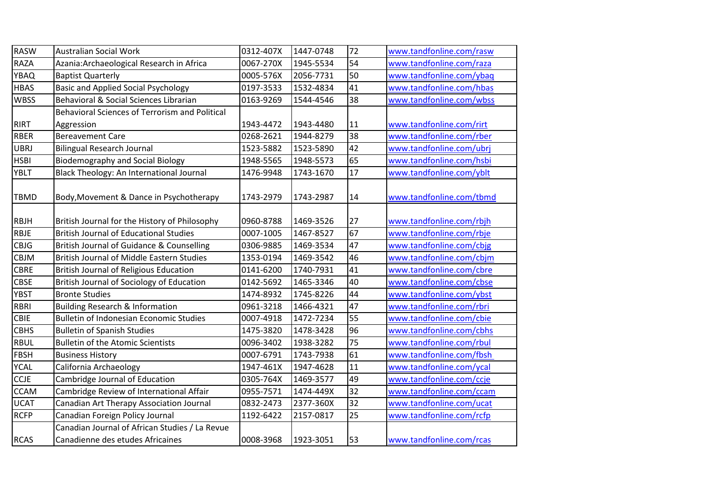| <b>RASW</b> | <b>Australian Social Work</b>                  | 0312-407X | 1447-0748 | 72              | www.tandfonline.com/rasw |
|-------------|------------------------------------------------|-----------|-----------|-----------------|--------------------------|
| <b>RAZA</b> | Azania: Archaeological Research in Africa      | 0067-270X | 1945-5534 | 54              | www.tandfonline.com/raza |
| <b>YBAQ</b> | <b>Baptist Quarterly</b>                       | 0005-576X | 2056-7731 | 50              | www.tandfonline.com/ybaq |
| <b>HBAS</b> | <b>Basic and Applied Social Psychology</b>     | 0197-3533 | 1532-4834 | 41              | www.tandfonline.com/hbas |
| <b>WBSS</b> | Behavioral & Social Sciences Librarian         | 0163-9269 | 1544-4546 | 38              | www.tandfonline.com/wbss |
|             | Behavioral Sciences of Terrorism and Political |           |           |                 |                          |
| <b>RIRT</b> | Aggression                                     | 1943-4472 | 1943-4480 | 11              | www.tandfonline.com/rirt |
| <b>RBER</b> | <b>Bereavement Care</b>                        | 0268-2621 | 1944-8279 | 38              | www.tandfonline.com/rber |
| <b>UBRJ</b> | <b>Bilingual Research Journal</b>              | 1523-5882 | 1523-5890 | 42              | www.tandfonline.com/ubrj |
| <b>HSBI</b> | <b>Biodemography and Social Biology</b>        | 1948-5565 | 1948-5573 | 65              | www.tandfonline.com/hsbi |
| <b>YBLT</b> | Black Theology: An International Journal       | 1476-9948 | 1743-1670 | 17              | www.tandfonline.com/yblt |
|             |                                                |           |           |                 |                          |
| <b>TBMD</b> | Body, Movement & Dance in Psychotherapy        | 1743-2979 | 1743-2987 | 14              | www.tandfonline.com/tbmd |
|             |                                                |           |           |                 |                          |
| <b>RBJH</b> | British Journal for the History of Philosophy  | 0960-8788 | 1469-3526 | 27              | www.tandfonline.com/rbjh |
| <b>RBJE</b> | <b>British Journal of Educational Studies</b>  | 0007-1005 | 1467-8527 | 67              | www.tandfonline.com/rbje |
| <b>CBJG</b> | British Journal of Guidance & Counselling      | 0306-9885 | 1469-3534 | 47              | www.tandfonline.com/cbjg |
| <b>CBJM</b> | British Journal of Middle Eastern Studies      | 1353-0194 | 1469-3542 | 46              | www.tandfonline.com/cbjm |
| <b>CBRE</b> | <b>British Journal of Religious Education</b>  | 0141-6200 | 1740-7931 | 41              | www.tandfonline.com/cbre |
| <b>CBSE</b> | British Journal of Sociology of Education      | 0142-5692 | 1465-3346 | 40              | www.tandfonline.com/cbse |
| <b>YBST</b> | <b>Bronte Studies</b>                          | 1474-8932 | 1745-8226 | 44              | www.tandfonline.com/ybst |
| <b>RBRI</b> | <b>Building Research &amp; Information</b>     | 0961-3218 | 1466-4321 | 47              | www.tandfonline.com/rbri |
| <b>CBIE</b> | <b>Bulletin of Indonesian Economic Studies</b> | 0007-4918 | 1472-7234 | 55              | www.tandfonline.com/cbie |
| <b>CBHS</b> | <b>Bulletin of Spanish Studies</b>             | 1475-3820 | 1478-3428 | 96              | www.tandfonline.com/cbhs |
| <b>RBUL</b> | <b>Bulletin of the Atomic Scientists</b>       | 0096-3402 | 1938-3282 | $\overline{75}$ | www.tandfonline.com/rbul |
| <b>FBSH</b> | <b>Business History</b>                        | 0007-6791 | 1743-7938 | 61              | www.tandfonline.com/fbsh |
| <b>YCAL</b> | California Archaeology                         | 1947-461X | 1947-4628 | 11              | www.tandfonline.com/ycal |
| <b>CCJE</b> | Cambridge Journal of Education                 | 0305-764X | 1469-3577 | 49              | www.tandfonline.com/ccje |
| <b>CCAM</b> | Cambridge Review of International Affair       | 0955-7571 | 1474-449X | 32              | www.tandfonline.com/ccam |
| <b>UCAT</b> | Canadian Art Therapy Association Journal       | 0832-2473 | 2377-360X | 32              | www.tandfonline.com/ucat |
| <b>RCFP</b> | Canadian Foreign Policy Journal                | 1192-6422 | 2157-0817 | 25              | www.tandfonline.com/rcfp |
|             | Canadian Journal of African Studies / La Revue |           |           |                 |                          |
| <b>RCAS</b> | Canadienne des etudes Africaines               | 0008-3968 | 1923-3051 | 53              | www.tandfonline.com/rcas |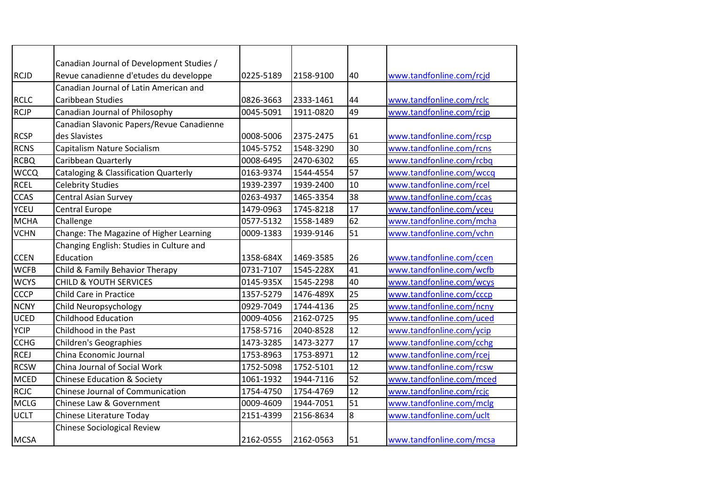|             | Canadian Journal of Development Studies /        |           |           |    |                          |
|-------------|--------------------------------------------------|-----------|-----------|----|--------------------------|
| <b>RCJD</b> | Revue canadienne d'etudes du developpe           | 0225-5189 | 2158-9100 | 40 | www.tandfonline.com/rcjd |
|             | Canadian Journal of Latin American and           |           |           |    |                          |
| <b>RCLC</b> | <b>Caribbean Studies</b>                         | 0826-3663 | 2333-1461 | 44 | www.tandfonline.com/rclc |
| <b>RCJP</b> | Canadian Journal of Philosophy                   | 0045-5091 | 1911-0820 | 49 | www.tandfonline.com/rcjp |
|             | Canadian Slavonic Papers/Revue Canadienne        |           |           |    |                          |
| <b>RCSP</b> | des Slavistes                                    | 0008-5006 | 2375-2475 | 61 | www.tandfonline.com/rcsp |
| <b>RCNS</b> | Capitalism Nature Socialism                      | 1045-5752 | 1548-3290 | 30 | www.tandfonline.com/rcns |
| <b>RCBQ</b> | Caribbean Quarterly                              | 0008-6495 | 2470-6302 | 65 | www.tandfonline.com/rcbq |
| <b>WCCQ</b> | <b>Cataloging &amp; Classification Quarterly</b> | 0163-9374 | 1544-4554 | 57 | www.tandfonline.com/wccq |
| <b>RCEL</b> | <b>Celebrity Studies</b>                         | 1939-2397 | 1939-2400 | 10 | www.tandfonline.com/rcel |
| <b>CCAS</b> | <b>Central Asian Survey</b>                      | 0263-4937 | 1465-3354 | 38 | www.tandfonline.com/ccas |
| <b>YCEU</b> | <b>Central Europe</b>                            | 1479-0963 | 1745-8218 | 17 | www.tandfonline.com/yceu |
| <b>MCHA</b> | Challenge                                        | 0577-5132 | 1558-1489 | 62 | www.tandfonline.com/mcha |
| <b>VCHN</b> | Change: The Magazine of Higher Learning          | 0009-1383 | 1939-9146 | 51 | www.tandfonline.com/vchn |
|             | Changing English: Studies in Culture and         |           |           |    |                          |
| <b>CCEN</b> | Education                                        | 1358-684X | 1469-3585 | 26 | www.tandfonline.com/ccen |
| <b>WCFB</b> | Child & Family Behavior Therapy                  | 0731-7107 | 1545-228X | 41 | www.tandfonline.com/wcfb |
| <b>WCYS</b> | <b>CHILD &amp; YOUTH SERVICES</b>                | 0145-935X | 1545-2298 | 40 | www.tandfonline.com/wcys |
| <b>CCCP</b> | Child Care in Practice                           | 1357-5279 | 1476-489X | 25 | www.tandfonline.com/cccp |
| <b>NCNY</b> | Child Neuropsychology                            | 0929-7049 | 1744-4136 | 25 | www.tandfonline.com/ncny |
| <b>UCED</b> | <b>Childhood Education</b>                       | 0009-4056 | 2162-0725 | 95 | www.tandfonline.com/uced |
| <b>YCIP</b> | Childhood in the Past                            | 1758-5716 | 2040-8528 | 12 | www.tandfonline.com/ycip |
| <b>CCHG</b> | <b>Children's Geographies</b>                    | 1473-3285 | 1473-3277 | 17 | www.tandfonline.com/cchg |
| <b>RCEJ</b> | China Economic Journal                           | 1753-8963 | 1753-8971 | 12 | www.tandfonline.com/rcej |
| <b>RCSW</b> | China Journal of Social Work                     | 1752-5098 | 1752-5101 | 12 | www.tandfonline.com/rcsw |
| <b>MCED</b> | <b>Chinese Education &amp; Society</b>           | 1061-1932 | 1944-7116 | 52 | www.tandfonline.com/mced |
| <b>RCJC</b> | Chinese Journal of Communication                 | 1754-4750 | 1754-4769 | 12 | www.tandfonline.com/rcjc |
| <b>MCLG</b> | Chinese Law & Government                         | 0009-4609 | 1944-7051 | 51 | www.tandfonline.com/mclg |
| <b>UCLT</b> | Chinese Literature Today                         | 2151-4399 | 2156-8634 | 8  | www.tandfonline.com/uclt |
|             | <b>Chinese Sociological Review</b>               |           |           |    |                          |
| <b>MCSA</b> |                                                  | 2162-0555 | 2162-0563 | 51 | www.tandfonline.com/mcsa |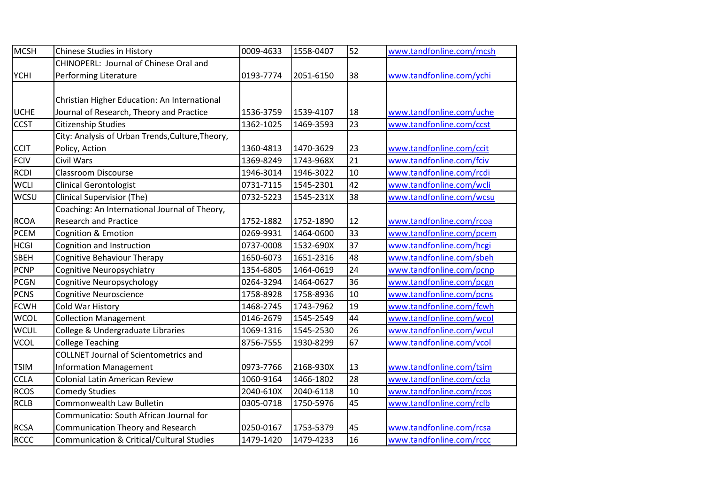| <b>MCSH</b> | Chinese Studies in History                       | 0009-4633 | 1558-0407 | 52 | www.tandfonline.com/mcsh |
|-------------|--------------------------------------------------|-----------|-----------|----|--------------------------|
|             | CHINOPERL: Journal of Chinese Oral and           |           |           |    |                          |
| <b>YCHI</b> | Performing Literature                            | 0193-7774 | 2051-6150 | 38 | www.tandfonline.com/ychi |
|             |                                                  |           |           |    |                          |
|             | Christian Higher Education: An International     |           |           |    |                          |
| <b>UCHE</b> | Journal of Research, Theory and Practice         | 1536-3759 | 1539-4107 | 18 | www.tandfonline.com/uche |
| <b>CCST</b> | <b>Citizenship Studies</b>                       | 1362-1025 | 1469-3593 | 23 | www.tandfonline.com/ccst |
|             | City: Analysis of Urban Trends, Culture, Theory, |           |           |    |                          |
| <b>CCIT</b> | Policy, Action                                   | 1360-4813 | 1470-3629 | 23 | www.tandfonline.com/ccit |
| <b>FCIV</b> | <b>Civil Wars</b>                                | 1369-8249 | 1743-968X | 21 | www.tandfonline.com/fciv |
| <b>RCDI</b> | <b>Classroom Discourse</b>                       | 1946-3014 | 1946-3022 | 10 | www.tandfonline.com/rcdi |
| <b>WCLI</b> | <b>Clinical Gerontologist</b>                    | 0731-7115 | 1545-2301 | 42 | www.tandfonline.com/wcli |
| <b>WCSU</b> | <b>Clinical Supervisior (The)</b>                | 0732-5223 | 1545-231X | 38 | www.tandfonline.com/wcsu |
|             | Coaching: An International Journal of Theory,    |           |           |    |                          |
| <b>RCOA</b> | <b>Research and Practice</b>                     | 1752-1882 | 1752-1890 | 12 | www.tandfonline.com/rcoa |
| <b>PCEM</b> | Cognition & Emotion                              | 0269-9931 | 1464-0600 | 33 | www.tandfonline.com/pcem |
| <b>HCGI</b> | Cognition and Instruction                        | 0737-0008 | 1532-690X | 37 | www.tandfonline.com/hcgi |
| <b>SBEH</b> | Cognitive Behaviour Therapy                      | 1650-6073 | 1651-2316 | 48 | www.tandfonline.com/sbeh |
| PCNP        | Cognitive Neuropsychiatry                        | 1354-6805 | 1464-0619 | 24 | www.tandfonline.com/pcnp |
| <b>PCGN</b> | Cognitive Neuropsychology                        | 0264-3294 | 1464-0627 | 36 | www.tandfonline.com/pcgn |
| <b>PCNS</b> | <b>Cognitive Neuroscience</b>                    | 1758-8928 | 1758-8936 | 10 | www.tandfonline.com/pcns |
| <b>FCWH</b> | Cold War History                                 | 1468-2745 | 1743-7962 | 19 | www.tandfonline.com/fcwh |
| <b>WCOL</b> | <b>Collection Management</b>                     | 0146-2679 | 1545-2549 | 44 | www.tandfonline.com/wcol |
| <b>WCUL</b> | College & Undergraduate Libraries                | 1069-1316 | 1545-2530 | 26 | www.tandfonline.com/wcul |
| <b>VCOL</b> | <b>College Teaching</b>                          | 8756-7555 | 1930-8299 | 67 | www.tandfonline.com/vcol |
|             | <b>COLLNET Journal of Scientometrics and</b>     |           |           |    |                          |
| <b>TSIM</b> | <b>Information Management</b>                    | 0973-7766 | 2168-930X | 13 | www.tandfonline.com/tsim |
| <b>CCLA</b> | <b>Colonial Latin American Review</b>            | 1060-9164 | 1466-1802 | 28 | www.tandfonline.com/ccla |
| <b>RCOS</b> | <b>Comedy Studies</b>                            | 2040-610X | 2040-6118 | 10 | www.tandfonline.com/rcos |
| <b>RCLB</b> | Commonwealth Law Bulletin                        | 0305-0718 | 1750-5976 | 45 | www.tandfonline.com/rclb |
|             | Communicatio: South African Journal for          |           |           |    |                          |
| <b>RCSA</b> | Communication Theory and Research                | 0250-0167 | 1753-5379 | 45 | www.tandfonline.com/rcsa |
| <b>RCCC</b> | Communication & Critical/Cultural Studies        | 1479-1420 | 1479-4233 | 16 | www.tandfonline.com/rccc |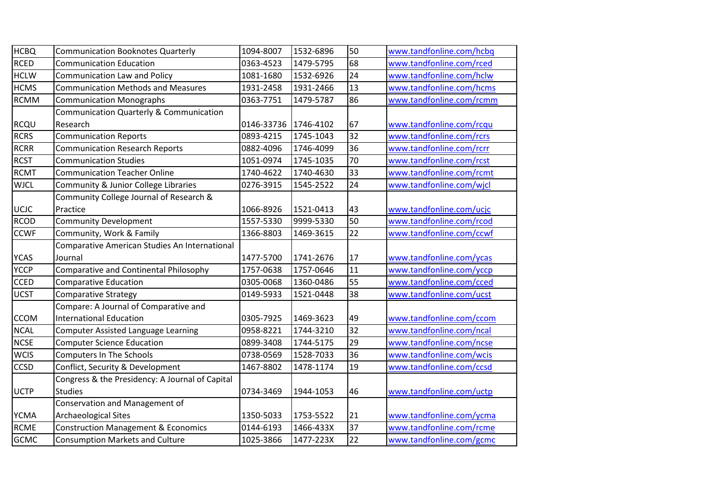| <b>HCBQ</b> | <b>Communication Booknotes Quarterly</b>        | 1094-8007  | 1532-6896 | 50 | www.tandfonline.com/hcbq |
|-------------|-------------------------------------------------|------------|-----------|----|--------------------------|
| <b>RCED</b> | <b>Communication Education</b>                  | 0363-4523  | 1479-5795 | 68 | www.tandfonline.com/rced |
| <b>HCLW</b> | Communication Law and Policy                    | 1081-1680  | 1532-6926 | 24 | www.tandfonline.com/hclw |
| <b>HCMS</b> | <b>Communication Methods and Measures</b>       | 1931-2458  | 1931-2466 | 13 | www.tandfonline.com/hcms |
| <b>RCMM</b> | <b>Communication Monographs</b>                 | 0363-7751  | 1479-5787 | 86 | www.tandfonline.com/rcmm |
|             | Communication Quarterly & Communication         |            |           |    |                          |
| <b>RCQU</b> | Research                                        | 0146-33736 | 1746-4102 | 67 | www.tandfonline.com/rcqu |
| <b>RCRS</b> | <b>Communication Reports</b>                    | 0893-4215  | 1745-1043 | 32 | www.tandfonline.com/rcrs |
| <b>RCRR</b> | <b>Communication Research Reports</b>           | 0882-4096  | 1746-4099 | 36 | www.tandfonline.com/rcrr |
| <b>RCST</b> | <b>Communication Studies</b>                    | 1051-0974  | 1745-1035 | 70 | www.tandfonline.com/rcst |
| <b>RCMT</b> | <b>Communication Teacher Online</b>             | 1740-4622  | 1740-4630 | 33 | www.tandfonline.com/rcmt |
| <b>WJCL</b> | Community & Junior College Libraries            | 0276-3915  | 1545-2522 | 24 | www.tandfonline.com/wjcl |
|             | Community College Journal of Research &         |            |           |    |                          |
| UCJC        | Practice                                        | 1066-8926  | 1521-0413 | 43 | www.tandfonline.com/ucjc |
| <b>RCOD</b> | <b>Community Development</b>                    | 1557-5330  | 9999-5330 | 50 | www.tandfonline.com/rcod |
| <b>CCWF</b> | Community, Work & Family                        | 1366-8803  | 1469-3615 | 22 | www.tandfonline.com/ccwf |
|             | Comparative American Studies An International   |            |           |    |                          |
| <b>YCAS</b> | Journal                                         | 1477-5700  | 1741-2676 | 17 | www.tandfonline.com/ycas |
| <b>YCCP</b> | Comparative and Continental Philosophy          | 1757-0638  | 1757-0646 | 11 | www.tandfonline.com/yccp |
| <b>CCED</b> | <b>Comparative Education</b>                    | 0305-0068  | 1360-0486 | 55 | www.tandfonline.com/cced |
| <b>UCST</b> | <b>Comparative Strategy</b>                     | 0149-5933  | 1521-0448 | 38 | www.tandfonline.com/ucst |
|             | Compare: A Journal of Comparative and           |            |           |    |                          |
| <b>CCOM</b> | <b>International Education</b>                  | 0305-7925  | 1469-3623 | 49 | www.tandfonline.com/ccom |
| <b>NCAL</b> | Computer Assisted Language Learning             | 0958-8221  | 1744-3210 | 32 | www.tandfonline.com/ncal |
| <b>NCSE</b> | <b>Computer Science Education</b>               | 0899-3408  | 1744-5175 | 29 | www.tandfonline.com/ncse |
| <b>WCIS</b> | <b>Computers In The Schools</b>                 | 0738-0569  | 1528-7033 | 36 | www.tandfonline.com/wcis |
| <b>CCSD</b> | Conflict, Security & Development                | 1467-8802  | 1478-1174 | 19 | www.tandfonline.com/ccsd |
|             | Congress & the Presidency: A Journal of Capital |            |           |    |                          |
| <b>UCTP</b> | <b>Studies</b>                                  | 0734-3469  | 1944-1053 | 46 | www.tandfonline.com/uctp |
|             | Conservation and Management of                  |            |           |    |                          |
| <b>YCMA</b> | <b>Archaeological Sites</b>                     | 1350-5033  | 1753-5522 | 21 | www.tandfonline.com/ycma |
| <b>RCME</b> | <b>Construction Management &amp; Economics</b>  | 0144-6193  | 1466-433X | 37 | www.tandfonline.com/rcme |
| <b>GCMC</b> | <b>Consumption Markets and Culture</b>          | 1025-3866  | 1477-223X | 22 | www.tandfonline.com/gcmc |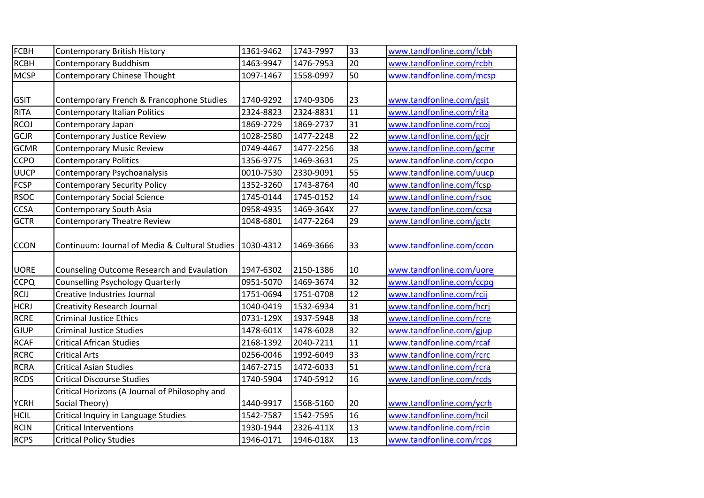| FCBH        | Contemporary British History                   | 1361-9462 | 1743-7997 | 33              | www.tandfonline.com/fcbh |
|-------------|------------------------------------------------|-----------|-----------|-----------------|--------------------------|
| <b>RCBH</b> | Contemporary Buddhism                          | 1463-9947 | 1476-7953 | 20              | www.tandfonline.com/rcbh |
| <b>MCSP</b> | <b>Contemporary Chinese Thought</b>            | 1097-1467 | 1558-0997 | 50              | www.tandfonline.com/mcsp |
|             |                                                |           |           |                 |                          |
| <b>GSIT</b> | Contemporary French & Francophone Studies      | 1740-9292 | 1740-9306 | 23              | www.tandfonline.com/gsit |
| <b>RITA</b> | Contemporary Italian Politics                  | 2324-8823 | 2324-8831 | 11              | www.tandfonline.com/rita |
| <b>RCOJ</b> | Contemporary Japan                             | 1869-2729 | 1869-2737 | 31              | www.tandfonline.com/rcoj |
| <b>GCJR</b> | Contemporary Justice Review                    | 1028-2580 | 1477-2248 | $\overline{22}$ | www.tandfonline.com/gcjr |
| <b>GCMR</b> | <b>Contemporary Music Review</b>               | 0749-4467 | 1477-2256 | 38              | www.tandfonline.com/gcmr |
| <b>CCPO</b> | <b>Contemporary Politics</b>                   | 1356-9775 | 1469-3631 | 25              | www.tandfonline.com/ccpo |
| <b>UUCP</b> | Contemporary Psychoanalysis                    | 0010-7530 | 2330-9091 | 55              | www.tandfonline.com/uucp |
| <b>FCSP</b> | <b>Contemporary Security Policy</b>            | 1352-3260 | 1743-8764 | 40              | www.tandfonline.com/fcsp |
| <b>RSOC</b> | <b>Contemporary Social Science</b>             | 1745-0144 | 1745-0152 | 14              | www.tandfonline.com/rsoc |
| <b>CCSA</b> | Contemporary South Asia                        | 0958-4935 | 1469-364X | 27              | www.tandfonline.com/ccsa |
| <b>GCTR</b> | <b>Contemporary Theatre Review</b>             | 1048-6801 | 1477-2264 | 29              | www.tandfonline.com/gctr |
| <b>CCON</b> | Continuum: Journal of Media & Cultural Studies | 1030-4312 | 1469-3666 | 33              | www.tandfonline.com/ccon |
|             |                                                |           |           |                 |                          |
| <b>UORE</b> | Counseling Outcome Research and Evaulation     | 1947-6302 | 2150-1386 | 10              | www.tandfonline.com/uore |
| <b>CCPQ</b> | <b>Counselling Psychology Quarterly</b>        | 0951-5070 | 1469-3674 | 32              | www.tandfonline.com/ccpq |
| <b>RCIJ</b> | Creative Industries Journal                    | 1751-0694 | 1751-0708 | 12              | www.tandfonline.com/rcij |
| <b>HCRJ</b> | <b>Creativity Research Journal</b>             | 1040-0419 | 1532-6934 | 31              | www.tandfonline.com/hcrj |
| <b>RCRE</b> | <b>Criminal Justice Ethics</b>                 | 0731-129X | 1937-5948 | 38              | www.tandfonline.com/rcre |
| <b>GJUP</b> | <b>Criminal Justice Studies</b>                | 1478-601X | 1478-6028 | 32              | www.tandfonline.com/gjup |
| <b>RCAF</b> | <b>Critical African Studies</b>                | 2168-1392 | 2040-7211 | 11              | www.tandfonline.com/rcaf |
| RCRC        | <b>Critical Arts</b>                           | 0256-0046 | 1992-6049 | 33              | www.tandfonline.com/rcrc |
| <b>RCRA</b> | <b>Critical Asian Studies</b>                  | 1467-2715 | 1472-6033 | 51              | www.tandfonline.com/rcra |
| <b>RCDS</b> | <b>Critical Discourse Studies</b>              | 1740-5904 | 1740-5912 | 16              | www.tandfonline.com/rcds |
|             | Critical Horizons (A Journal of Philosophy and |           |           |                 |                          |
| <b>YCRH</b> | Social Theory)                                 | 1440-9917 | 1568-5160 | 20              | www.tandfonline.com/ycrh |
| <b>HCIL</b> | Critical Inquiry in Language Studies           | 1542-7587 | 1542-7595 | 16              | www.tandfonline.com/hcil |
| <b>RCIN</b> | <b>Critical Interventions</b>                  | 1930-1944 | 2326-411X | 13              | www.tandfonline.com/rcin |
| <b>RCPS</b> | <b>Critical Policy Studies</b>                 | 1946-0171 | 1946-018X | 13              | www.tandfonline.com/rcps |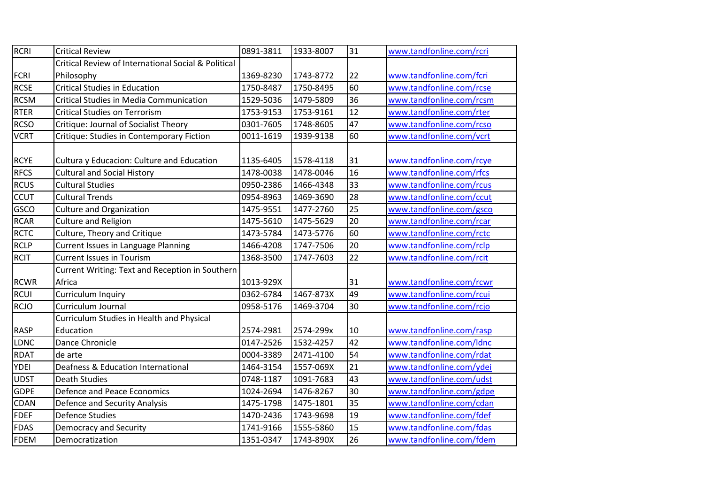| RCRI        | <b>Critical Review</b>                              | 0891-3811 | 1933-8007 | 31              | www.tandfonline.com/rcri |
|-------------|-----------------------------------------------------|-----------|-----------|-----------------|--------------------------|
|             | Critical Review of International Social & Political |           |           |                 |                          |
| <b>FCRI</b> | Philosophy                                          | 1369-8230 | 1743-8772 | 22              | www.tandfonline.com/fcri |
| <b>RCSE</b> | <b>Critical Studies in Education</b>                | 1750-8487 | 1750-8495 | 60              | www.tandfonline.com/rcse |
| <b>RCSM</b> | <b>Critical Studies in Media Communication</b>      | 1529-5036 | 1479-5809 | 36              | www.tandfonline.com/rcsm |
| RTER        | <b>Critical Studies on Terrorism</b>                | 1753-9153 | 1753-9161 | 12              | www.tandfonline.com/rter |
| <b>RCSO</b> | <b>Critique: Journal of Socialist Theory</b>        | 0301-7605 | 1748-8605 | 47              | www.tandfonline.com/rcso |
| <b>VCRT</b> | Critique: Studies in Contemporary Fiction           | 0011-1619 | 1939-9138 | 60              | www.tandfonline.com/vcrt |
| <b>RCYE</b> | Cultura y Educacion: Culture and Education          | 1135-6405 | 1578-4118 | 31              | www.tandfonline.com/rcye |
| <b>RFCS</b> | <b>Cultural and Social History</b>                  | 1478-0038 | 1478-0046 | 16              | www.tandfonline.com/rfcs |
| <b>RCUS</b> | <b>Cultural Studies</b>                             | 0950-2386 | 1466-4348 | 33              | www.tandfonline.com/rcus |
| <b>CCUT</b> | <b>Cultural Trends</b>                              | 0954-8963 | 1469-3690 | 28              | www.tandfonline.com/ccut |
| GSCO        | <b>Culture and Organization</b>                     | 1475-9551 | 1477-2760 | 25              | www.tandfonline.com/gsco |
| <b>RCAR</b> | Culture and Religion                                | 1475-5610 | 1475-5629 | 20              | www.tandfonline.com/rcar |
| <b>RCTC</b> | Culture, Theory and Critique                        | 1473-5784 | 1473-5776 | 60              | www.tandfonline.com/rctc |
| <b>RCLP</b> | Current Issues in Language Planning                 | 1466-4208 | 1747-7506 | 20              | www.tandfonline.com/rclp |
| <b>RCIT</b> | <b>Current Issues in Tourism</b>                    | 1368-3500 | 1747-7603 | $\overline{22}$ | www.tandfonline.com/rcit |
|             | Current Writing: Text and Reception in Southern     |           |           |                 |                          |
| <b>RCWR</b> | Africa                                              | 1013-929X |           | 31              | www.tandfonline.com/rcwr |
| <b>RCUI</b> | Curriculum Inquiry                                  | 0362-6784 | 1467-873X | 49              | www.tandfonline.com/rcui |
| <b>RCJO</b> | Curriculum Journal                                  | 0958-5176 | 1469-3704 | 30              | www.tandfonline.com/rcjo |
|             | Curriculum Studies in Health and Physical           |           |           |                 |                          |
| <b>RASP</b> | Education                                           | 2574-2981 | 2574-299x | 10              | www.tandfonline.com/rasp |
| LDNC        | Dance Chronicle                                     | 0147-2526 | 1532-4257 | 42              | www.tandfonline.com/ldnc |
| <b>RDAT</b> | de arte                                             | 0004-3389 | 2471-4100 | 54              | www.tandfonline.com/rdat |
| <b>YDEI</b> | Deafness & Education International                  | 1464-3154 | 1557-069X | 21              | www.tandfonline.com/ydei |
| <b>UDST</b> | <b>Death Studies</b>                                | 0748-1187 | 1091-7683 | 43              | www.tandfonline.com/udst |
| <b>GDPE</b> | Defence and Peace Economics                         | 1024-2694 | 1476-8267 | 30              | www.tandfonline.com/gdpe |
| <b>CDAN</b> | Defence and Security Analysis                       | 1475-1798 | 1475-1801 | 35              | www.tandfonline.com/cdan |
| <b>FDEF</b> | <b>Defence Studies</b>                              | 1470-2436 | 1743-9698 | 19              | www.tandfonline.com/fdef |
| <b>FDAS</b> | Democracy and Security                              | 1741-9166 | 1555-5860 | 15              | www.tandfonline.com/fdas |
| <b>FDEM</b> | Democratization                                     | 1351-0347 | 1743-890X | 26              | www.tandfonline.com/fdem |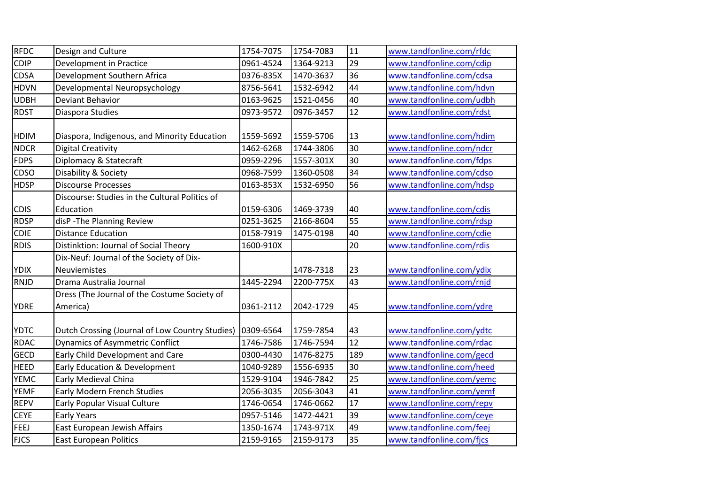| <b>RFDC</b> | Design and Culture                                          | 1754-7075 | 1754-7083 | 11  | www.tandfonline.com/rfdc |
|-------------|-------------------------------------------------------------|-----------|-----------|-----|--------------------------|
| CDIP        | Development in Practice                                     | 0961-4524 | 1364-9213 | 29  | www.tandfonline.com/cdip |
| <b>CDSA</b> | Development Southern Africa                                 | 0376-835X | 1470-3637 | 36  | www.tandfonline.com/cdsa |
| <b>HDVN</b> | Developmental Neuropsychology                               | 8756-5641 | 1532-6942 | 44  | www.tandfonline.com/hdvn |
| <b>UDBH</b> | Deviant Behavior                                            | 0163-9625 | 1521-0456 | 40  | www.tandfonline.com/udbh |
| <b>RDST</b> | Diaspora Studies                                            | 0973-9572 | 0976-3457 | 12  | www.tandfonline.com/rdst |
| <b>HDIM</b> | Diaspora, Indigenous, and Minority Education                | 1559-5692 | 1559-5706 | 13  | www.tandfonline.com/hdim |
| <b>NDCR</b> | <b>Digital Creativity</b>                                   | 1462-6268 | 1744-3806 | 30  | www.tandfonline.com/ndcr |
| <b>FDPS</b> | Diplomacy & Statecraft                                      | 0959-2296 | 1557-301X | 30  | www.tandfonline.com/fdps |
| CDSO        | Disability & Society                                        | 0968-7599 | 1360-0508 | 34  | www.tandfonline.com/cdso |
| <b>HDSP</b> | <b>Discourse Processes</b>                                  | 0163-853X | 1532-6950 | 56  | www.tandfonline.com/hdsp |
| <b>CDIS</b> | Discourse: Studies in the Cultural Politics of<br>Education | 0159-6306 | 1469-3739 | 40  | www.tandfonline.com/cdis |
| <b>RDSP</b> | disP - The Planning Review                                  | 0251-3625 | 2166-8604 | 55  | www.tandfonline.com/rdsp |
| <b>CDIE</b> | <b>Distance Education</b>                                   | 0158-7919 | 1475-0198 | 40  | www.tandfonline.com/cdie |
| <b>RDIS</b> | Distinktion: Journal of Social Theory                       | 1600-910X |           | 20  | www.tandfonline.com/rdis |
|             | Dix-Neuf: Journal of the Society of Dix-                    |           |           |     |                          |
| <b>YDIX</b> | <b>Neuviemistes</b>                                         |           | 1478-7318 | 23  | www.tandfonline.com/ydix |
| <b>RNJD</b> | Drama Australia Journal                                     | 1445-2294 | 2200-775X | 43  | www.tandfonline.com/rnjd |
|             | Dress (The Journal of the Costume Society of                |           |           |     |                          |
| <b>YDRE</b> | America)                                                    | 0361-2112 | 2042-1729 | 45  | www.tandfonline.com/ydre |
| <b>YDTC</b> | Dutch Crossing (Journal of Low Country Studies)             | 0309-6564 | 1759-7854 | 43  | www.tandfonline.com/ydtc |
| <b>RDAC</b> | <b>Dynamics of Asymmetric Conflict</b>                      | 1746-7586 | 1746-7594 | 12  | www.tandfonline.com/rdac |
| <b>GECD</b> | Early Child Development and Care                            | 0300-4430 | 1476-8275 | 189 | www.tandfonline.com/gecd |
| <b>HEED</b> | Early Education & Development                               | 1040-9289 | 1556-6935 | 30  | www.tandfonline.com/heed |
| <b>YEMC</b> | Early Medieval China                                        | 1529-9104 | 1946-7842 | 25  | www.tandfonline.com/yemc |
| <b>YEMF</b> | <b>Early Modern French Studies</b>                          | 2056-3035 | 2056-3043 | 41  | www.tandfonline.com/yemf |
| <b>REPV</b> | <b>Early Popular Visual Culture</b>                         | 1746-0654 | 1746-0662 | 17  | www.tandfonline.com/repv |
| <b>CEYE</b> | <b>Early Years</b>                                          | 0957-5146 | 1472-4421 | 39  | www.tandfonline.com/ceye |
| FEEJ        | East European Jewish Affairs                                | 1350-1674 | 1743-971X | 49  | www.tandfonline.com/feej |
| <b>FJCS</b> | <b>East European Politics</b>                               | 2159-9165 | 2159-9173 | 35  | www.tandfonline.com/fjcs |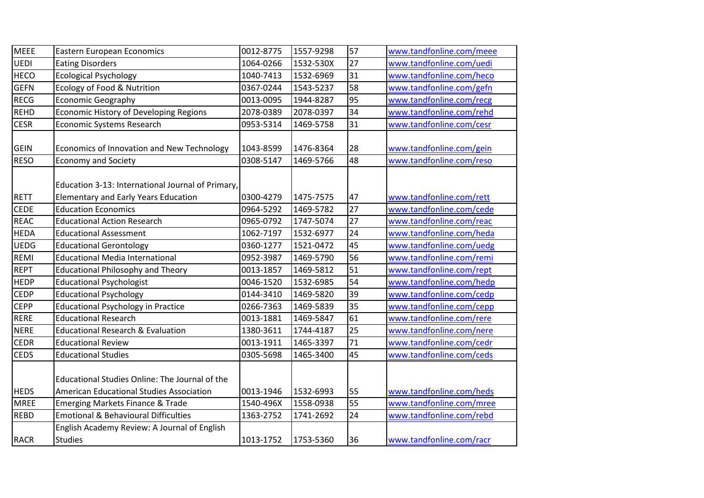| <b>MEEE</b> | <b>Eastern European Economics</b>                 | 0012-8775 | 1557-9298 | 57 | www.tandfonline.com/meee |
|-------------|---------------------------------------------------|-----------|-----------|----|--------------------------|
| UEDI        | <b>Eating Disorders</b>                           | 1064-0266 | 1532-530X | 27 | www.tandfonline.com/uedi |
| <b>HECO</b> | <b>Ecological Psychology</b>                      | 1040-7413 | 1532-6969 | 31 | www.tandfonline.com/heco |
| <b>GEFN</b> | Ecology of Food & Nutrition                       | 0367-0244 | 1543-5237 | 58 | www.tandfonline.com/gefn |
| <b>RECG</b> | <b>Economic Geography</b>                         | 0013-0095 | 1944-8287 | 95 | www.tandfonline.com/recg |
| <b>REHD</b> | <b>Economic History of Developing Regions</b>     | 2078-0389 | 2078-0397 | 34 | www.tandfonline.com/rehd |
| <b>CESR</b> | Economic Systems Research                         | 0953-5314 | 1469-5758 | 31 | www.tandfonline.com/cesr |
|             |                                                   |           |           |    |                          |
| <b>GEIN</b> | Economics of Innovation and New Technology        | 1043-8599 | 1476-8364 | 28 | www.tandfonline.com/gein |
| <b>RESO</b> | <b>Economy and Society</b>                        | 0308-5147 | 1469-5766 | 48 | www.tandfonline.com/reso |
|             |                                                   |           |           |    |                          |
|             | Education 3-13: International Journal of Primary, |           |           |    |                          |
| <b>RETT</b> | <b>Elementary and Early Years Education</b>       | 0300-4279 | 1475-7575 | 47 | www.tandfonline.com/rett |
| <b>CEDE</b> | <b>Education Economics</b>                        | 0964-5292 | 1469-5782 | 27 | www.tandfonline.com/cede |
| <b>REAC</b> | <b>Educational Action Research</b>                | 0965-0792 | 1747-5074 | 27 | www.tandfonline.com/reac |
| <b>HEDA</b> | <b>Educational Assessment</b>                     | 1062-7197 | 1532-6977 | 24 | www.tandfonline.com/heda |
| <b>UEDG</b> | <b>Educational Gerontology</b>                    | 0360-1277 | 1521-0472 | 45 | www.tandfonline.com/uedg |
| REMI        | <b>Educational Media International</b>            | 0952-3987 | 1469-5790 | 56 | www.tandfonline.com/remi |
| <b>REPT</b> | <b>Educational Philosophy and Theory</b>          | 0013-1857 | 1469-5812 | 51 | www.tandfonline.com/rept |
| <b>HEDP</b> | <b>Educational Psychologist</b>                   | 0046-1520 | 1532-6985 | 54 | www.tandfonline.com/hedp |
| <b>CEDP</b> | <b>Educational Psychology</b>                     | 0144-3410 | 1469-5820 | 39 | www.tandfonline.com/cedp |
| <b>CEPP</b> | <b>Educational Psychology in Practice</b>         | 0266-7363 | 1469-5839 | 35 | www.tandfonline.com/cepp |
| <b>RERE</b> | <b>Educational Research</b>                       | 0013-1881 | 1469-5847 | 61 | www.tandfonline.com/rere |
| <b>NERE</b> | <b>Educational Research &amp; Evaluation</b>      | 1380-3611 | 1744-4187 | 25 | www.tandfonline.com/nere |
| <b>CEDR</b> | <b>Educational Review</b>                         | 0013-1911 | 1465-3397 | 71 | www.tandfonline.com/cedr |
| <b>CEDS</b> | <b>Educational Studies</b>                        | 0305-5698 | 1465-3400 | 45 | www.tandfonline.com/ceds |
|             |                                                   |           |           |    |                          |
|             | Educational Studies Online: The Journal of the    |           |           |    |                          |
| <b>HEDS</b> | American Educational Studies Association          | 0013-1946 | 1532-6993 | 55 | www.tandfonline.com/heds |
| <b>MREE</b> | <b>Emerging Markets Finance &amp; Trade</b>       | 1540-496X | 1558-0938 | 55 | www.tandfonline.com/mree |
| <b>REBD</b> | <b>Emotional &amp; Behavioural Difficulties</b>   | 1363-2752 | 1741-2692 | 24 | www.tandfonline.com/rebd |
|             | English Academy Review: A Journal of English      |           |           |    |                          |
| <b>RACR</b> | <b>Studies</b>                                    | 1013-1752 | 1753-5360 | 36 | www.tandfonline.com/racr |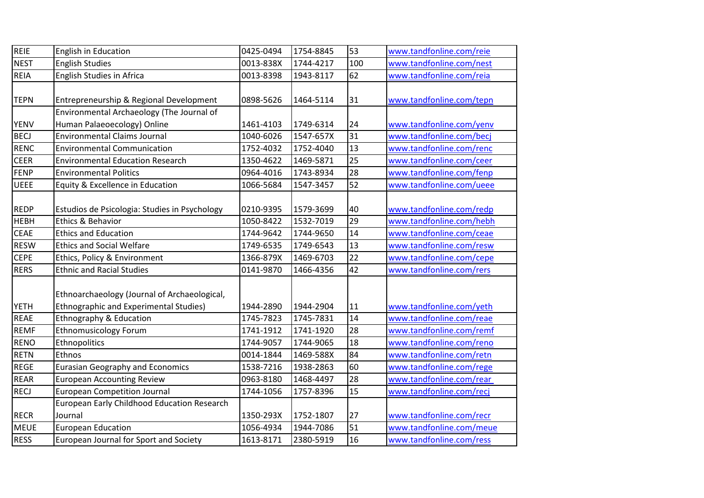| <b>REIE</b> | English in Education                          | 0425-0494 | 1754-8845 | 53  | www.tandfonline.com/reie |
|-------------|-----------------------------------------------|-----------|-----------|-----|--------------------------|
| <b>NEST</b> | <b>English Studies</b>                        | 0013-838X | 1744-4217 | 100 | www.tandfonline.com/nest |
| <b>REIA</b> | English Studies in Africa                     | 0013-8398 | 1943-8117 | 62  | www.tandfonline.com/reia |
|             |                                               |           |           |     |                          |
| <b>TEPN</b> | Entrepreneurship & Regional Development       | 0898-5626 | 1464-5114 | 31  | www.tandfonline.com/tepn |
|             | Environmental Archaeology (The Journal of     |           |           |     |                          |
| <b>YENV</b> | Human Palaeoecology) Online                   | 1461-4103 | 1749-6314 | 24  | www.tandfonline.com/yenv |
| <b>BECJ</b> | <b>Environmental Claims Journal</b>           | 1040-6026 | 1547-657X | 31  | www.tandfonline.com/becj |
| <b>RENC</b> | <b>Environmental Communication</b>            | 1752-4032 | 1752-4040 | 13  | www.tandfonline.com/renc |
| <b>CEER</b> | <b>Environmental Education Research</b>       | 1350-4622 | 1469-5871 | 25  | www.tandfonline.com/ceer |
| FENP        | <b>Environmental Politics</b>                 | 0964-4016 | 1743-8934 | 28  | www.tandfonline.com/fenp |
| <b>UEEE</b> | Equity & Excellence in Education              | 1066-5684 | 1547-3457 | 52  | www.tandfonline.com/ueee |
|             |                                               |           |           |     |                          |
| <b>REDP</b> | Estudios de Psicologia: Studies in Psychology | 0210-9395 | 1579-3699 | 40  | www.tandfonline.com/redp |
| <b>HEBH</b> | Ethics & Behavior                             | 1050-8422 | 1532-7019 | 29  | www.tandfonline.com/hebh |
| <b>CEAE</b> | <b>Ethics and Education</b>                   | 1744-9642 | 1744-9650 | 14  | www.tandfonline.com/ceae |
| <b>RESW</b> | <b>Ethics and Social Welfare</b>              | 1749-6535 | 1749-6543 | 13  | www.tandfonline.com/resw |
| <b>CEPE</b> | Ethics, Policy & Environment                  | 1366-879X | 1469-6703 | 22  | www.tandfonline.com/cepe |
| <b>RERS</b> | <b>Ethnic and Racial Studies</b>              | 0141-9870 | 1466-4356 | 42  | www.tandfonline.com/rers |
|             |                                               |           |           |     |                          |
|             | Ethnoarchaeology (Journal of Archaeological,  |           |           |     |                          |
| <b>YETH</b> | <b>Ethnographic and Experimental Studies)</b> | 1944-2890 | 1944-2904 | 11  | www.tandfonline.com/yeth |
| <b>REAE</b> | <b>Ethnography &amp; Education</b>            | 1745-7823 | 1745-7831 | 14  | www.tandfonline.com/reae |
| <b>REMF</b> | <b>Ethnomusicology Forum</b>                  | 1741-1912 | 1741-1920 | 28  | www.tandfonline.com/remf |
| <b>RENO</b> | Ethnopolitics                                 | 1744-9057 | 1744-9065 | 18  | www.tandfonline.com/reno |
| <b>RETN</b> | Ethnos                                        | 0014-1844 | 1469-588X | 84  | www.tandfonline.com/retn |
| <b>REGE</b> | <b>Eurasian Geography and Economics</b>       | 1538-7216 | 1938-2863 | 60  | www.tandfonline.com/rege |
| <b>REAR</b> | <b>European Accounting Review</b>             | 0963-8180 | 1468-4497 | 28  | www.tandfonline.com/rear |
| <b>RECJ</b> | <b>European Competition Journal</b>           | 1744-1056 | 1757-8396 | 15  | www.tandfonline.com/recj |
|             | European Early Childhood Education Research   |           |           |     |                          |
| <b>RECR</b> | Journal                                       | 1350-293X | 1752-1807 | 27  | www.tandfonline.com/recr |
| <b>MEUE</b> | <b>European Education</b>                     | 1056-4934 | 1944-7086 | 51  | www.tandfonline.com/meue |
| <b>RESS</b> | European Journal for Sport and Society        | 1613-8171 | 2380-5919 | 16  | www.tandfonline.com/ress |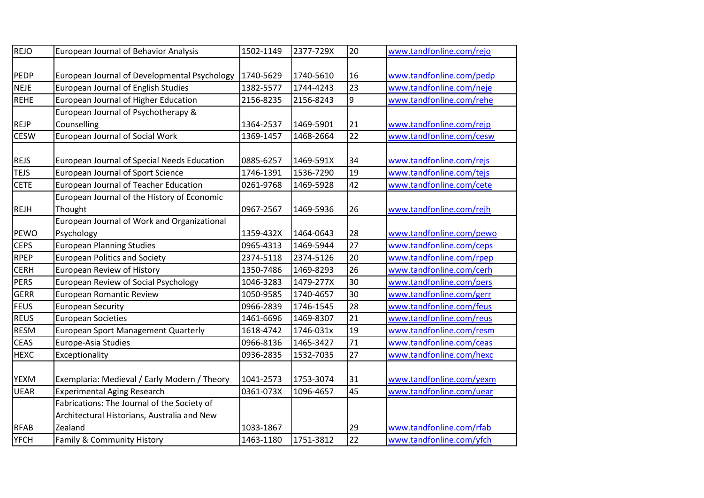| <b>REJO</b> | European Journal of Behavior Analysis        | 1502-1149 | 2377-729X | 20              | www.tandfonline.com/rejo                             |
|-------------|----------------------------------------------|-----------|-----------|-----------------|------------------------------------------------------|
| PEDP        | European Journal of Developmental Psychology | 1740-5629 | 1740-5610 | 16              | www.tandfonline.com/pedp                             |
| <b>NEJE</b> | <b>European Journal of English Studies</b>   | 1382-5577 | 1744-4243 | 23              | www.tandfonline.com/neje                             |
| <b>REHE</b> | European Journal of Higher Education         | 2156-8235 | 2156-8243 | 9               | www.tandfonline.com/rehe                             |
|             | European Journal of Psychotherapy &          |           |           |                 |                                                      |
| <b>REJP</b> | Counselling                                  | 1364-2537 | 1469-5901 | 21              |                                                      |
| <b>CESW</b> | European Journal of Social Work              | 1369-1457 | 1468-2664 | $\overline{22}$ | www.tandfonline.com/rejp<br>www.tandfonline.com/cesw |
|             |                                              |           |           |                 |                                                      |
| <b>REJS</b> | European Journal of Special Needs Education  | 0885-6257 | 1469-591X | 34              | www.tandfonline.com/rejs                             |
| <b>TEJS</b> | European Journal of Sport Science            | 1746-1391 | 1536-7290 | 19              | www.tandfonline.com/tejs                             |
| <b>CETE</b> | European Journal of Teacher Education        | 0261-9768 | 1469-5928 | 42              | www.tandfonline.com/cete                             |
|             | European Journal of the History of Economic  |           |           |                 |                                                      |
| <b>REJH</b> | Thought                                      | 0967-2567 | 1469-5936 | 26              | www.tandfonline.com/rejh                             |
|             | European Journal of Work and Organizational  |           |           |                 |                                                      |
| PEWO        | Psychology                                   | 1359-432X | 1464-0643 | 28              | www.tandfonline.com/pewo                             |
| <b>CEPS</b> | <b>European Planning Studies</b>             | 0965-4313 | 1469-5944 | 27              | www.tandfonline.com/ceps                             |
| <b>RPEP</b> | <b>European Politics and Society</b>         | 2374-5118 | 2374-5126 | 20              | www.tandfonline.com/rpep                             |
| <b>CERH</b> | European Review of History                   | 1350-7486 | 1469-8293 | 26              | www.tandfonline.com/cerh                             |
| <b>PERS</b> | European Review of Social Psychology         | 1046-3283 | 1479-277X | 30              | www.tandfonline.com/pers                             |
| <b>GERR</b> | <b>European Romantic Review</b>              | 1050-9585 | 1740-4657 | 30              | www.tandfonline.com/gerr                             |
| <b>FEUS</b> | <b>European Security</b>                     | 0966-2839 | 1746-1545 | 28              | www.tandfonline.com/feus                             |
| <b>REUS</b> | <b>European Societies</b>                    | 1461-6696 | 1469-8307 | 21              | www.tandfonline.com/reus                             |
| <b>RESM</b> | <b>European Sport Management Quarterly</b>   | 1618-4742 | 1746-031x | 19              | www.tandfonline.com/resm                             |
| <b>CEAS</b> | Europe-Asia Studies                          | 0966-8136 | 1465-3427 | 71              | www.tandfonline.com/ceas                             |
| <b>HEXC</b> | Exceptionality                               | 0936-2835 | 1532-7035 | 27              | www.tandfonline.com/hexc                             |
| <b>YEXM</b> | Exemplaria: Medieval / Early Modern / Theory | 1041-2573 | 1753-3074 | 31              | www.tandfonline.com/yexm                             |
| <b>UEAR</b> | <b>Experimental Aging Research</b>           | 0361-073X | 1096-4657 | 45              | www.tandfonline.com/uear                             |
|             | Fabrications: The Journal of the Society of  |           |           |                 |                                                      |
|             | Architectural Historians, Australia and New  |           |           |                 |                                                      |
| <b>RFAB</b> | Zealand                                      | 1033-1867 |           | 29              | www.tandfonline.com/rfab                             |
| <b>YFCH</b> | Family & Community History                   | 1463-1180 | 1751-3812 | 22              | www.tandfonline.com/yfch                             |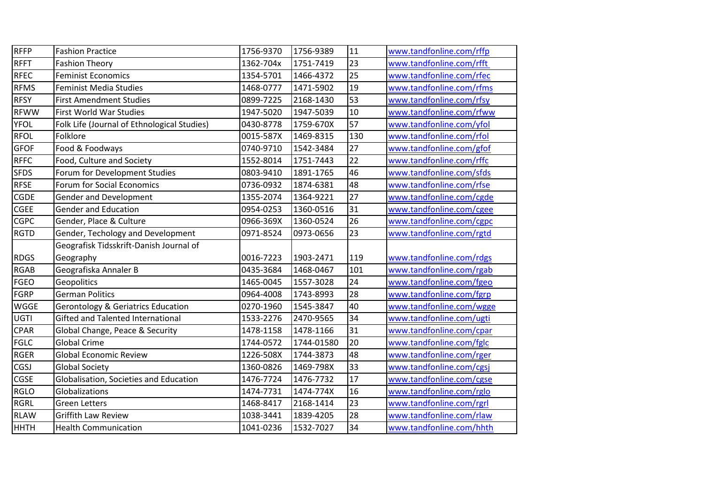| RFFP        | <b>Fashion Practice</b>                       | 1756-9370 | 1756-9389  | 11  | www.tandfonline.com/rffp |
|-------------|-----------------------------------------------|-----------|------------|-----|--------------------------|
| <b>RFFT</b> | <b>Fashion Theory</b>                         | 1362-704x | 1751-7419  | 23  | www.tandfonline.com/rfft |
| RFEC        | <b>Feminist Economics</b>                     | 1354-5701 | 1466-4372  | 25  | www.tandfonline.com/rfec |
| <b>RFMS</b> | <b>Feminist Media Studies</b>                 | 1468-0777 | 1471-5902  | 19  | www.tandfonline.com/rfms |
| <b>RFSY</b> | <b>First Amendment Studies</b>                | 0899-7225 | 2168-1430  | 53  | www.tandfonline.com/rfsy |
| <b>RFWW</b> | First World War Studies                       | 1947-5020 | 1947-5039  | 10  | www.tandfonline.com/rfww |
| <b>YFOL</b> | Folk Life (Journal of Ethnological Studies)   | 0430-8778 | 1759-670X  | 57  | www.tandfonline.com/yfol |
| <b>RFOL</b> | Folklore                                      | 0015-587X | 1469-8315  | 130 | www.tandfonline.com/rfol |
| <b>GFOF</b> | Food & Foodways                               | 0740-9710 | 1542-3484  | 27  | www.tandfonline.com/gfof |
| <b>RFFC</b> | Food, Culture and Society                     | 1552-8014 | 1751-7443  | 22  | www.tandfonline.com/rffc |
| <b>SFDS</b> | Forum for Development Studies                 | 0803-9410 | 1891-1765  | 46  | www.tandfonline.com/sfds |
| <b>RFSE</b> | Forum for Social Economics                    | 0736-0932 | 1874-6381  | 48  | www.tandfonline.com/rfse |
| <b>CGDE</b> | <b>Gender and Development</b>                 | 1355-2074 | 1364-9221  | 27  | www.tandfonline.com/cgde |
| <b>CGEE</b> | <b>Gender and Education</b>                   | 0954-0253 | 1360-0516  | 31  | www.tandfonline.com/cgee |
| <b>CGPC</b> | Gender, Place & Culture                       | 0966-369X | 1360-0524  | 26  | www.tandfonline.com/cgpc |
| <b>RGTD</b> | Gender, Techology and Development             | 0971-8524 | 0973-0656  | 23  | www.tandfonline.com/rgtd |
|             | Geografisk Tidsskrift-Danish Journal of       |           |            |     |                          |
| <b>RDGS</b> | Geography                                     | 0016-7223 | 1903-2471  | 119 | www.tandfonline.com/rdgs |
| <b>RGAB</b> | Geografiska Annaler B                         | 0435-3684 | 1468-0467  | 101 | www.tandfonline.com/rgab |
| <b>FGEO</b> | Geopolitics                                   | 1465-0045 | 1557-3028  | 24  | www.tandfonline.com/fgeo |
| FGRP        | <b>German Politics</b>                        | 0964-4008 | 1743-8993  | 28  | www.tandfonline.com/fgrp |
| <b>WGGE</b> | <b>Gerontology &amp; Geriatrics Education</b> | 0270-1960 | 1545-3847  | 40  | www.tandfonline.com/wgge |
| UGTI        | Gifted and Talented International             | 1533-2276 | 2470-9565  | 34  | www.tandfonline.com/ugti |
| <b>CPAR</b> | Global Change, Peace & Security               | 1478-1158 | 1478-1166  | 31  | www.tandfonline.com/cpar |
| <b>FGLC</b> | <b>Global Crime</b>                           | 1744-0572 | 1744-01580 | 20  | www.tandfonline.com/fglc |
| <b>RGER</b> | <b>Global Economic Review</b>                 | 1226-508X | 1744-3873  | 48  | www.tandfonline.com/rger |
| <b>CGSJ</b> | <b>Global Society</b>                         | 1360-0826 | 1469-798X  | 33  | www.tandfonline.com/cgsj |
| <b>CGSE</b> | Globalisation, Societies and Education        | 1476-7724 | 1476-7732  | 17  | www.tandfonline.com/cgse |
| <b>RGLO</b> | Globalizations                                | 1474-7731 | 1474-774X  | 16  | www.tandfonline.com/rglo |
| <b>RGRL</b> | <b>Green Letters</b>                          | 1468-8417 | 2168-1414  | 23  | www.tandfonline.com/rgrl |
| <b>RLAW</b> | <b>Griffith Law Review</b>                    | 1038-3441 | 1839-4205  | 28  | www.tandfonline.com/rlaw |
| <b>HHTH</b> | <b>Health Communication</b>                   | 1041-0236 | 1532-7027  | 34  | www.tandfonline.com/hhth |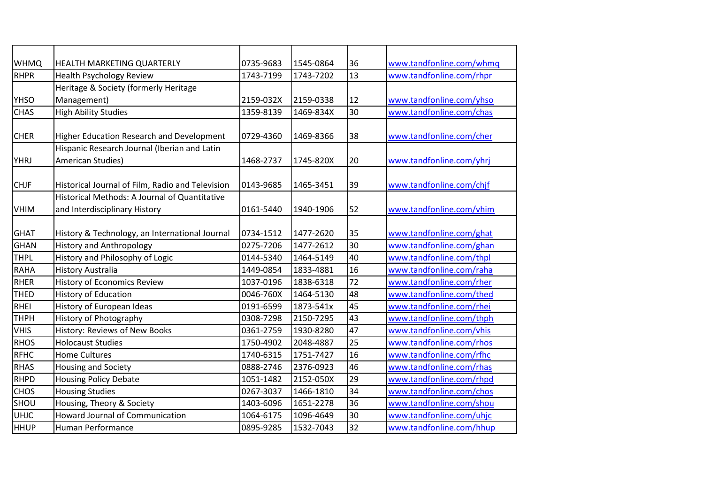| <b>WHMQ</b> | <b>HEALTH MARKETING QUARTERLY</b>                                              | 0735-9683 | 1545-0864 | 36 | www.tandfonline.com/whmq |
|-------------|--------------------------------------------------------------------------------|-----------|-----------|----|--------------------------|
| <b>RHPR</b> | <b>Health Psychology Review</b>                                                | 1743-7199 | 1743-7202 | 13 | www.tandfonline.com/rhpr |
|             | Heritage & Society (formerly Heritage                                          |           |           |    |                          |
| YHSO        | Management)                                                                    | 2159-032X | 2159-0338 | 12 | www.tandfonline.com/yhso |
| <b>CHAS</b> | <b>High Ability Studies</b>                                                    | 1359-8139 | 1469-834X | 30 | www.tandfonline.com/chas |
| <b>CHER</b> | Higher Education Research and Development                                      | 0729-4360 | 1469-8366 | 38 | www.tandfonline.com/cher |
|             | Hispanic Research Journal (Iberian and Latin                                   |           |           |    |                          |
| <b>YHRJ</b> | American Studies)                                                              | 1468-2737 | 1745-820X | 20 | www.tandfonline.com/yhrj |
| <b>CHJF</b> | Historical Journal of Film, Radio and Television                               | 0143-9685 | 1465-3451 | 39 | www.tandfonline.com/chjf |
| <b>VHIM</b> | Historical Methods: A Journal of Quantitative<br>and Interdisciplinary History | 0161-5440 | 1940-1906 | 52 | www.tandfonline.com/vhim |
| <b>GHAT</b> | History & Technology, an International Journal                                 | 0734-1512 | 1477-2620 | 35 | www.tandfonline.com/ghat |
| <b>GHAN</b> | <b>History and Anthropology</b>                                                | 0275-7206 | 1477-2612 | 30 | www.tandfonline.com/ghan |
| <b>THPL</b> | History and Philosophy of Logic                                                | 0144-5340 | 1464-5149 | 40 | www.tandfonline.com/thpl |
| <b>RAHA</b> | <b>History Australia</b>                                                       | 1449-0854 | 1833-4881 | 16 | www.tandfonline.com/raha |
| <b>RHER</b> | <b>History of Economics Review</b>                                             | 1037-0196 | 1838-6318 | 72 | www.tandfonline.com/rher |
| <b>THED</b> | <b>History of Education</b>                                                    | 0046-760X | 1464-5130 | 48 | www.tandfonline.com/thed |
| <b>RHEI</b> | History of European Ideas                                                      | 0191-6599 | 1873-541x | 45 | www.tandfonline.com/rhei |
| <b>THPH</b> | History of Photography                                                         | 0308-7298 | 2150-7295 | 43 | www.tandfonline.com/thph |
| <b>VHIS</b> | History: Reviews of New Books                                                  | 0361-2759 | 1930-8280 | 47 | www.tandfonline.com/vhis |
| <b>RHOS</b> | <b>Holocaust Studies</b>                                                       | 1750-4902 | 2048-4887 | 25 | www.tandfonline.com/rhos |
| <b>RFHC</b> | <b>Home Cultures</b>                                                           | 1740-6315 | 1751-7427 | 16 | www.tandfonline.com/rfhc |
| <b>RHAS</b> | <b>Housing and Society</b>                                                     | 0888-2746 | 2376-0923 | 46 | www.tandfonline.com/rhas |
| <b>RHPD</b> | <b>Housing Policy Debate</b>                                                   | 1051-1482 | 2152-050X | 29 | www.tandfonline.com/rhpd |
| <b>CHOS</b> | <b>Housing Studies</b>                                                         | 0267-3037 | 1466-1810 | 34 | www.tandfonline.com/chos |
| SHOU        | Housing, Theory & Society                                                      | 1403-6096 | 1651-2278 | 36 | www.tandfonline.com/shou |
| <b>UHJC</b> | <b>Howard Journal of Communication</b>                                         | 1064-6175 | 1096-4649 | 30 | www.tandfonline.com/uhjc |
| <b>HHUP</b> | Human Performance                                                              | 0895-9285 | 1532-7043 | 32 | www.tandfonline.com/hhup |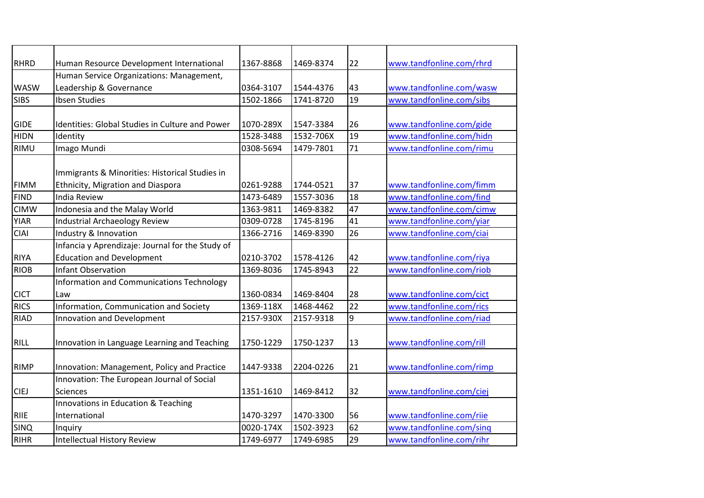| <b>RHRD</b> |                                                                                            | 1367-8868 | 1469-8374 |                 |                          |
|-------------|--------------------------------------------------------------------------------------------|-----------|-----------|-----------------|--------------------------|
|             | Human Resource Development International<br>Human Service Organizations: Management,       |           |           | 22              | www.tandfonline.com/rhrd |
| <b>WASW</b> | Leadership & Governance                                                                    | 0364-3107 | 1544-4376 | 43              | www.tandfonline.com/wasw |
| <b>SIBS</b> | Ibsen Studies                                                                              | 1502-1866 |           | 19              |                          |
|             |                                                                                            |           | 1741-8720 |                 | www.tandfonline.com/sibs |
| <b>GIDE</b> | <b>Identities: Global Studies in Culture and Power</b>                                     | 1070-289X | 1547-3384 | 26              | www.tandfonline.com/gide |
| <b>HIDN</b> | Identity                                                                                   | 1528-3488 | 1532-706X | 19              | www.tandfonline.com/hidn |
| <b>RIMU</b> | Imago Mundi                                                                                | 0308-5694 | 1479-7801 | 71              | www.tandfonline.com/rimu |
| <b>FIMM</b> | Immigrants & Minorities: Historical Studies in<br><b>Ethnicity, Migration and Diaspora</b> | 0261-9288 | 1744-0521 | 37              | www.tandfonline.com/fimm |
| <b>FIND</b> | <b>India Review</b>                                                                        | 1473-6489 | 1557-3036 | 18              | www.tandfonline.com/find |
| <b>CIMW</b> | Indonesia and the Malay World                                                              | 1363-9811 | 1469-8382 | 47              | www.tandfonline.com/cimw |
| <b>YIAR</b> | <b>Industrial Archaeology Review</b>                                                       | 0309-0728 | 1745-8196 | 41              | www.tandfonline.com/yiar |
| <b>CIAI</b> | Industry & Innovation                                                                      | 1366-2716 | 1469-8390 | 26              | www.tandfonline.com/ciai |
|             | Infancia y Aprendizaje: Journal for the Study of                                           |           |           |                 |                          |
| <b>RIYA</b> | <b>Education and Development</b>                                                           | 0210-3702 | 1578-4126 | 42              | www.tandfonline.com/riya |
| <b>RIOB</b> | <b>Infant Observation</b>                                                                  | 1369-8036 | 1745-8943 | $\overline{22}$ | www.tandfonline.com/riob |
| <b>CICT</b> | Information and Communications Technology<br>Law                                           | 1360-0834 | 1469-8404 | 28              | www.tandfonline.com/cict |
| <b>RICS</b> | Information, Communication and Society                                                     | 1369-118X | 1468-4462 | $\overline{22}$ | www.tandfonline.com/rics |
| <b>RIAD</b> | <b>Innovation and Development</b>                                                          | 2157-930X | 2157-9318 | 9               | www.tandfonline.com/riad |
| <b>RILL</b> | Innovation in Language Learning and Teaching                                               | 1750-1229 | 1750-1237 | 13              | www.tandfonline.com/rill |
| <b>RIMP</b> | Innovation: Management, Policy and Practice                                                | 1447-9338 | 2204-0226 | 21              | www.tandfonline.com/rimp |
|             | Innovation: The European Journal of Social                                                 |           |           |                 |                          |
| <b>CIEJ</b> | <b>Sciences</b>                                                                            | 1351-1610 | 1469-8412 | 32              | www.tandfonline.com/ciej |
| <b>RIIE</b> | Innovations in Education & Teaching<br>International                                       | 1470-3297 | 1470-3300 | 56              | www.tandfonline.com/riie |
| SINQ        | Inquiry                                                                                    | 0020-174X | 1502-3923 | 62              | www.tandfonline.com/sing |
| <b>RIHR</b> | <b>Intellectual History Review</b>                                                         | 1749-6977 | 1749-6985 | 29              | www.tandfonline.com/rihr |
|             |                                                                                            |           |           |                 |                          |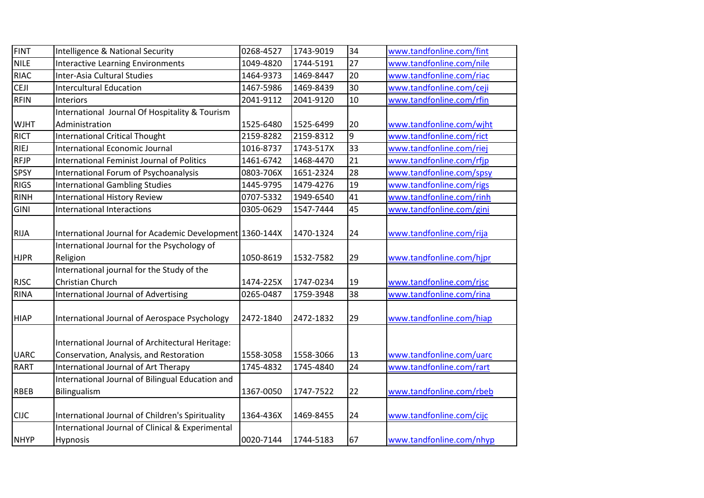| <b>FINT</b> | Intelligence & National Security                         | 0268-4527 | 1743-9019 | 34 | www.tandfonline.com/fint |
|-------------|----------------------------------------------------------|-----------|-----------|----|--------------------------|
| <b>NILE</b> | <b>Interactive Learning Environments</b>                 | 1049-4820 | 1744-5191 | 27 | www.tandfonline.com/nile |
| <b>RIAC</b> | Inter-Asia Cultural Studies                              | 1464-9373 | 1469-8447 | 20 | www.tandfonline.com/riac |
| <b>CEJI</b> | <b>Intercultural Education</b>                           | 1467-5986 | 1469-8439 | 30 | www.tandfonline.com/ceji |
| <b>RFIN</b> | Interiors                                                | 2041-9112 | 2041-9120 | 10 | www.tandfonline.com/rfin |
|             | International Journal Of Hospitality & Tourism           |           |           |    |                          |
| <b>WJHT</b> | Administration                                           | 1525-6480 | 1525-6499 | 20 | www.tandfonline.com/wjht |
| <b>RICT</b> | <b>International Critical Thought</b>                    | 2159-8282 | 2159-8312 | 9  | www.tandfonline.com/rict |
| <b>RIEJ</b> | <b>International Economic Journal</b>                    | 1016-8737 | 1743-517X | 33 | www.tandfonline.com/riej |
| <b>RFJP</b> | <b>International Feminist Journal of Politics</b>        | 1461-6742 | 1468-4470 | 21 | www.tandfonline.com/rfjp |
| <b>SPSY</b> | International Forum of Psychoanalysis                    | 0803-706X | 1651-2324 | 28 | www.tandfonline.com/spsy |
| <b>RIGS</b> | <b>International Gambling Studies</b>                    | 1445-9795 | 1479-4276 | 19 | www.tandfonline.com/rigs |
| <b>RINH</b> | <b>International History Review</b>                      | 0707-5332 | 1949-6540 | 41 | www.tandfonline.com/rinh |
| <b>GINI</b> | <b>International Interactions</b>                        | 0305-0629 | 1547-7444 | 45 | www.tandfonline.com/gini |
|             |                                                          |           |           |    |                          |
| <b>RIJA</b> | International Journal for Academic Development 1360-144X |           | 1470-1324 | 24 | www.tandfonline.com/rija |
|             | International Journal for the Psychology of              |           |           |    |                          |
| <b>HJPR</b> | Religion                                                 | 1050-8619 | 1532-7582 | 29 | www.tandfonline.com/hjpr |
|             | International journal for the Study of the               |           |           |    |                          |
| <b>RJSC</b> | Christian Church                                         | 1474-225X | 1747-0234 | 19 | www.tandfonline.com/rjsc |
| <b>RINA</b> | <b>International Journal of Advertising</b>              | 0265-0487 | 1759-3948 | 38 | www.tandfonline.com/rina |
| <b>HIAP</b> | International Journal of Aerospace Psychology            | 2472-1840 | 2472-1832 | 29 | www.tandfonline.com/hiap |
|             | International Journal of Architectural Heritage:         |           |           |    |                          |
| <b>UARC</b> | Conservation, Analysis, and Restoration                  | 1558-3058 | 1558-3066 | 13 | www.tandfonline.com/uarc |
| <b>RART</b> | International Journal of Art Therapy                     | 1745-4832 | 1745-4840 | 24 | www.tandfonline.com/rart |
|             | International Journal of Bilingual Education and         |           |           |    |                          |
| <b>RBEB</b> | Bilingualism                                             | 1367-0050 | 1747-7522 | 22 | www.tandfonline.com/rbeb |
|             |                                                          |           |           |    |                          |
| <b>CIJC</b> | International Journal of Children's Spirituality         | 1364-436X | 1469-8455 | 24 | www.tandfonline.com/cijc |
|             | International Journal of Clinical & Experimental         |           |           |    |                          |
| <b>NHYP</b> | <b>Hypnosis</b>                                          | 0020-7144 | 1744-5183 | 67 | www.tandfonline.com/nhyp |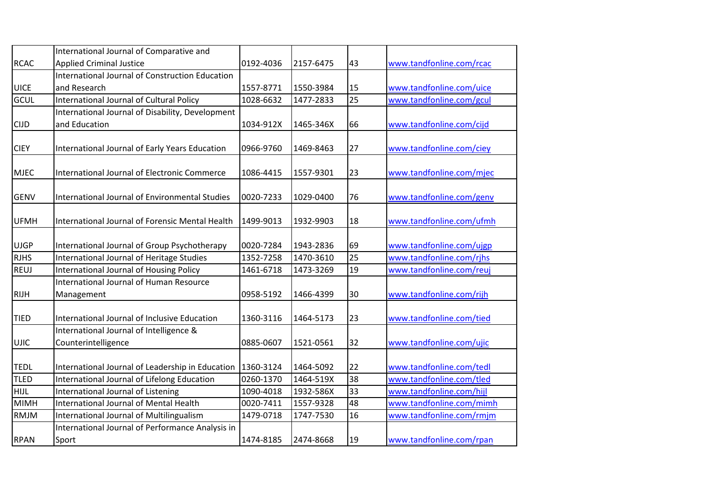|             | International Journal of Comparative and               |           |           |    |                          |
|-------------|--------------------------------------------------------|-----------|-----------|----|--------------------------|
| <b>RCAC</b> | <b>Applied Criminal Justice</b>                        | 0192-4036 | 2157-6475 | 43 | www.tandfonline.com/rcac |
|             | <b>International Journal of Construction Education</b> |           |           |    |                          |
| <b>UICE</b> | and Research                                           | 1557-8771 | 1550-3984 | 15 | www.tandfonline.com/uice |
| GCUL        | <b>International Journal of Cultural Policy</b>        | 1028-6632 | 1477-2833 | 25 | www.tandfonline.com/gcul |
|             | International Journal of Disability, Development       |           |           |    |                          |
| <b>CIJD</b> | and Education                                          | 1034-912X | 1465-346X | 66 | www.tandfonline.com/cijd |
|             |                                                        |           |           |    |                          |
| <b>CIEY</b> | International Journal of Early Years Education         | 0966-9760 | 1469-8463 | 27 | www.tandfonline.com/ciey |
|             |                                                        |           |           |    |                          |
| <b>MJEC</b> | <b>International Journal of Electronic Commerce</b>    | 1086-4415 | 1557-9301 | 23 | www.tandfonline.com/mjec |
|             |                                                        |           |           |    |                          |
| <b>GENV</b> | International Journal of Environmental Studies         | 0020-7233 | 1029-0400 | 76 | www.tandfonline.com/genv |
|             |                                                        |           |           |    |                          |
| <b>UFMH</b> | <b>International Journal of Forensic Mental Health</b> | 1499-9013 | 1932-9903 | 18 | www.tandfonline.com/ufmh |
|             |                                                        |           |           |    |                          |
| <b>UJGP</b> | International Journal of Group Psychotherapy           | 0020-7284 | 1943-2836 | 69 | www.tandfonline.com/ujgp |
| <b>RJHS</b> | International Journal of Heritage Studies              | 1352-7258 | 1470-3610 | 25 | www.tandfonline.com/rihs |
| REUJ        | <b>International Journal of Housing Policy</b>         | 1461-6718 | 1473-3269 | 19 | www.tandfonline.com/reuj |
|             | International Journal of Human Resource                |           |           |    |                          |
| <b>RIJH</b> | Management                                             | 0958-5192 | 1466-4399 | 30 | www.tandfonline.com/rijh |
|             |                                                        |           |           |    |                          |
| <b>TIED</b> | International Journal of Inclusive Education           | 1360-3116 | 1464-5173 | 23 | www.tandfonline.com/tied |
|             | International Journal of Intelligence &                |           |           |    |                          |
| <b>UJIC</b> | Counterintelligence                                    | 0885-0607 | 1521-0561 | 32 | www.tandfonline.com/ujic |
|             |                                                        |           |           |    |                          |
| <b>TEDL</b> | International Journal of Leadership in Education       | 1360-3124 | 1464-5092 | 22 | www.tandfonline.com/tedl |
| TLED        | International Journal of Lifelong Education            | 0260-1370 | 1464-519X | 38 | www.tandfonline.com/tled |
| HIJL        | International Journal of Listening                     | 1090-4018 | 1932-586X | 33 | www.tandfonline.com/hijl |
| <b>MIMH</b> | <b>International Journal of Mental Health</b>          | 0020-7411 | 1557-9328 | 48 | www.tandfonline.com/mimh |
| <b>RMJM</b> | <b>International Journal of Multilingualism</b>        | 1479-0718 | 1747-7530 | 16 | www.tandfonline.com/rmjm |
|             | International Journal of Performance Analysis in       |           |           |    |                          |
| <b>RPAN</b> | Sport                                                  | 1474-8185 | 2474-8668 | 19 | www.tandfonline.com/rpan |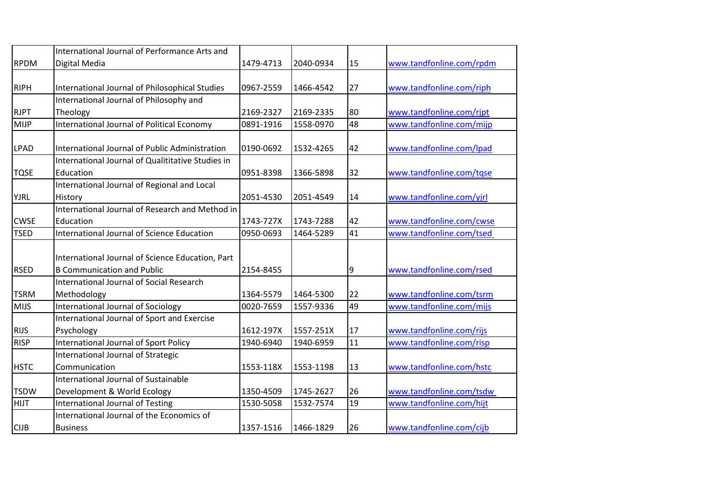|             | International Journal of Performance Arts and                                         |           |           |    |                          |
|-------------|---------------------------------------------------------------------------------------|-----------|-----------|----|--------------------------|
| <b>RPDM</b> | Digital Media                                                                         | 1479-4713 | 2040-0934 | 15 | www.tandfonline.com/rpdm |
| <b>RIPH</b> | International Journal of Philosophical Studies                                        | 0967-2559 | 1466-4542 | 27 | www.tandfonline.com/riph |
|             | International Journal of Philosophy and                                               |           |           |    |                          |
| <b>RJPT</b> | Theology                                                                              | 2169-2327 | 2169-2335 | 80 | www.tandfonline.com/rjpt |
| <b>MIJP</b> | International Journal of Political Economy                                            | 0891-1916 | 1558-0970 | 48 | www.tandfonline.com/mijp |
| <b>LPAD</b> | International Journal of Public Administration                                        | 0190-0692 | 1532-4265 | 42 | www.tandfonline.com/lpad |
|             | International Journal of Qualititative Studies in                                     |           |           |    |                          |
| <b>TQSE</b> | Education                                                                             | 0951-8398 | 1366-5898 | 32 | www.tandfonline.com/tqse |
| <b>YJRL</b> | International Journal of Regional and Local<br>History                                | 2051-4530 | 2051-4549 | 14 | www.tandfonline.com/yjrl |
|             | International Journal of Research and Method in                                       |           |           |    |                          |
| <b>CWSE</b> | Education                                                                             | 1743-727X | 1743-7288 | 42 | www.tandfonline.com/cwse |
| <b>TSED</b> | International Journal of Science Education                                            | 0950-0693 | 1464-5289 | 41 | www.tandfonline.com/tsed |
| <b>RSED</b> | International Journal of Science Education, Part<br><b>B Communication and Public</b> | 2154-8455 |           | 9  | www.tandfonline.com/rsed |
|             | <b>International Journal of Social Research</b>                                       |           |           |    |                          |
| <b>TSRM</b> | Methodology                                                                           | 1364-5579 | 1464-5300 | 22 | www.tandfonline.com/tsrm |
| <b>MIJS</b> | <b>International Journal of Sociology</b>                                             | 0020-7659 | 1557-9336 | 49 | www.tandfonline.com/mijs |
| <b>RIJS</b> | International Journal of Sport and Exercise<br>Psychology                             | 1612-197X | 1557-251X | 17 | www.tandfonline.com/rijs |
| <b>RISP</b> | <b>International Journal of Sport Policy</b>                                          | 1940-6940 | 1940-6959 | 11 | www.tandfonline.com/risp |
|             | International Journal of Strategic                                                    |           |           |    |                          |
| <b>HSTC</b> | Communication                                                                         | 1553-118X | 1553-1198 | 13 | www.tandfonline.com/hstc |
|             | <b>International Journal of Sustainable</b>                                           |           |           |    |                          |
| <b>TSDW</b> | Development & World Ecology                                                           | 1350-4509 | 1745-2627 | 26 | www.tandfonline.com/tsdw |
| <b>HIJT</b> | <b>International Journal of Testing</b>                                               | 1530-5058 | 1532-7574 | 19 | www.tandfonline.com/hijt |
|             | International Journal of the Economics of                                             |           |           |    |                          |
| <b>CIJB</b> | <b>Business</b>                                                                       | 1357-1516 | 1466-1829 | 26 | www.tandfonline.com/cijb |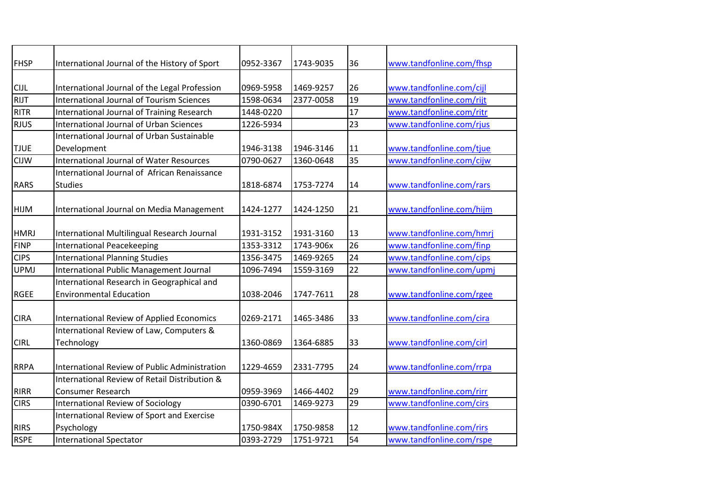| <b>FHSP</b> | International Journal of the History of Sport        | 0952-3367 | 1743-9035 | 36              | www.tandfonline.com/fhsp |
|-------------|------------------------------------------------------|-----------|-----------|-----------------|--------------------------|
|             |                                                      |           |           |                 |                          |
| <b>CIJL</b> | International Journal of the Legal Profession        | 0969-5958 | 1469-9257 | 26              | www.tandfonline.com/cijl |
| <b>RIJT</b> | <b>International Journal of Tourism Sciences</b>     | 1598-0634 | 2377-0058 | 19              | www.tandfonline.com/rijt |
| <b>RITR</b> | International Journal of Training Research           | 1448-0220 |           | 17              | www.tandfonline.com/ritr |
| <b>RJUS</b> | <b>International Journal of Urban Sciences</b>       | 1226-5934 |           | 23              | www.tandfonline.com/rjus |
|             | <b>International Journal of Urban Sustainable</b>    |           |           |                 |                          |
| <b>TJUE</b> | Development                                          | 1946-3138 | 1946-3146 | 11              | www.tandfonline.com/tjue |
| <b>CIJW</b> | <b>International Journal of Water Resources</b>      | 0790-0627 | 1360-0648 | 35              | www.tandfonline.com/cijw |
|             | International Journal of African Renaissance         |           |           |                 |                          |
| <b>RARS</b> | <b>Studies</b>                                       | 1818-6874 | 1753-7274 | 14              | www.tandfonline.com/rars |
|             |                                                      |           |           |                 |                          |
| <b>HIJM</b> | International Journal on Media Management            | 1424-1277 | 1424-1250 | 21              | www.tandfonline.com/hijm |
|             |                                                      |           |           |                 |                          |
| <b>HMRJ</b> | International Multilingual Research Journal          | 1931-3152 | 1931-3160 | 13              | www.tandfonline.com/hmrj |
| <b>FINP</b> | <b>International Peacekeeping</b>                    | 1353-3312 | 1743-906x | $\overline{26}$ | www.tandfonline.com/finp |
| <b>CIPS</b> | <b>International Planning Studies</b>                | 1356-3475 | 1469-9265 | 24              | www.tandfonline.com/cips |
| <b>UPMJ</b> | International Public Management Journal              | 1096-7494 | 1559-3169 | $\overline{22}$ | www.tandfonline.com/upmj |
|             | International Research in Geographical and           |           |           |                 |                          |
| <b>RGEE</b> | <b>Environmental Education</b>                       | 1038-2046 | 1747-7611 | 28              | www.tandfonline.com/rgee |
|             |                                                      |           |           |                 |                          |
| <b>CIRA</b> | <b>International Review of Applied Economics</b>     | 0269-2171 | 1465-3486 | 33              | www.tandfonline.com/cira |
|             | International Review of Law, Computers &             |           |           |                 |                          |
| <b>CIRL</b> | Technology                                           | 1360-0869 | 1364-6885 | 33              | www.tandfonline.com/cirl |
|             |                                                      |           |           |                 |                          |
| <b>RRPA</b> | <b>International Review of Public Administration</b> | 1229-4659 | 2331-7795 | 24              | www.tandfonline.com/rrpa |
|             | International Review of Retail Distribution &        |           |           |                 |                          |
| <b>RIRR</b> | <b>Consumer Research</b>                             | 0959-3969 | 1466-4402 | 29              | www.tandfonline.com/rirr |
| <b>CIRS</b> | <b>International Review of Sociology</b>             | 0390-6701 | 1469-9273 | 29              | www.tandfonline.com/cirs |
|             | International Review of Sport and Exercise           |           |           |                 |                          |
| <b>RIRS</b> | Psychology                                           | 1750-984X | 1750-9858 | 12              | www.tandfonline.com/rirs |
| <b>RSPE</b> | <b>International Spectator</b>                       | 0393-2729 | 1751-9721 | 54              | www.tandfonline.com/rspe |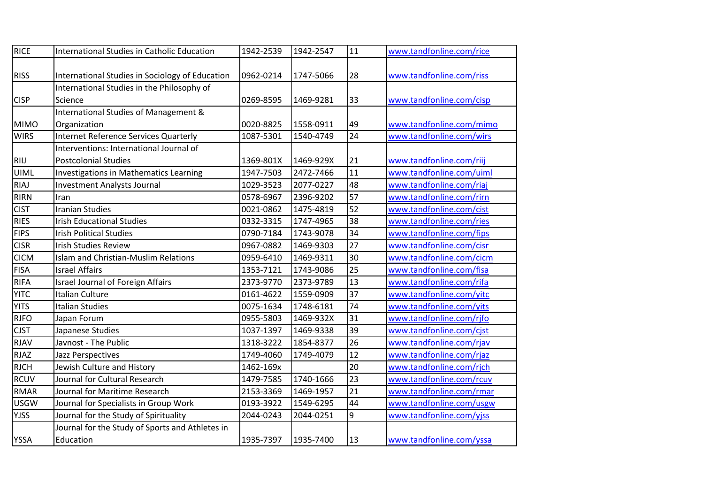| <b>RICE</b> | International Studies in Catholic Education     | 1942-2539 | 1942-2547 | 11              | www.tandfonline.com/rice |
|-------------|-------------------------------------------------|-----------|-----------|-----------------|--------------------------|
|             |                                                 |           |           |                 |                          |
| <b>RISS</b> | International Studies in Sociology of Education | 0962-0214 | 1747-5066 | 28              | www.tandfonline.com/riss |
|             | International Studies in the Philosophy of      |           |           |                 |                          |
| <b>CISP</b> | Science                                         | 0269-8595 | 1469-9281 | 33              | www.tandfonline.com/cisp |
|             | International Studies of Management &           |           |           |                 |                          |
| <b>MIMO</b> | Organization                                    | 0020-8825 | 1558-0911 | 49              | www.tandfonline.com/mimo |
| <b>WIRS</b> | <b>Internet Reference Services Quarterly</b>    | 1087-5301 | 1540-4749 | 24              | www.tandfonline.com/wirs |
|             | Interventions: International Journal of         |           |           |                 |                          |
| <b>RIIJ</b> | <b>Postcolonial Studies</b>                     | 1369-801X | 1469-929X | 21              | www.tandfonline.com/riij |
| <b>UIML</b> | <b>Investigations in Mathematics Learning</b>   | 1947-7503 | 2472-7466 | $\overline{11}$ | www.tandfonline.com/uiml |
| <b>RIAJ</b> | <b>Investment Analysts Journal</b>              | 1029-3523 | 2077-0227 | 48              | www.tandfonline.com/riaj |
| <b>RIRN</b> | Iran                                            | 0578-6967 | 2396-9202 | 57              | www.tandfonline.com/rirn |
| <b>CIST</b> | <b>Iranian Studies</b>                          | 0021-0862 | 1475-4819 | $\overline{52}$ | www.tandfonline.com/cist |
| <b>RIES</b> | <b>Irish Educational Studies</b>                | 0332-3315 | 1747-4965 | 38              | www.tandfonline.com/ries |
| <b>FIPS</b> | <b>Irish Political Studies</b>                  | 0790-7184 | 1743-9078 | 34              | www.tandfonline.com/fips |
| <b>CISR</b> | <b>Irish Studies Review</b>                     | 0967-0882 | 1469-9303 | 27              | www.tandfonline.com/cisr |
| <b>CICM</b> | Islam and Christian-Muslim Relations            | 0959-6410 | 1469-9311 | 30              | www.tandfonline.com/cicm |
| <b>FISA</b> | <b>Israel Affairs</b>                           | 1353-7121 | 1743-9086 | $\overline{25}$ | www.tandfonline.com/fisa |
| <b>RIFA</b> | <b>Israel Journal of Foreign Affairs</b>        | 2373-9770 | 2373-9789 | 13              | www.tandfonline.com/rifa |
| <b>YITC</b> | <b>Italian Culture</b>                          | 0161-4622 | 1559-0909 | $\overline{37}$ | www.tandfonline.com/yitc |
| <b>YITS</b> | <b>Italian Studies</b>                          | 0075-1634 | 1748-6181 | $\overline{74}$ | www.tandfonline.com/yits |
| <b>RJFO</b> | Japan Forum                                     | 0955-5803 | 1469-932X | 31              | www.tandfonline.com/rjfo |
| <b>CJST</b> | Japanese Studies                                | 1037-1397 | 1469-9338 | 39              | www.tandfonline.com/cjst |
| <b>RJAV</b> | Javnost - The Public                            | 1318-3222 | 1854-8377 | $\overline{26}$ | www.tandfonline.com/rjav |
| <b>RJAZ</b> | Jazz Perspectives                               | 1749-4060 | 1749-4079 | $\overline{12}$ | www.tandfonline.com/rjaz |
| <b>RJCH</b> | Jewish Culture and History                      | 1462-169x |           | $\overline{20}$ | www.tandfonline.com/rjch |
| <b>RCUV</b> | Journal for Cultural Research                   | 1479-7585 | 1740-1666 | 23              | www.tandfonline.com/rcuv |
| <b>RMAR</b> | Journal for Maritime Research                   | 2153-3369 | 1469-1957 | 21              | www.tandfonline.com/rmar |
| <b>USGW</b> | Journal for Specialists in Group Work           | 0193-3922 | 1549-6295 | 44              | www.tandfonline.com/usgw |
| <b>YJSS</b> | Journal for the Study of Spirituality           | 2044-0243 | 2044-0251 | 9               | www.tandfonline.com/yjss |
|             | Journal for the Study of Sports and Athletes in |           |           |                 |                          |
| <b>YSSA</b> | Education                                       | 1935-7397 | 1935-7400 | 13              | www.tandfonline.com/yssa |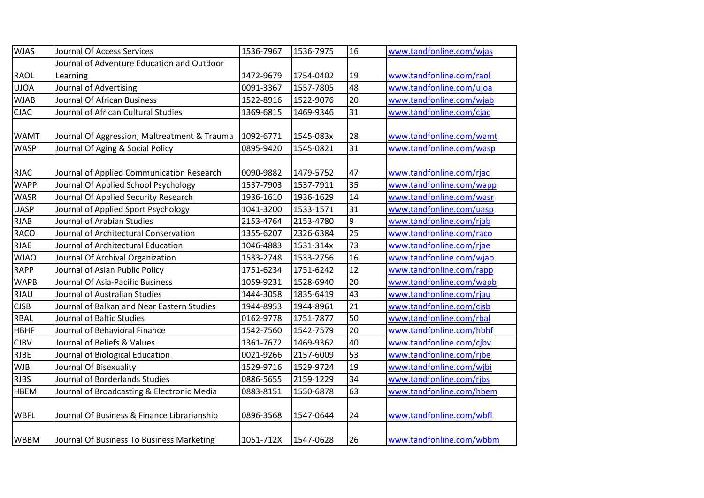| <b>WJAS</b> | Journal Of Access Services                   | 1536-7967 | 1536-7975 | 16              | www.tandfonline.com/wjas |
|-------------|----------------------------------------------|-----------|-----------|-----------------|--------------------------|
|             | Journal of Adventure Education and Outdoor   |           |           |                 |                          |
| <b>RAOL</b> | Learning                                     | 1472-9679 | 1754-0402 | 19              | www.tandfonline.com/raol |
| <b>UJOA</b> | Journal of Advertising                       | 0091-3367 | 1557-7805 | 48              | www.tandfonline.com/ujoa |
| <b>WJAB</b> | Journal Of African Business                  | 1522-8916 | 1522-9076 | 20              | www.tandfonline.com/wjab |
| <b>CJAC</b> | Journal of African Cultural Studies          | 1369-6815 | 1469-9346 | 31              | www.tandfonline.com/cjac |
| <b>WAMT</b> | Journal Of Aggression, Maltreatment & Trauma | 1092-6771 | 1545-083x | 28              | www.tandfonline.com/wamt |
| <b>WASP</b> | Journal Of Aging & Social Policy             | 0895-9420 | 1545-0821 | 31              | www.tandfonline.com/wasp |
| <b>RJAC</b> | Journal of Applied Communication Research    | 0090-9882 | 1479-5752 | 47              | www.tandfonline.com/rjac |
| <b>WAPP</b> | Journal Of Applied School Psychology         | 1537-7903 | 1537-7911 | 35              | www.tandfonline.com/wapp |
| <b>WASR</b> | Journal Of Applied Security Research         | 1936-1610 | 1936-1629 | 14              | www.tandfonline.com/wasr |
| <b>UASP</b> | Journal of Applied Sport Psychology          | 1041-3200 | 1533-1571 | 31              | www.tandfonline.com/uasp |
| <b>RJAB</b> | Journal of Arabian Studies                   | 2153-4764 | 2153-4780 | 9               | www.tandfonline.com/rjab |
| <b>RACO</b> | Journal of Architectural Conservation        | 1355-6207 | 2326-6384 | 25              | www.tandfonline.com/raco |
| <b>RJAE</b> | Journal of Architectural Education           | 1046-4883 | 1531-314x | 73              | www.tandfonline.com/rjae |
| <b>WJAO</b> | Journal Of Archival Organization             | 1533-2748 | 1533-2756 | 16              | www.tandfonline.com/wjao |
| <b>RAPP</b> | Journal of Asian Public Policy               | 1751-6234 | 1751-6242 | 12              | www.tandfonline.com/rapp |
| <b>WAPB</b> | Journal Of Asia-Pacific Business             | 1059-9231 | 1528-6940 | 20              | www.tandfonline.com/wapb |
| <b>RJAU</b> | Journal of Australian Studies                | 1444-3058 | 1835-6419 | 43              | www.tandfonline.com/rjau |
| <b>CJSB</b> | Journal of Balkan and Near Eastern Studies   | 1944-8953 | 1944-8961 | $\overline{21}$ | www.tandfonline.com/cjsb |
| <b>RBAL</b> | Journal of Baltic Studies                    | 0162-9778 | 1751-7877 | 50              | www.tandfonline.com/rbal |
| <b>HBHF</b> | Journal of Behavioral Finance                | 1542-7560 | 1542-7579 | 20              | www.tandfonline.com/hbhf |
| <b>CJBV</b> | Journal of Beliefs & Values                  | 1361-7672 | 1469-9362 | 40              | www.tandfonline.com/cjbv |
| <b>RJBE</b> | Journal of Biological Education              | 0021-9266 | 2157-6009 | 53              | www.tandfonline.com/rjbe |
| <b>WJBI</b> | Journal Of Bisexuality                       | 1529-9716 | 1529-9724 | 19              | www.tandfonline.com/wjbi |
| <b>RJBS</b> | Journal of Borderlands Studies               | 0886-5655 | 2159-1229 | 34              | www.tandfonline.com/rjbs |
| <b>HBEM</b> | Journal of Broadcasting & Electronic Media   | 0883-8151 | 1550-6878 | 63              | www.tandfonline.com/hbem |
| <b>WBFL</b> | Journal Of Business & Finance Librarianship  | 0896-3568 | 1547-0644 | 24              | www.tandfonline.com/wbfl |
| <b>WBBM</b> | Journal Of Business To Business Marketing    | 1051-712X | 1547-0628 | 26              | www.tandfonline.com/wbbm |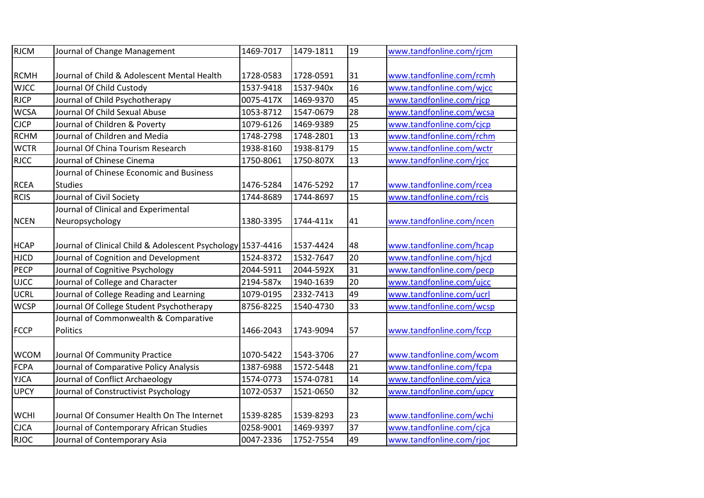| <b>RJCM</b> | Journal of Change Management                                | 1469-7017 | 1479-1811 | 19              | www.tandfonline.com/rjcm |
|-------------|-------------------------------------------------------------|-----------|-----------|-----------------|--------------------------|
|             |                                                             |           |           |                 |                          |
| <b>RCMH</b> | Journal of Child & Adolescent Mental Health                 | 1728-0583 | 1728-0591 | 31              | www.tandfonline.com/rcmh |
| <b>WJCC</b> | Journal Of Child Custody                                    | 1537-9418 | 1537-940x | 16              | www.tandfonline.com/wjcc |
| <b>RJCP</b> | Journal of Child Psychotherapy                              | 0075-417X | 1469-9370 | 45              | www.tandfonline.com/rjcp |
| <b>WCSA</b> | Journal Of Child Sexual Abuse                               | 1053-8712 | 1547-0679 | 28              | www.tandfonline.com/wcsa |
| <b>CJCP</b> | Journal of Children & Poverty                               | 1079-6126 | 1469-9389 | $\overline{25}$ | www.tandfonline.com/cjcp |
| <b>RCHM</b> | Journal of Children and Media                               | 1748-2798 | 1748-2801 | 13              | www.tandfonline.com/rchm |
| <b>WCTR</b> | Journal Of China Tourism Research                           | 1938-8160 | 1938-8179 | 15              | www.tandfonline.com/wctr |
| <b>RJCC</b> | Journal of Chinese Cinema                                   | 1750-8061 | 1750-807X | $\overline{13}$ | www.tandfonline.com/rjcc |
|             | Journal of Chinese Economic and Business                    |           |           |                 |                          |
| <b>RCEA</b> | <b>Studies</b>                                              | 1476-5284 | 1476-5292 | 17              | www.tandfonline.com/rcea |
| <b>RCIS</b> | Journal of Civil Society                                    | 1744-8689 | 1744-8697 | 15              | www.tandfonline.com/rcis |
|             | Journal of Clinical and Experimental                        |           |           |                 |                          |
| <b>NCEN</b> | Neuropsychology                                             | 1380-3395 | 1744-411x | 41              | www.tandfonline.com/ncen |
|             |                                                             |           |           |                 |                          |
| <b>HCAP</b> | Journal of Clinical Child & Adolescent Psychology 1537-4416 |           | 1537-4424 | 48              | www.tandfonline.com/hcap |
| <b>HJCD</b> | Journal of Cognition and Development                        | 1524-8372 | 1532-7647 | 20              | www.tandfonline.com/hjcd |
| PECP        | Journal of Cognitive Psychology                             | 2044-5911 | 2044-592X | 31              | www.tandfonline.com/pecp |
| <b>UJCC</b> | Journal of College and Character                            | 2194-587x | 1940-1639 | 20              | www.tandfonline.com/ujcc |
| <b>UCRL</b> | Journal of College Reading and Learning                     | 1079-0195 | 2332-7413 | 49              | www.tandfonline.com/ucrl |
| <b>WCSP</b> | Journal Of College Student Psychotherapy                    | 8756-8225 | 1540-4730 | 33              | www.tandfonline.com/wcsp |
|             | Journal of Commonwealth & Comparative                       |           |           |                 |                          |
| <b>FCCP</b> | <b>Politics</b>                                             | 1466-2043 | 1743-9094 | 57              | www.tandfonline.com/fccp |
|             |                                                             |           |           |                 |                          |
| <b>WCOM</b> | Journal Of Community Practice                               | 1070-5422 | 1543-3706 | 27              | www.tandfonline.com/wcom |
| <b>FCPA</b> | Journal of Comparative Policy Analysis                      | 1387-6988 | 1572-5448 | 21              | www.tandfonline.com/fcpa |
| <b>YJCA</b> | Journal of Conflict Archaeology                             | 1574-0773 | 1574-0781 | 14              | www.tandfonline.com/yjca |
| <b>UPCY</b> | Journal of Constructivist Psychology                        | 1072-0537 | 1521-0650 | 32              | www.tandfonline.com/upcy |
|             |                                                             |           |           |                 |                          |
| <b>WCHI</b> | Journal Of Consumer Health On The Internet                  | 1539-8285 | 1539-8293 | 23              | www.tandfonline.com/wchi |
| <b>CJCA</b> | Journal of Contemporary African Studies                     | 0258-9001 | 1469-9397 | $\overline{37}$ | www.tandfonline.com/cjca |
| <b>RJOC</b> | Journal of Contemporary Asia                                | 0047-2336 | 1752-7554 | 49              | www.tandfonline.com/rjoc |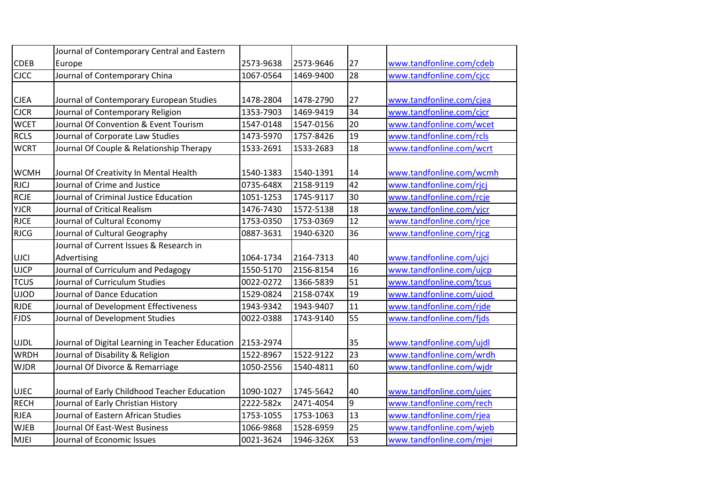|             | Journal of Contemporary Central and Eastern      |           |           |                 |                          |
|-------------|--------------------------------------------------|-----------|-----------|-----------------|--------------------------|
| <b>CDEB</b> | Europe                                           | 2573-9638 | 2573-9646 | 27              | www.tandfonline.com/cdeb |
| CJCC        | Journal of Contemporary China                    | 1067-0564 | 1469-9400 | 28              | www.tandfonline.com/cjcc |
|             |                                                  |           |           |                 |                          |
| <b>CJEA</b> | Journal of Contemporary European Studies         | 1478-2804 | 1478-2790 | 27              | www.tandfonline.com/cjea |
| <b>CJCR</b> | Journal of Contemporary Religion                 | 1353-7903 | 1469-9419 | $\overline{34}$ | www.tandfonline.com/cjcr |
| <b>WCET</b> | Journal Of Convention & Event Tourism            | 1547-0148 | 1547-0156 | 20              | www.tandfonline.com/wcet |
| <b>RCLS</b> | Journal of Corporate Law Studies                 | 1473-5970 | 1757-8426 | 19              | www.tandfonline.com/rcls |
| <b>WCRT</b> | Journal Of Couple & Relationship Therapy         | 1533-2691 | 1533-2683 | 18              | www.tandfonline.com/wcrt |
|             |                                                  |           |           |                 |                          |
| <b>WCMH</b> | Journal Of Creativity In Mental Health           | 1540-1383 | 1540-1391 | 14              | www.tandfonline.com/wcmh |
| <b>RJCJ</b> | Journal of Crime and Justice                     | 0735-648X | 2158-9119 | 42              | www.tandfonline.com/rjcj |
| <b>RCJE</b> | Journal of Criminal Justice Education            | 1051-1253 | 1745-9117 | 30              | www.tandfonline.com/rcje |
| <b>YJCR</b> | Journal of Critical Realism                      | 1476-7430 | 1572-5138 | 18              | www.tandfonline.com/yjcr |
| <b>RJCE</b> | Journal of Cultural Economy                      | 1753-0350 | 1753-0369 | 12              | www.tandfonline.com/rjce |
| <b>RJCG</b> | Journal of Cultural Geography                    | 0887-3631 | 1940-6320 | 36              | www.tandfonline.com/rjcg |
|             | Journal of Current Issues & Research in          |           |           |                 |                          |
| <b>UJCI</b> | Advertising                                      | 1064-1734 | 2164-7313 | 40              | www.tandfonline.com/ujci |
| <b>UJCP</b> | Journal of Curriculum and Pedagogy               | 1550-5170 | 2156-8154 | 16              | www.tandfonline.com/ujcp |
| <b>TCUS</b> | Journal of Curriculum Studies                    | 0022-0272 | 1366-5839 | 51              | www.tandfonline.com/tcus |
| <b>UJOD</b> | Journal of Dance Education                       | 1529-0824 | 2158-074X | 19              | www.tandfonline.com/ujod |
| <b>RJDE</b> | Journal of Development Effectiveness             | 1943-9342 | 1943-9407 | 11              | www.tandfonline.com/rjde |
| <b>FJDS</b> | Journal of Development Studies                   | 0022-0388 | 1743-9140 | 55              | www.tandfonline.com/fjds |
|             |                                                  |           |           |                 |                          |
| <b>UJDL</b> | Journal of Digital Learning in Teacher Education | 2153-2974 |           | 35              | www.tandfonline.com/ujdl |
| <b>WRDH</b> | Journal of Disability & Religion                 | 1522-8967 | 1522-9122 | $\overline{23}$ | www.tandfonline.com/wrdh |
| <b>WJDR</b> | Journal Of Divorce & Remarriage                  | 1050-2556 | 1540-4811 | 60              | www.tandfonline.com/wjdr |
|             |                                                  |           |           |                 |                          |
| <b>UJEC</b> | Journal of Early Childhood Teacher Education     | 1090-1027 | 1745-5642 | 40              | www.tandfonline.com/ujec |
| <b>RECH</b> | Journal of Early Christian History               | 2222-582x | 2471-4054 | 9               | www.tandfonline.com/rech |
| <b>RJEA</b> | Journal of Eastern African Studies               | 1753-1055 | 1753-1063 | 13              | www.tandfonline.com/rjea |
| <b>WJEB</b> | Journal Of East-West Business                    | 1066-9868 | 1528-6959 | 25              | www.tandfonline.com/wjeb |
| MJEI        | Journal of Economic Issues                       | 0021-3624 | 1946-326X | 53              | www.tandfonline.com/mjei |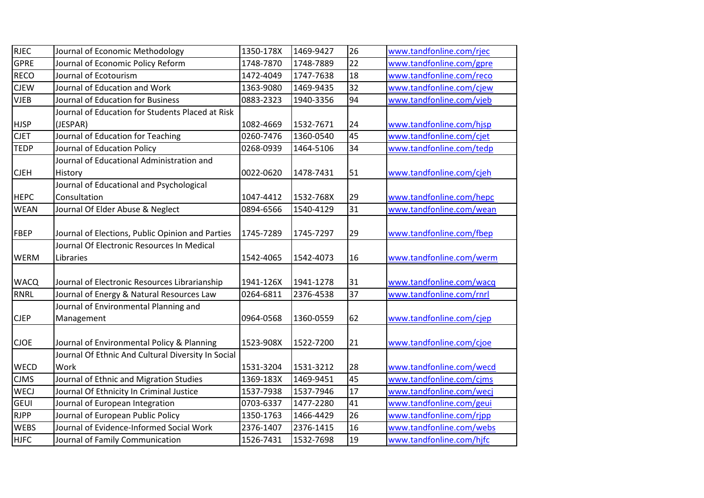| <b>RJEC</b> | Journal of Economic Methodology                    | 1350-178X | 1469-9427 | 26 | www.tandfonline.com/rjec |
|-------------|----------------------------------------------------|-----------|-----------|----|--------------------------|
| <b>GPRE</b> | Journal of Economic Policy Reform                  | 1748-7870 | 1748-7889 | 22 | www.tandfonline.com/gpre |
| <b>RECO</b> | Journal of Ecotourism                              | 1472-4049 | 1747-7638 | 18 | www.tandfonline.com/reco |
| <b>CJEW</b> | Journal of Education and Work                      | 1363-9080 | 1469-9435 | 32 | www.tandfonline.com/cjew |
| <b>VJEB</b> | Journal of Education for Business                  | 0883-2323 | 1940-3356 | 94 | www.tandfonline.com/vjeb |
|             | Journal of Education for Students Placed at Risk   |           |           |    |                          |
| <b>HJSP</b> | (JESPAR)                                           | 1082-4669 | 1532-7671 | 24 | www.tandfonline.com/hjsp |
| <b>CJET</b> | Journal of Education for Teaching                  | 0260-7476 | 1360-0540 | 45 | www.tandfonline.com/cjet |
| <b>TEDP</b> | Journal of Education Policy                        | 0268-0939 | 1464-5106 | 34 | www.tandfonline.com/tedp |
|             | Journal of Educational Administration and          |           |           |    |                          |
| <b>CJEH</b> | History                                            | 0022-0620 | 1478-7431 | 51 | www.tandfonline.com/cjeh |
|             | Journal of Educational and Psychological           |           |           |    |                          |
| <b>HEPC</b> | Consultation                                       | 1047-4412 | 1532-768X | 29 | www.tandfonline.com/hepc |
| <b>WEAN</b> | Journal Of Elder Abuse & Neglect                   | 0894-6566 | 1540-4129 | 31 | www.tandfonline.com/wean |
|             |                                                    |           |           |    |                          |
| <b>FBEP</b> | Journal of Elections, Public Opinion and Parties   | 1745-7289 | 1745-7297 | 29 | www.tandfonline.com/fbep |
|             | Journal Of Electronic Resources In Medical         |           |           |    |                          |
| <b>WERM</b> | Libraries                                          | 1542-4065 | 1542-4073 | 16 | www.tandfonline.com/werm |
|             |                                                    |           |           |    |                          |
| <b>WACQ</b> | Journal of Electronic Resources Librarianship      | 1941-126X | 1941-1278 | 31 | www.tandfonline.com/wacq |
| <b>RNRL</b> | Journal of Energy & Natural Resources Law          | 0264-6811 | 2376-4538 | 37 | www.tandfonline.com/rnrl |
|             | Journal of Environmental Planning and              |           |           |    |                          |
| <b>CJEP</b> | Management                                         | 0964-0568 | 1360-0559 | 62 | www.tandfonline.com/cjep |
|             |                                                    |           |           |    |                          |
| <b>CJOE</b> | Journal of Environmental Policy & Planning         | 1523-908X | 1522-7200 | 21 | www.tandfonline.com/cjoe |
|             | Journal Of Ethnic And Cultural Diversity In Social |           |           |    |                          |
| <b>WECD</b> | Work                                               | 1531-3204 | 1531-3212 | 28 | www.tandfonline.com/wecd |
| <b>CJMS</b> | Journal of Ethnic and Migration Studies            | 1369-183X | 1469-9451 | 45 | www.tandfonline.com/cjms |
| <b>WECJ</b> | Journal Of Ethnicity In Criminal Justice           | 1537-7938 | 1537-7946 | 17 | www.tandfonline.com/wecj |
| <b>GEUI</b> | Journal of European Integration                    | 0703-6337 | 1477-2280 | 41 | www.tandfonline.com/geui |
| <b>RJPP</b> | Journal of European Public Policy                  | 1350-1763 | 1466-4429 | 26 | www.tandfonline.com/rjpp |
| <b>WEBS</b> | Journal of Evidence-Informed Social Work           | 2376-1407 | 2376-1415 | 16 | www.tandfonline.com/webs |
| <b>HJFC</b> | Journal of Family Communication                    | 1526-7431 | 1532-7698 | 19 | www.tandfonline.com/hjfc |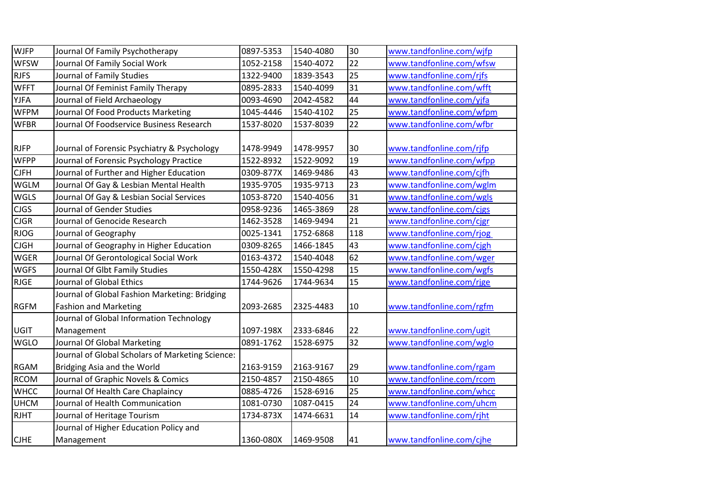| <b>WJFP</b> | Journal Of Family Psychotherapy                  | 0897-5353 | 1540-4080 | 30              | www.tandfonline.com/wjfp |
|-------------|--------------------------------------------------|-----------|-----------|-----------------|--------------------------|
| <b>WFSW</b> | Journal Of Family Social Work                    | 1052-2158 | 1540-4072 | 22              | www.tandfonline.com/wfsw |
| <b>RJFS</b> | Journal of Family Studies                        | 1322-9400 | 1839-3543 | 25              | www.tandfonline.com/rjfs |
| <b>WFFT</b> | Journal Of Feminist Family Therapy               | 0895-2833 | 1540-4099 | 31              | www.tandfonline.com/wfft |
| <b>YJFA</b> | Journal of Field Archaeology                     | 0093-4690 | 2042-4582 | 44              | www.tandfonline.com/yjfa |
| <b>WFPM</b> | Journal Of Food Products Marketing               | 1045-4446 | 1540-4102 | 25              | www.tandfonline.com/wfpm |
| <b>WFBR</b> | Journal Of Foodservice Business Research         | 1537-8020 | 1537-8039 | $\overline{22}$ | www.tandfonline.com/wfbr |
|             |                                                  |           |           |                 |                          |
| <b>RJFP</b> | Journal of Forensic Psychiatry & Psychology      | 1478-9949 | 1478-9957 | 30              | www.tandfonline.com/rjfp |
| <b>WFPP</b> | Journal of Forensic Psychology Practice          | 1522-8932 | 1522-9092 | 19              | www.tandfonline.com/wfpp |
| <b>CJFH</b> | Journal of Further and Higher Education          | 0309-877X | 1469-9486 | 43              | www.tandfonline.com/cjfh |
| <b>WGLM</b> | Journal Of Gay & Lesbian Mental Health           | 1935-9705 | 1935-9713 | 23              | www.tandfonline.com/wglm |
| <b>WGLS</b> | Journal Of Gay & Lesbian Social Services         | 1053-8720 | 1540-4056 | 31              | www.tandfonline.com/wgls |
| <b>CJGS</b> | Journal of Gender Studies                        | 0958-9236 | 1465-3869 | 28              | www.tandfonline.com/cjgs |
| <b>CJGR</b> | Journal of Genocide Research                     | 1462-3528 | 1469-9494 | $\overline{21}$ | www.tandfonline.com/cjgr |
| <b>RJOG</b> | Journal of Geography                             | 0025-1341 | 1752-6868 | 118             | www.tandfonline.com/rjog |
| <b>CJGH</b> | Journal of Geography in Higher Education         | 0309-8265 | 1466-1845 | 43              | www.tandfonline.com/cjgh |
| <b>WGER</b> | Journal Of Gerontological Social Work            | 0163-4372 | 1540-4048 | 62              | www.tandfonline.com/wger |
| <b>WGFS</b> | Journal Of Glbt Family Studies                   | 1550-428X | 1550-4298 | 15              | www.tandfonline.com/wgfs |
| <b>RJGE</b> | Journal of Global Ethics                         | 1744-9626 | 1744-9634 | 15              | www.tandfonline.com/rjge |
|             | Journal of Global Fashion Marketing: Bridging    |           |           |                 |                          |
| <b>RGFM</b> | <b>Fashion and Marketing</b>                     | 2093-2685 | 2325-4483 | 10              | www.tandfonline.com/rgfm |
|             | Journal of Global Information Technology         |           |           |                 |                          |
| UGIT        | Management                                       | 1097-198X | 2333-6846 | 22              | www.tandfonline.com/ugit |
| <b>WGLO</b> | Journal Of Global Marketing                      | 0891-1762 | 1528-6975 | 32              | www.tandfonline.com/wglo |
|             | Journal of Global Scholars of Marketing Science: |           |           |                 |                          |
| <b>RGAM</b> | Bridging Asia and the World                      | 2163-9159 | 2163-9167 | 29              | www.tandfonline.com/rgam |
| <b>RCOM</b> | Journal of Graphic Novels & Comics               | 2150-4857 | 2150-4865 | 10              | www.tandfonline.com/rcom |
| <b>WHCC</b> | Journal Of Health Care Chaplaincy                | 0885-4726 | 1528-6916 | 25              | www.tandfonline.com/whcc |
| <b>UHCM</b> | Journal of Health Communication                  | 1081-0730 | 1087-0415 | 24              | www.tandfonline.com/uhcm |
| <b>RJHT</b> | Journal of Heritage Tourism                      | 1734-873X | 1474-6631 | 14              | www.tandfonline.com/rjht |
|             | Journal of Higher Education Policy and           |           |           |                 |                          |
| <b>CJHE</b> | Management                                       | 1360-080X | 1469-9508 | 41              | www.tandfonline.com/cjhe |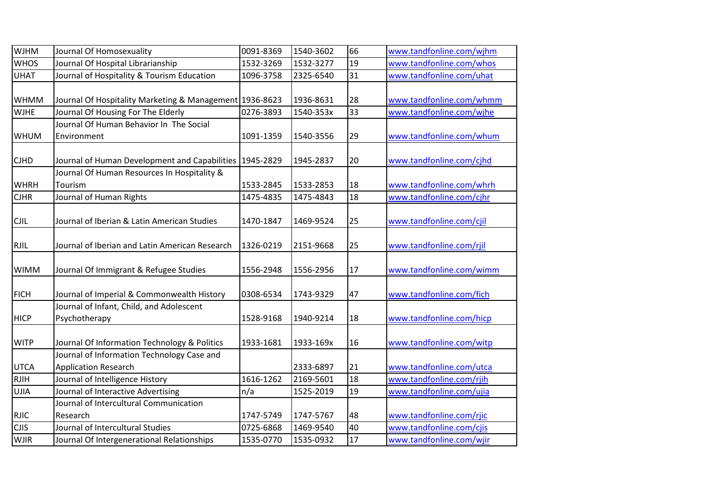| <b>WJHM</b> | Journal Of Homosexuality                                | 0091-8369 | 1540-3602 | 66 | www.tandfonline.com/wjhm |
|-------------|---------------------------------------------------------|-----------|-----------|----|--------------------------|
| <b>WHOS</b> | Journal Of Hospital Librarianship                       | 1532-3269 | 1532-3277 | 19 | www.tandfonline.com/whos |
| <b>UHAT</b> | Journal of Hospitality & Tourism Education              | 1096-3758 | 2325-6540 | 31 | www.tandfonline.com/uhat |
|             |                                                         |           |           |    |                          |
| <b>WHMM</b> | Journal Of Hospitality Marketing & Management 1936-8623 |           | 1936-8631 | 28 | www.tandfonline.com/whmm |
| <b>WJHE</b> | Journal Of Housing For The Elderly                      | 0276-3893 | 1540-353x | 33 | www.tandfonline.com/wjhe |
|             | Journal Of Human Behavior In The Social                 |           |           |    |                          |
| <b>WHUM</b> | Environment                                             | 1091-1359 | 1540-3556 | 29 | www.tandfonline.com/whum |
|             |                                                         |           |           |    |                          |
| <b>CJHD</b> | Journal of Human Development and Capabilities           | 1945-2829 | 1945-2837 | 20 | www.tandfonline.com/cjhd |
|             | Journal Of Human Resources In Hospitality &             |           |           |    |                          |
| <b>WHRH</b> | Tourism                                                 | 1533-2845 | 1533-2853 | 18 | www.tandfonline.com/whrh |
| <b>CJHR</b> | Journal of Human Rights                                 | 1475-4835 | 1475-4843 | 18 | www.tandfonline.com/cjhr |
|             |                                                         |           |           |    |                          |
| <b>CJIL</b> | Journal of Iberian & Latin American Studies             | 1470-1847 | 1469-9524 | 25 | www.tandfonline.com/cjil |
|             |                                                         |           |           |    |                          |
| <b>RJIL</b> | Journal of Iberian and Latin American Research          | 1326-0219 | 2151-9668 | 25 | www.tandfonline.com/rjil |
|             |                                                         |           |           |    |                          |
| <b>WIMM</b> | Journal Of Immigrant & Refugee Studies                  | 1556-2948 | 1556-2956 | 17 | www.tandfonline.com/wimm |
|             |                                                         |           |           |    |                          |
| <b>FICH</b> | Journal of Imperial & Commonwealth History              | 0308-6534 | 1743-9329 | 47 | www.tandfonline.com/fich |
|             | Journal of Infant, Child, and Adolescent                |           |           |    |                          |
| <b>HICP</b> | Psychotherapy                                           | 1528-9168 | 1940-9214 | 18 | www.tandfonline.com/hicp |
|             |                                                         |           |           |    |                          |
| <b>WITP</b> | Journal Of Information Technology & Politics            | 1933-1681 | 1933-169x | 16 | www.tandfonline.com/witp |
|             | Journal of Information Technology Case and              |           |           |    |                          |
| <b>UTCA</b> | <b>Application Research</b>                             |           | 2333-6897 | 21 | www.tandfonline.com/utca |
| <b>RJIH</b> | Journal of Intelligence History                         | 1616-1262 | 2169-5601 | 18 | www.tandfonline.com/rjih |
| UJIA        | Journal of Interactive Advertising                      | n/a       | 1525-2019 | 19 | www.tandfonline.com/ujia |
|             | Journal of Intercultural Communication                  |           |           |    |                          |
| <b>RJIC</b> | Research                                                | 1747-5749 | 1747-5767 | 48 | www.tandfonline.com/rjic |
| <b>CJIS</b> | Journal of Intercultural Studies                        | 0725-6868 | 1469-9540 | 40 | www.tandfonline.com/cjis |
| <b>WJIR</b> | Journal Of Intergenerational Relationships              | 1535-0770 | 1535-0932 | 17 | www.tandfonline.com/wjir |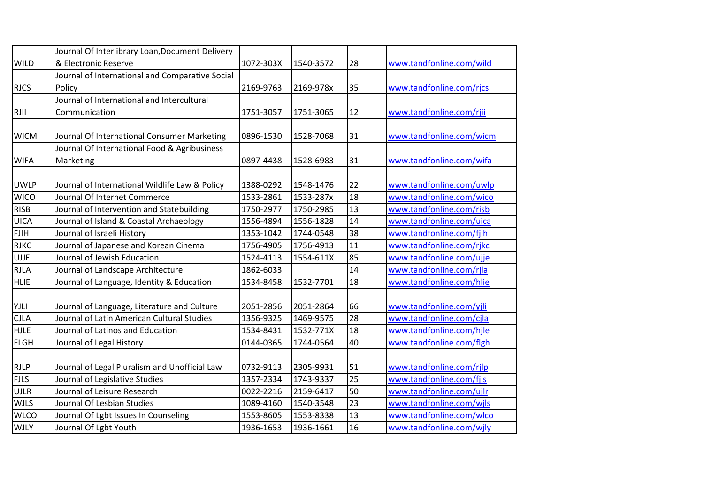|             | Journal Of Interlibrary Loan, Document Delivery |           |           |                 |                          |
|-------------|-------------------------------------------------|-----------|-----------|-----------------|--------------------------|
| <b>WILD</b> | & Electronic Reserve                            | 1072-303X | 1540-3572 | 28              | www.tandfonline.com/wild |
|             | Journal of International and Comparative Social |           |           |                 |                          |
| <b>RJCS</b> | Policy                                          | 2169-9763 | 2169-978x | 35              | www.tandfonline.com/rjcs |
|             | Journal of International and Intercultural      |           |           |                 |                          |
| <b>RJII</b> | Communication                                   | 1751-3057 | 1751-3065 | 12              | www.tandfonline.com/rjii |
|             |                                                 |           |           |                 |                          |
| <b>WICM</b> | Journal Of International Consumer Marketing     | 0896-1530 | 1528-7068 | 31              | www.tandfonline.com/wicm |
|             | Journal Of International Food & Agribusiness    |           |           |                 |                          |
| <b>WIFA</b> | Marketing                                       | 0897-4438 | 1528-6983 | 31              | www.tandfonline.com/wifa |
|             |                                                 |           |           |                 |                          |
| <b>UWLP</b> | Journal of International Wildlife Law & Policy  | 1388-0292 | 1548-1476 | 22              | www.tandfonline.com/uwlp |
| <b>WICO</b> | Journal Of Internet Commerce                    | 1533-2861 | 1533-287x | 18              | www.tandfonline.com/wico |
| <b>RISB</b> | Journal of Intervention and Statebuilding       | 1750-2977 | 1750-2985 | 13              | www.tandfonline.com/risb |
| <b>UICA</b> | Journal of Island & Coastal Archaeology         | 1556-4894 | 1556-1828 | 14              | www.tandfonline.com/uica |
| <b>FJIH</b> | Journal of Israeli History                      | 1353-1042 | 1744-0548 | 38              | www.tandfonline.com/fjih |
| <b>RJKC</b> | Journal of Japanese and Korean Cinema           | 1756-4905 | 1756-4913 | 11              | www.tandfonline.com/rjkc |
| <b>UJJE</b> | Journal of Jewish Education                     | 1524-4113 | 1554-611X | 85              | www.tandfonline.com/ujje |
| <b>RJLA</b> | Journal of Landscape Architecture               | 1862-6033 |           | 14              | www.tandfonline.com/rjla |
| <b>HLIE</b> | Journal of Language, Identity & Education       | 1534-8458 | 1532-7701 | 18              | www.tandfonline.com/hlie |
|             |                                                 |           |           |                 |                          |
| YJLI        | Journal of Language, Literature and Culture     | 2051-2856 | 2051-2864 | 66              | www.tandfonline.com/yjli |
| <b>CJLA</b> | Journal of Latin American Cultural Studies      | 1356-9325 | 1469-9575 | 28              | www.tandfonline.com/cjla |
| <b>HJLE</b> | Journal of Latinos and Education                | 1534-8431 | 1532-771X | 18              | www.tandfonline.com/hjle |
| <b>FLGH</b> | Journal of Legal History                        | 0144-0365 | 1744-0564 | 40              | www.tandfonline.com/flgh |
|             |                                                 |           |           |                 |                          |
| <b>RJLP</b> | Journal of Legal Pluralism and Unofficial Law   | 0732-9113 | 2305-9931 | 51              | www.tandfonline.com/rjlp |
| <b>FJLS</b> | Journal of Legislative Studies                  | 1357-2334 | 1743-9337 | 25              | www.tandfonline.com/fjls |
| <b>UJLR</b> | Journal of Leisure Research                     | 0022-2216 | 2159-6417 | 50              | www.tandfonline.com/ujlr |
| <b>WJLS</b> | Journal Of Lesbian Studies                      | 1089-4160 | 1540-3548 | 23              | www.tandfonline.com/wjls |
| <b>WLCO</b> | Journal Of Lgbt Issues In Counseling            | 1553-8605 | 1553-8338 | 13              | www.tandfonline.com/wlco |
| <b>WJLY</b> | Journal Of Lgbt Youth                           | 1936-1653 | 1936-1661 | $\overline{16}$ | www.tandfonline.com/wjly |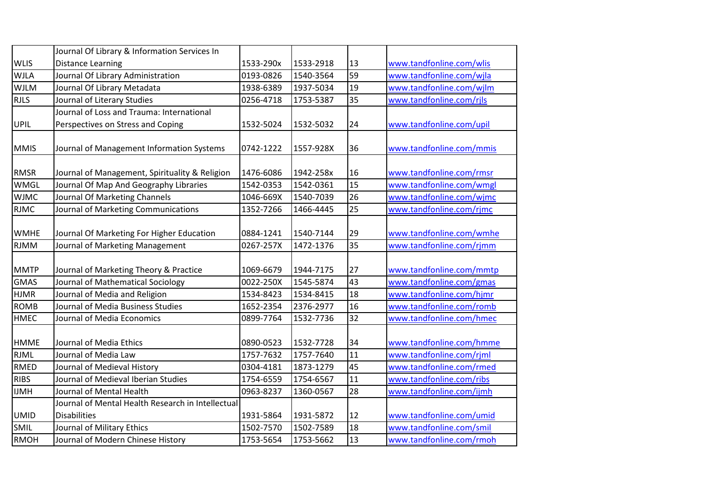|             | Journal Of Library & Information Services In      |           |           |                 |                          |
|-------------|---------------------------------------------------|-----------|-----------|-----------------|--------------------------|
| <b>WLIS</b> | <b>Distance Learning</b>                          | 1533-290x | 1533-2918 | 13              | www.tandfonline.com/wlis |
| <b>WJLA</b> | Journal Of Library Administration                 | 0193-0826 | 1540-3564 | 59              | www.tandfonline.com/wjla |
| <b>WJLM</b> | Journal Of Library Metadata                       | 1938-6389 | 1937-5034 | 19              | www.tandfonline.com/wjlm |
| <b>RJLS</b> | Journal of Literary Studies                       | 0256-4718 | 1753-5387 | 35              | www.tandfonline.com/rjls |
|             | Journal of Loss and Trauma: International         |           |           |                 |                          |
| UPIL        | Perspectives on Stress and Coping                 | 1532-5024 | 1532-5032 | 24              | www.tandfonline.com/upil |
|             |                                                   |           |           |                 |                          |
| <b>MMIS</b> | Journal of Management Information Systems         | 0742-1222 | 1557-928X | 36              | www.tandfonline.com/mmis |
|             |                                                   |           |           |                 |                          |
| <b>RMSR</b> | Journal of Management, Spirituality & Religion    | 1476-6086 | 1942-258x | 16              | www.tandfonline.com/rmsr |
| <b>WMGL</b> | Journal Of Map And Geography Libraries            | 1542-0353 | 1542-0361 | 15              | www.tandfonline.com/wmgl |
| <b>WJMC</b> | Journal Of Marketing Channels                     | 1046-669X | 1540-7039 | $\overline{26}$ | www.tandfonline.com/wjmc |
| <b>RJMC</b> | Journal of Marketing Communications               | 1352-7266 | 1466-4445 | 25              | www.tandfonline.com/rjmc |
|             |                                                   |           |           |                 |                          |
| <b>WMHE</b> | Journal Of Marketing For Higher Education         | 0884-1241 | 1540-7144 | 29              | www.tandfonline.com/wmhe |
| <b>RJMM</b> | Journal of Marketing Management                   | 0267-257X | 1472-1376 | $\overline{35}$ | www.tandfonline.com/rjmm |
|             |                                                   |           |           |                 |                          |
| <b>MMTP</b> | Journal of Marketing Theory & Practice            | 1069-6679 | 1944-7175 | 27              | www.tandfonline.com/mmtp |
| <b>GMAS</b> | Journal of Mathematical Sociology                 | 0022-250X | 1545-5874 | 43              | www.tandfonline.com/gmas |
| <b>HJMR</b> | Journal of Media and Religion                     | 1534-8423 | 1534-8415 | $\overline{18}$ | www.tandfonline.com/hjmr |
| <b>ROMB</b> | Journal of Media Business Studies                 | 1652-2354 | 2376-2977 | 16              | www.tandfonline.com/romb |
| <b>HMEC</b> | Journal of Media Economics                        | 0899-7764 | 1532-7736 | 32              | www.tandfonline.com/hmec |
|             |                                                   |           |           |                 |                          |
| <b>HMME</b> | Journal of Media Ethics                           | 0890-0523 | 1532-7728 | 34              | www.tandfonline.com/hmme |
| <b>RJML</b> | Journal of Media Law                              | 1757-7632 | 1757-7640 | 11              | www.tandfonline.com/rjml |
| <b>RMED</b> | Journal of Medieval History                       | 0304-4181 | 1873-1279 | 45              | www.tandfonline.com/rmed |
| <b>RIBS</b> | Journal of Medieval Iberian Studies               | 1754-6559 | 1754-6567 | 11              | www.tandfonline.com/ribs |
| <b>IJMH</b> | Journal of Mental Health                          | 0963-8237 | 1360-0567 | 28              | www.tandfonline.com/ijmh |
|             | Journal of Mental Health Research in Intellectual |           |           |                 |                          |
| <b>UMID</b> | <b>Disabilities</b>                               | 1931-5864 | 1931-5872 | 12              | www.tandfonline.com/umid |
| SMIL        | Journal of Military Ethics                        | 1502-7570 | 1502-7589 | 18              | www.tandfonline.com/smil |
| <b>RMOH</b> | Journal of Modern Chinese History                 | 1753-5654 | 1753-5662 | 13              | www.tandfonline.com/rmoh |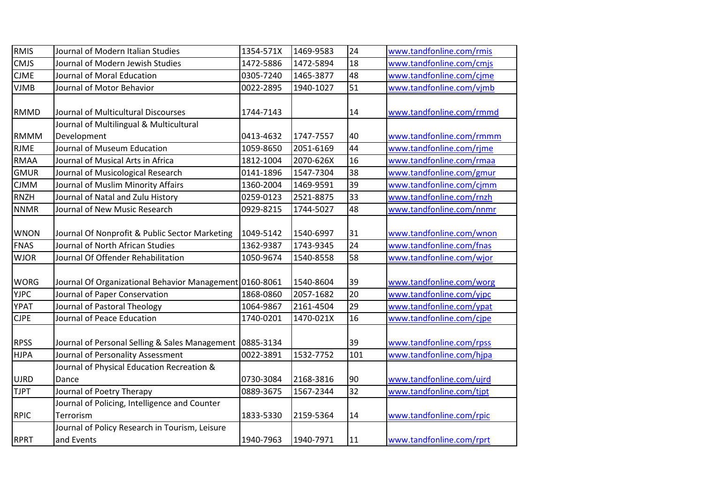| <b>RMIS</b> | Journal of Modern Italian Studies                       | 1354-571X | 1469-9583 | 24  | www.tandfonline.com/rmis |
|-------------|---------------------------------------------------------|-----------|-----------|-----|--------------------------|
| <b>CMJS</b> | Journal of Modern Jewish Studies                        | 1472-5886 | 1472-5894 | 18  | www.tandfonline.com/cmjs |
| <b>CJME</b> | Journal of Moral Education                              | 0305-7240 | 1465-3877 | 48  | www.tandfonline.com/cjme |
| <b>VJMB</b> | Journal of Motor Behavior                               | 0022-2895 | 1940-1027 | 51  | www.tandfonline.com/vjmb |
|             |                                                         |           |           |     |                          |
| <b>RMMD</b> | Journal of Multicultural Discourses                     | 1744-7143 |           | 14  | www.tandfonline.com/rmmd |
|             | Journal of Multilingual & Multicultural                 |           |           |     |                          |
| <b>RMMM</b> | Development                                             | 0413-4632 | 1747-7557 | 40  | www.tandfonline.com/rmmm |
| <b>RJME</b> | Journal of Museum Education                             | 1059-8650 | 2051-6169 | 44  | www.tandfonline.com/rjme |
| <b>RMAA</b> | Journal of Musical Arts in Africa                       | 1812-1004 | 2070-626X | 16  | www.tandfonline.com/rmaa |
| <b>GMUR</b> | Journal of Musicological Research                       | 0141-1896 | 1547-7304 | 38  | www.tandfonline.com/gmur |
| <b>CJMM</b> | Journal of Muslim Minority Affairs                      | 1360-2004 | 1469-9591 | 39  | www.tandfonline.com/cjmm |
| <b>RNZH</b> | Journal of Natal and Zulu History                       | 0259-0123 | 2521-8875 | 33  | www.tandfonline.com/rnzh |
| <b>NNMR</b> | Journal of New Music Research                           | 0929-8215 | 1744-5027 | 48  | www.tandfonline.com/nnmr |
|             |                                                         |           |           |     |                          |
| <b>WNON</b> | Journal Of Nonprofit & Public Sector Marketing          | 1049-5142 | 1540-6997 | 31  | www.tandfonline.com/wnon |
| <b>FNAS</b> | Journal of North African Studies                        | 1362-9387 | 1743-9345 | 24  | www.tandfonline.com/fnas |
| <b>WJOR</b> | Journal Of Offender Rehabilitation                      | 1050-9674 | 1540-8558 | 58  | www.tandfonline.com/wjor |
|             |                                                         |           |           |     |                          |
| <b>WORG</b> | Journal Of Organizational Behavior Management 0160-8061 |           | 1540-8604 | 39  | www.tandfonline.com/worg |
| <b>YJPC</b> | Journal of Paper Conservation                           | 1868-0860 | 2057-1682 | 20  | www.tandfonline.com/yjpc |
| <b>YPAT</b> | Journal of Pastoral Theology                            | 1064-9867 | 2161-4504 | 29  | www.tandfonline.com/ypat |
| <b>CJPE</b> | Journal of Peace Education                              | 1740-0201 | 1470-021X | 16  | www.tandfonline.com/cjpe |
|             |                                                         |           |           |     |                          |
| <b>RPSS</b> | Journal of Personal Selling & Sales Management          | 0885-3134 |           | 39  | www.tandfonline.com/rpss |
| <b>HJPA</b> | Journal of Personality Assessment                       | 0022-3891 | 1532-7752 | 101 | www.tandfonline.com/hjpa |
|             | Journal of Physical Education Recreation &              |           |           |     |                          |
| UJRD        | Dance                                                   | 0730-3084 | 2168-3816 | 90  | www.tandfonline.com/ujrd |
| <b>TJPT</b> | Journal of Poetry Therapy                               | 0889-3675 | 1567-2344 | 32  | www.tandfonline.com/tjpt |
|             | Journal of Policing, Intelligence and Counter           |           |           |     |                          |
| <b>RPIC</b> | Terrorism                                               | 1833-5330 | 2159-5364 | 14  | www.tandfonline.com/rpic |
|             | Journal of Policy Research in Tourism, Leisure          |           |           |     |                          |
| <b>RPRT</b> | and Events                                              | 1940-7963 | 1940-7971 | 11  | www.tandfonline.com/rprt |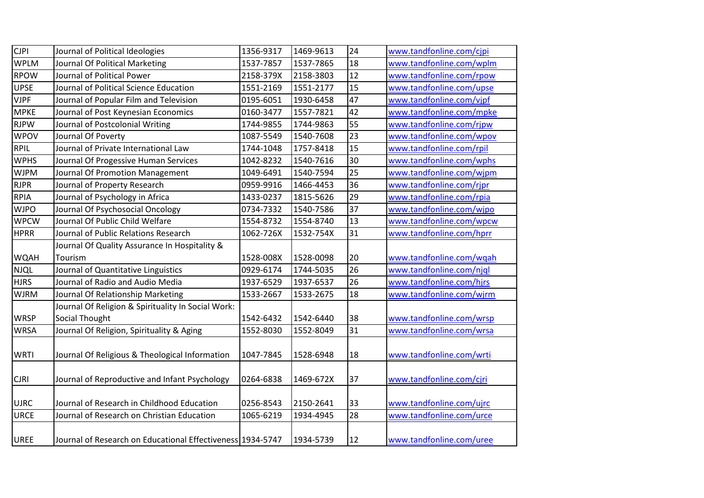| <b>CJPI</b> | Journal of Political Ideologies                            | 1356-9317 | 1469-9613 | 24              | www.tandfonline.com/cjpi |
|-------------|------------------------------------------------------------|-----------|-----------|-----------------|--------------------------|
| <b>WPLM</b> | Journal Of Political Marketing                             | 1537-7857 | 1537-7865 | 18              | www.tandfonline.com/wplm |
| <b>RPOW</b> | Journal of Political Power                                 | 2158-379X | 2158-3803 | 12              | www.tandfonline.com/rpow |
| <b>UPSE</b> | Journal of Political Science Education                     | 1551-2169 | 1551-2177 | 15              | www.tandfonline.com/upse |
| <b>VJPF</b> | Journal of Popular Film and Television                     | 0195-6051 | 1930-6458 | 47              | www.tandfonline.com/vjpf |
| <b>MPKE</b> | Journal of Post Keynesian Economics                        | 0160-3477 | 1557-7821 | 42              | www.tandfonline.com/mpke |
| <b>RJPW</b> | Journal of Postcolonial Writing                            | 1744-9855 | 1744-9863 | 55              | www.tandfonline.com/rjpw |
| <b>WPOV</b> | Journal Of Poverty                                         | 1087-5549 | 1540-7608 | 23              | www.tandfonline.com/wpov |
| <b>RPIL</b> | Journal of Private International Law                       | 1744-1048 | 1757-8418 | 15              | www.tandfonline.com/rpil |
| <b>WPHS</b> | Journal Of Progessive Human Services                       | 1042-8232 | 1540-7616 | 30              | www.tandfonline.com/wphs |
| <b>WJPM</b> | Journal Of Promotion Management                            | 1049-6491 | 1540-7594 | $\overline{25}$ | www.tandfonline.com/wjpm |
| <b>RJPR</b> | Journal of Property Research                               | 0959-9916 | 1466-4453 | 36              | www.tandfonline.com/rjpr |
| <b>RPIA</b> | Journal of Psychology in Africa                            | 1433-0237 | 1815-5626 | 29              | www.tandfonline.com/rpia |
| <b>WJPO</b> | Journal Of Psychosocial Oncology                           | 0734-7332 | 1540-7586 | $\overline{37}$ | www.tandfonline.com/wjpo |
| <b>WPCW</b> | Journal Of Public Child Welfare                            | 1554-8732 | 1554-8740 | $\overline{13}$ | www.tandfonline.com/wpcw |
| <b>HPRR</b> | Journal of Public Relations Research                       | 1062-726X | 1532-754X | 31              | www.tandfonline.com/hprr |
|             | Journal Of Quality Assurance In Hospitality &              |           |           |                 |                          |
| <b>WQAH</b> | Tourism                                                    | 1528-008X | 1528-0098 | 20              | www.tandfonline.com/wqah |
| NJQL        | Journal of Quantitative Linguistics                        | 0929-6174 | 1744-5035 | 26              | www.tandfonline.com/njql |
| <b>HJRS</b> | Journal of Radio and Audio Media                           | 1937-6529 | 1937-6537 | 26              | www.tandfonline.com/hjrs |
| <b>WJRM</b> | Journal Of Relationship Marketing                          | 1533-2667 | 1533-2675 | 18              | www.tandfonline.com/wjrm |
|             | Journal Of Religion & Spirituality In Social Work:         |           |           |                 |                          |
| <b>WRSP</b> | <b>Social Thought</b>                                      | 1542-6432 | 1542-6440 | 38              | www.tandfonline.com/wrsp |
| <b>WRSA</b> | Journal Of Religion, Spirituality & Aging                  | 1552-8030 | 1552-8049 | 31              | www.tandfonline.com/wrsa |
|             |                                                            |           |           |                 |                          |
| <b>WRTI</b> | Journal Of Religious & Theological Information             | 1047-7845 | 1528-6948 | 18              | www.tandfonline.com/wrti |
|             |                                                            |           |           |                 |                          |
| <b>CJRI</b> | Journal of Reproductive and Infant Psychology              | 0264-6838 | 1469-672X | 37              | www.tandfonline.com/cjri |
|             |                                                            |           |           |                 |                          |
| <b>UJRC</b> | Journal of Research in Childhood Education                 | 0256-8543 | 2150-2641 | 33              | www.tandfonline.com/ujrc |
| <b>URCE</b> | Journal of Research on Christian Education                 | 1065-6219 | 1934-4945 | 28              | www.tandfonline.com/urce |
|             |                                                            |           |           |                 |                          |
| <b>UREE</b> | Journal of Research on Educational Effectiveness 1934-5747 |           | 1934-5739 | 12              | www.tandfonline.com/uree |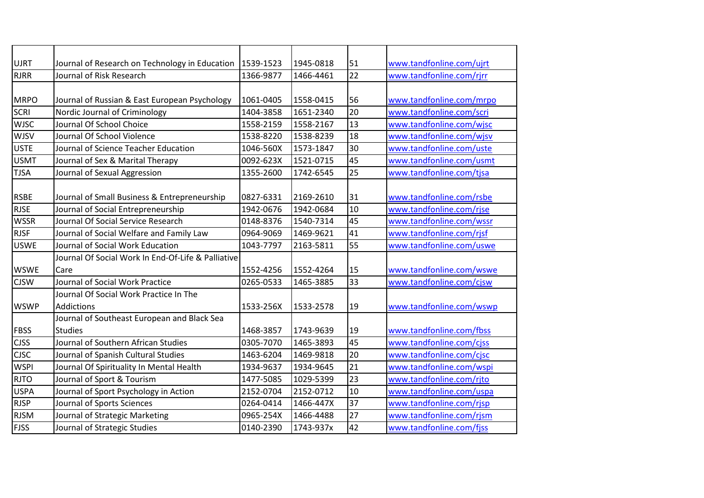| <b>UJRT</b> | Journal of Research on Technology in Education     | 1539-1523 | 1945-0818 | 51              | www.tandfonline.com/ujrt |
|-------------|----------------------------------------------------|-----------|-----------|-----------------|--------------------------|
| <b>RJRR</b> | Journal of Risk Research                           | 1366-9877 | 1466-4461 | $\overline{22}$ | www.tandfonline.com/rjrr |
|             |                                                    |           |           |                 |                          |
| <b>MRPO</b> | Journal of Russian & East European Psychology      | 1061-0405 | 1558-0415 | 56              | www.tandfonline.com/mrpo |
| <b>SCRI</b> | Nordic Journal of Criminology                      | 1404-3858 | 1651-2340 | 20              | www.tandfonline.com/scri |
| <b>WJSC</b> | Journal Of School Choice                           | 1558-2159 | 1558-2167 | 13              | www.tandfonline.com/wjsc |
| <b>WJSV</b> | Journal Of School Violence                         | 1538-8220 | 1538-8239 | 18              | www.tandfonline.com/wjsv |
| <b>USTE</b> | Journal of Science Teacher Education               | 1046-560X | 1573-1847 | 30              | www.tandfonline.com/uste |
| <b>USMT</b> | Journal of Sex & Marital Therapy                   | 0092-623X | 1521-0715 | 45              | www.tandfonline.com/usmt |
| <b>TJSA</b> | Journal of Sexual Aggression                       | 1355-2600 | 1742-6545 | 25              | www.tandfonline.com/tjsa |
|             |                                                    |           |           |                 |                          |
| <b>RSBE</b> | Journal of Small Business & Entrepreneurship       | 0827-6331 | 2169-2610 | 31              | www.tandfonline.com/rsbe |
| <b>RJSE</b> | Journal of Social Entrepreneurship                 | 1942-0676 | 1942-0684 | 10              | www.tandfonline.com/rjse |
| <b>WSSR</b> | Journal Of Social Service Research                 | 0148-8376 | 1540-7314 | 45              | www.tandfonline.com/wssr |
| <b>RJSF</b> | Journal of Social Welfare and Family Law           | 0964-9069 | 1469-9621 | 41              | www.tandfonline.com/rjsf |
| <b>USWE</b> | Journal of Social Work Education                   | 1043-7797 | 2163-5811 | 55              | www.tandfonline.com/uswe |
|             | Journal Of Social Work In End-Of-Life & Palliative |           |           |                 |                          |
| <b>WSWE</b> | Care                                               | 1552-4256 | 1552-4264 | 15              | www.tandfonline.com/wswe |
| <b>CJSW</b> | Journal of Social Work Practice                    | 0265-0533 | 1465-3885 | 33              | www.tandfonline.com/cjsw |
|             | Journal Of Social Work Practice In The             |           |           |                 |                          |
| <b>WSWP</b> | <b>Addictions</b>                                  | 1533-256X | 1533-2578 | 19              | www.tandfonline.com/wswp |
|             | Journal of Southeast European and Black Sea        |           |           |                 |                          |
| <b>FBSS</b> | <b>Studies</b>                                     | 1468-3857 | 1743-9639 | 19              | www.tandfonline.com/fbss |
| <b>CJSS</b> | Journal of Southern African Studies                | 0305-7070 | 1465-3893 | 45              | www.tandfonline.com/cjss |
| <b>CJSC</b> | Journal of Spanish Cultural Studies                | 1463-6204 | 1469-9818 | 20              | www.tandfonline.com/cjsc |
| <b>WSPI</b> | Journal Of Spirituality In Mental Health           | 1934-9637 | 1934-9645 | 21              | www.tandfonline.com/wspi |
| <b>RJTO</b> | Journal of Sport & Tourism                         | 1477-5085 | 1029-5399 | 23              | www.tandfonline.com/rjto |
| <b>USPA</b> | Journal of Sport Psychology in Action              | 2152-0704 | 2152-0712 | 10              | www.tandfonline.com/uspa |
| <b>RJSP</b> | Journal of Sports Sciences                         | 0264-0414 | 1466-447X | 37              | www.tandfonline.com/rjsp |
| <b>RJSM</b> | Journal of Strategic Marketing                     | 0965-254X | 1466-4488 | 27              | www.tandfonline.com/rjsm |
| <b>FJSS</b> | Journal of Strategic Studies                       | 0140-2390 | 1743-937x | 42              | www.tandfonline.com/fjss |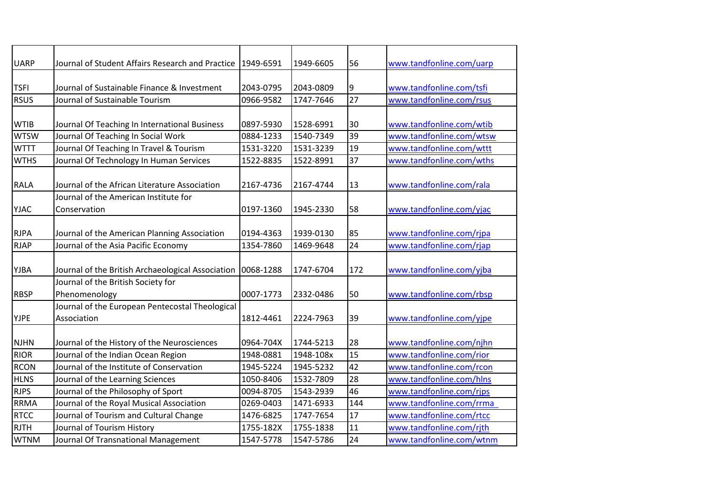| <b>UARP</b> | Journal of Student Affairs Research and Practice               | 1949-6591 | 1949-6605 | 56  | www.tandfonline.com/uarp |
|-------------|----------------------------------------------------------------|-----------|-----------|-----|--------------------------|
| <b>TSFI</b> | Journal of Sustainable Finance & Investment                    | 2043-0795 | 2043-0809 | 9   | www.tandfonline.com/tsfi |
| <b>RSUS</b> | Journal of Sustainable Tourism                                 | 0966-9582 | 1747-7646 | 27  | www.tandfonline.com/rsus |
| <b>WTIB</b> | Journal Of Teaching In International Business                  | 0897-5930 | 1528-6991 | 30  | www.tandfonline.com/wtib |
| <b>WTSW</b> | Journal Of Teaching In Social Work                             | 0884-1233 | 1540-7349 | 39  | www.tandfonline.com/wtsw |
| <b>WTTT</b> | Journal Of Teaching In Travel & Tourism                        | 1531-3220 | 1531-3239 | 19  | www.tandfonline.com/wttt |
| <b>WTHS</b> | Journal Of Technology In Human Services                        | 1522-8835 | 1522-8991 | 37  | www.tandfonline.com/wths |
| <b>RALA</b> | Journal of the African Literature Association                  | 2167-4736 | 2167-4744 | 13  | www.tandfonline.com/rala |
| <b>YJAC</b> | Journal of the American Institute for<br>Conservation          | 0197-1360 | 1945-2330 | 58  | www.tandfonline.com/yjac |
| <b>RJPA</b> | Journal of the American Planning Association                   | 0194-4363 | 1939-0130 | 85  | www.tandfonline.com/rjpa |
| <b>RJAP</b> | Journal of the Asia Pacific Economy                            | 1354-7860 | 1469-9648 | 24  | www.tandfonline.com/rjap |
| YJBA        | Journal of the British Archaeological Association              | 0068-1288 | 1747-6704 | 172 | www.tandfonline.com/yjba |
| <b>RBSP</b> | Journal of the British Society for<br>Phenomenology            | 0007-1773 | 2332-0486 | 50  | www.tandfonline.com/rbsp |
| <b>YJPE</b> | Journal of the European Pentecostal Theological<br>Association | 1812-4461 | 2224-7963 | 39  | www.tandfonline.com/yjpe |
| <b>NJHN</b> | Journal of the History of the Neurosciences                    | 0964-704X | 1744-5213 | 28  | www.tandfonline.com/njhn |
| <b>RIOR</b> | Journal of the Indian Ocean Region                             | 1948-0881 | 1948-108x | 15  | www.tandfonline.com/rior |
| <b>RCON</b> | Journal of the Institute of Conservation                       | 1945-5224 | 1945-5232 | 42  | www.tandfonline.com/rcon |
| <b>HLNS</b> | Journal of the Learning Sciences                               | 1050-8406 | 1532-7809 | 28  | www.tandfonline.com/hlns |
| <b>RJPS</b> | Journal of the Philosophy of Sport                             | 0094-8705 | 1543-2939 | 46  | www.tandfonline.com/rjps |
| <b>RRMA</b> | Journal of the Royal Musical Association                       | 0269-0403 | 1471-6933 | 144 | www.tandfonline.com/rrma |
| <b>RTCC</b> | Journal of Tourism and Cultural Change                         | 1476-6825 | 1747-7654 | 17  | www.tandfonline.com/rtcc |
| <b>RJTH</b> | Journal of Tourism History                                     | 1755-182X | 1755-1838 | 11  | www.tandfonline.com/rjth |
| <b>WTNM</b> | Journal Of Transnational Management                            | 1547-5778 | 1547-5786 | 24  | www.tandfonline.com/wtnm |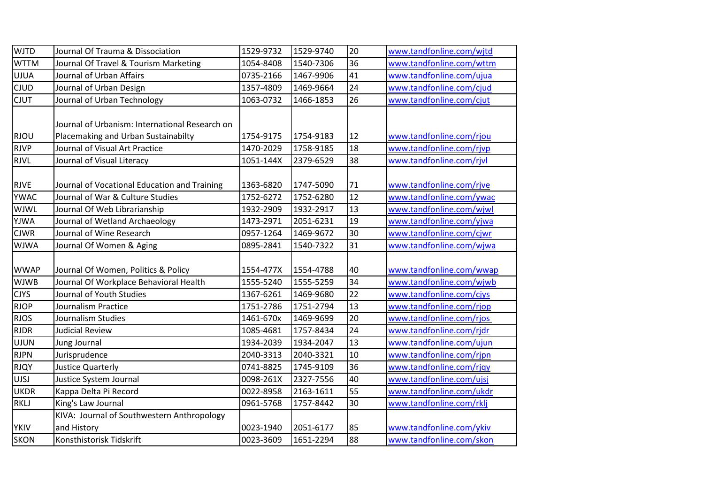| <b>WJTD</b> | Journal Of Trauma & Dissociation               | 1529-9732 | 1529-9740 | 20 | www.tandfonline.com/wjtd |
|-------------|------------------------------------------------|-----------|-----------|----|--------------------------|
| <b>WTTM</b> | Journal Of Travel & Tourism Marketing          | 1054-8408 | 1540-7306 | 36 | www.tandfonline.com/wttm |
| <b>UJUA</b> | Journal of Urban Affairs                       | 0735-2166 | 1467-9906 | 41 | www.tandfonline.com/ujua |
| <b>CJUD</b> | Journal of Urban Design                        | 1357-4809 | 1469-9664 | 24 | www.tandfonline.com/cjud |
| <b>CJUT</b> | Journal of Urban Technology                    | 1063-0732 | 1466-1853 | 26 | www.tandfonline.com/cjut |
|             |                                                |           |           |    |                          |
|             | Journal of Urbanism: International Research on |           |           |    |                          |
| <b>RJOU</b> | Placemaking and Urban Sustainabilty            | 1754-9175 | 1754-9183 | 12 | www.tandfonline.com/rjou |
| <b>RJVP</b> | Journal of Visual Art Practice                 | 1470-2029 | 1758-9185 | 18 | www.tandfonline.com/rjvp |
| <b>RJVL</b> | Journal of Visual Literacy                     | 1051-144X | 2379-6529 | 38 | www.tandfonline.com/rjvl |
|             |                                                |           |           |    |                          |
| <b>RJVE</b> | Journal of Vocational Education and Training   | 1363-6820 | 1747-5090 | 71 | www.tandfonline.com/rjve |
| <b>YWAC</b> | Journal of War & Culture Studies               | 1752-6272 | 1752-6280 | 12 | www.tandfonline.com/ywac |
| WJWL        | Journal Of Web Librarianship                   | 1932-2909 | 1932-2917 | 13 | www.tandfonline.com/wjwl |
| YJWA        | Journal of Wetland Archaeology                 | 1473-2971 | 2051-6231 | 19 | www.tandfonline.com/yjwa |
| <b>CJWR</b> | Journal of Wine Research                       | 0957-1264 | 1469-9672 | 30 | www.tandfonline.com/cjwr |
| <b>WJWA</b> | Journal Of Women & Aging                       | 0895-2841 | 1540-7322 | 31 | www.tandfonline.com/wjwa |
|             |                                                |           |           |    |                          |
| <b>WWAP</b> | Journal Of Women, Politics & Policy            | 1554-477X | 1554-4788 | 40 | www.tandfonline.com/wwap |
| <b>WJWB</b> | Journal Of Workplace Behavioral Health         | 1555-5240 | 1555-5259 | 34 | www.tandfonline.com/wjwb |
| <b>CJYS</b> | Journal of Youth Studies                       | 1367-6261 | 1469-9680 | 22 | www.tandfonline.com/cjys |
| <b>RJOP</b> | Journalism Practice                            | 1751-2786 | 1751-2794 | 13 | www.tandfonline.com/rjop |
| <b>RJOS</b> | Journalism Studies                             | 1461-670x | 1469-9699 | 20 | www.tandfonline.com/rjos |
| <b>RJDR</b> | <b>Judicial Review</b>                         | 1085-4681 | 1757-8434 | 24 | www.tandfonline.com/rjdr |
| <b>UJUN</b> | Jung Journal                                   | 1934-2039 | 1934-2047 | 13 | www.tandfonline.com/ujun |
| <b>RJPN</b> | Jurisprudence                                  | 2040-3313 | 2040-3321 | 10 | www.tandfonline.com/rjpn |
| <b>RJQY</b> | <b>Justice Quarterly</b>                       | 0741-8825 | 1745-9109 | 36 | www.tandfonline.com/rjqy |
| <b>UJSJ</b> | Justice System Journal                         | 0098-261X | 2327-7556 | 40 | www.tandfonline.com/ujsj |
| <b>UKDR</b> | Kappa Delta Pi Record                          | 0022-8958 | 2163-1611 | 55 | www.tandfonline.com/ukdr |
| <b>RKLJ</b> | King's Law Journal                             | 0961-5768 | 1757-8442 | 30 | www.tandfonline.com/rklj |
|             | KIVA: Journal of Southwestern Anthropology     |           |           |    |                          |
| <b>YKIV</b> | and History                                    | 0023-1940 | 2051-6177 | 85 | www.tandfonline.com/ykiv |
| <b>SKON</b> | Konsthistorisk Tidskrift                       | 0023-3609 | 1651-2294 | 88 | www.tandfonline.com/skon |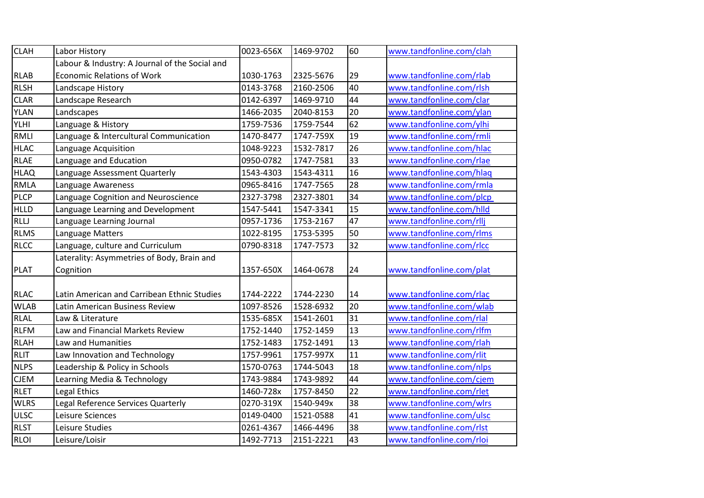| <b>CLAH</b>                | Labor History                                  | 0023-656X | 1469-9702              | 60              | www.tandfonline.com/clah |
|----------------------------|------------------------------------------------|-----------|------------------------|-----------------|--------------------------|
|                            | Labour & Industry: A Journal of the Social and |           |                        |                 |                          |
| <b>RLAB</b>                | <b>Economic Relations of Work</b>              | 1030-1763 | 2325-5676              | 29              | www.tandfonline.com/rlab |
| <b>RLSH</b>                | Landscape History                              | 0143-3768 | 2160-2506              | 40              | www.tandfonline.com/rlsh |
| <b>CLAR</b>                | Landscape Research                             | 0142-6397 | 1469-9710              | 44              | www.tandfonline.com/clar |
| YLAN                       | Landscapes                                     | 1466-2035 | 2040-8153              | 20              | www.tandfonline.com/ylan |
| YLHI                       | Language & History                             | 1759-7536 | 1759-7544              | 62              | www.tandfonline.com/ylhi |
| <b>RMLI</b>                | Language & Intercultural Communication         | 1470-8477 | 1747-759X              | 19              | www.tandfonline.com/rmli |
| <b>HLAC</b>                | Language Acquisition                           | 1048-9223 | 1532-7817              | 26              | www.tandfonline.com/hlac |
| <b>RLAE</b>                | Language and Education                         | 0950-0782 | 1747-7581              | 33              | www.tandfonline.com/rlae |
| <b>HLAQ</b>                | Language Assessment Quarterly                  | 1543-4303 | 1543-4311              | 16              | www.tandfonline.com/hlaq |
| <b>RMLA</b>                | Language Awareness                             | 0965-8416 | 1747-7565              | 28              | www.tandfonline.com/rmla |
| <b>PLCP</b>                | Language Cognition and Neuroscience            | 2327-3798 | 2327-3801              | 34              | www.tandfonline.com/plcp |
| <b>HLLD</b>                | Language Learning and Development              | 1547-5441 | 1547-3341              | 15              | www.tandfonline.com/hlld |
| RLLJ                       | Language Learning Journal                      | 0957-1736 | 1753-2167              | 47              | www.tandfonline.com/rllj |
| <b>RLMS</b>                | Language Matters                               | 1022-8195 | 1753-5395              | 50              | www.tandfonline.com/rlms |
| <b>RLCC</b>                | Language, culture and Curriculum               | 0790-8318 | 1747-7573              | 32              | www.tandfonline.com/rlcc |
|                            | Laterality: Asymmetries of Body, Brain and     |           |                        |                 |                          |
| <b>PLAT</b>                | Cognition                                      | 1357-650X | 1464-0678              | 24              | www.tandfonline.com/plat |
|                            | Latin American and Carribean Ethnic Studies    | 1744-2222 |                        | 14              | www.tandfonline.com/rlac |
| <b>RLAC</b><br><b>WLAB</b> | Latin American Business Review                 | 1097-8526 | 1744-2230<br>1528-6932 | 20              | www.tandfonline.com/wlab |
|                            |                                                |           |                        |                 |                          |
| RLAL                       | Law & Literature                               | 1535-685X | 1541-2601              | 31              | www.tandfonline.com/rlal |
| <b>RLFM</b>                | Law and Financial Markets Review               | 1752-1440 | 1752-1459              | 13              | www.tandfonline.com/rlfm |
| <b>RLAH</b>                | Law and Humanities                             | 1752-1483 | 1752-1491              | 13              | www.tandfonline.com/rlah |
| <b>RLIT</b>                | Law Innovation and Technology                  | 1757-9961 | 1757-997X              | 11              | www.tandfonline.com/rlit |
| <b>NLPS</b>                | Leadership & Policy in Schools                 | 1570-0763 | 1744-5043              | 18              | www.tandfonline.com/nlps |
| <b>CJEM</b>                | Learning Media & Technology                    | 1743-9884 | 1743-9892              | 44              | www.tandfonline.com/cjem |
| <b>RLET</b>                | Legal Ethics                                   | 1460-728x | 1757-8450              | 22              | www.tandfonline.com/rlet |
| <b>WLRS</b>                | Legal Reference Services Quarterly             | 0270-319X | 1540-949x              | $\overline{38}$ | www.tandfonline.com/wlrs |
| <b>ULSC</b>                | Leisure Sciences                               | 0149-0400 | 1521-0588              | 41              | www.tandfonline.com/ulsc |
| <b>RLST</b>                | Leisure Studies                                | 0261-4367 | 1466-4496              | 38              | www.tandfonline.com/rlst |
| <b>RLOI</b>                | Leisure/Loisir                                 | 1492-7713 | 2151-2221              | 43              | www.tandfonline.com/rloi |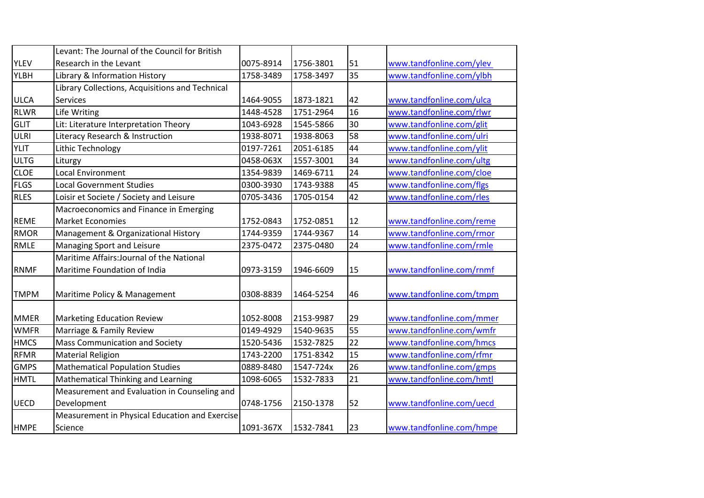|             | Levant: The Journal of the Council for British  |           |           |    |                          |
|-------------|-------------------------------------------------|-----------|-----------|----|--------------------------|
| <b>YLEV</b> | Research in the Levant                          | 0075-8914 | 1756-3801 | 51 | www.tandfonline.com/ylev |
| <b>YLBH</b> | Library & Information History                   | 1758-3489 | 1758-3497 | 35 | www.tandfonline.com/ylbh |
|             | Library Collections, Acquisitions and Technical |           |           |    |                          |
| <b>ULCA</b> | <b>Services</b>                                 | 1464-9055 | 1873-1821 | 42 | www.tandfonline.com/ulca |
| <b>RLWR</b> | Life Writing                                    | 1448-4528 | 1751-2964 | 16 | www.tandfonline.com/rlwr |
| <b>GLIT</b> | Lit: Literature Interpretation Theory           | 1043-6928 | 1545-5866 | 30 | www.tandfonline.com/glit |
| ULRI        | Literacy Research & Instruction                 | 1938-8071 | 1938-8063 | 58 | www.tandfonline.com/ulri |
| <b>YLIT</b> | Lithic Technology                               | 0197-7261 | 2051-6185 | 44 | www.tandfonline.com/ylit |
| <b>ULTG</b> | Liturgy                                         | 0458-063X | 1557-3001 | 34 | www.tandfonline.com/ultg |
| <b>CLOE</b> | Local Environment                               | 1354-9839 | 1469-6711 | 24 | www.tandfonline.com/cloe |
| <b>FLGS</b> | <b>Local Government Studies</b>                 | 0300-3930 | 1743-9388 | 45 | www.tandfonline.com/flgs |
| <b>RLES</b> | Loisir et Societe / Society and Leisure         | 0705-3436 | 1705-0154 | 42 | www.tandfonline.com/rles |
|             | Macroeconomics and Finance in Emerging          |           |           |    |                          |
| <b>REME</b> | <b>Market Economies</b>                         | 1752-0843 | 1752-0851 | 12 | www.tandfonline.com/reme |
| <b>RMOR</b> | Management & Organizational History             | 1744-9359 | 1744-9367 | 14 | www.tandfonline.com/rmor |
| <b>RMLE</b> | Managing Sport and Leisure                      | 2375-0472 | 2375-0480 | 24 | www.tandfonline.com/rmle |
|             | Maritime Affairs: Journal of the National       |           |           |    |                          |
| <b>RNMF</b> | Maritime Foundation of India                    | 0973-3159 | 1946-6609 | 15 | www.tandfonline.com/rnmf |
| <b>TMPM</b> | Maritime Policy & Management                    | 0308-8839 | 1464-5254 | 46 | www.tandfonline.com/tmpm |
| <b>MMER</b> | <b>Marketing Education Review</b>               | 1052-8008 | 2153-9987 | 29 | www.tandfonline.com/mmer |
| <b>WMFR</b> | Marriage & Family Review                        | 0149-4929 | 1540-9635 | 55 | www.tandfonline.com/wmfr |
| <b>HMCS</b> | Mass Communication and Society                  | 1520-5436 | 1532-7825 | 22 | www.tandfonline.com/hmcs |
| <b>RFMR</b> | <b>Material Religion</b>                        | 1743-2200 | 1751-8342 | 15 | www.tandfonline.com/rfmr |
| <b>GMPS</b> | <b>Mathematical Population Studies</b>          | 0889-8480 | 1547-724x | 26 | www.tandfonline.com/gmps |
| <b>HMTL</b> | Mathematical Thinking and Learning              | 1098-6065 | 1532-7833 | 21 | www.tandfonline.com/hmtl |
|             | Measurement and Evaluation in Counseling and    |           |           |    |                          |
| <b>UECD</b> | Development                                     | 0748-1756 | 2150-1378 | 52 | www.tandfonline.com/uecd |
| <b>HMPE</b> | Measurement in Physical Education and Exercise  | 1091-367X | 1532-7841 | 23 | www.tandfonline.com/hmpe |
|             | Science                                         |           |           |    |                          |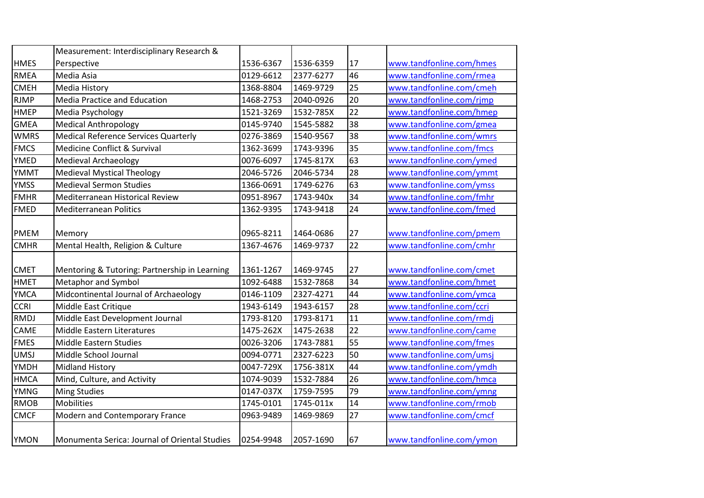|             | Measurement: Interdisciplinary Research &     |           |           |                 |                          |
|-------------|-----------------------------------------------|-----------|-----------|-----------------|--------------------------|
| <b>HMES</b> | Perspective                                   | 1536-6367 | 1536-6359 | 17              | www.tandfonline.com/hmes |
| <b>RMEA</b> | Media Asia                                    | 0129-6612 | 2377-6277 | 46              | www.tandfonline.com/rmea |
| <b>CMEH</b> | <b>Media History</b>                          | 1368-8804 | 1469-9729 | 25              | www.tandfonline.com/cmeh |
| <b>RJMP</b> | <b>Media Practice and Education</b>           | 1468-2753 | 2040-0926 | 20              | www.tandfonline.com/rjmp |
| <b>HMEP</b> | Media Psychology                              | 1521-3269 | 1532-785X | 22              | www.tandfonline.com/hmep |
| <b>GMEA</b> | <b>Medical Anthropology</b>                   | 0145-9740 | 1545-5882 | 38              | www.tandfonline.com/gmea |
| <b>WMRS</b> | <b>Medical Reference Services Quarterly</b>   | 0276-3869 | 1540-9567 | 38              | www.tandfonline.com/wmrs |
| <b>FMCS</b> | Medicine Conflict & Survival                  | 1362-3699 | 1743-9396 | 35              | www.tandfonline.com/fmcs |
| <b>YMED</b> | <b>Medieval Archaeology</b>                   | 0076-6097 | 1745-817X | 63              | www.tandfonline.com/ymed |
| <b>YMMT</b> | <b>Medieval Mystical Theology</b>             | 2046-5726 | 2046-5734 | 28              | www.tandfonline.com/ymmt |
| <b>YMSS</b> | <b>Medieval Sermon Studies</b>                | 1366-0691 | 1749-6276 | 63              | www.tandfonline.com/ymss |
| <b>FMHR</b> | Mediterranean Historical Review               | 0951-8967 | 1743-940x | 34              | www.tandfonline.com/fmhr |
| <b>FMED</b> | <b>Mediterranean Politics</b>                 | 1362-9395 | 1743-9418 | 24              | www.tandfonline.com/fmed |
|             |                                               |           |           |                 |                          |
| <b>PMEM</b> | Memory                                        | 0965-8211 | 1464-0686 | 27              | www.tandfonline.com/pmem |
| <b>CMHR</b> | Mental Health, Religion & Culture             | 1367-4676 | 1469-9737 | $\overline{22}$ | www.tandfonline.com/cmhr |
| <b>CMET</b> | Mentoring & Tutoring: Partnership in Learning | 1361-1267 | 1469-9745 | 27              | www.tandfonline.com/cmet |
| <b>HMET</b> | Metaphor and Symbol                           | 1092-6488 | 1532-7868 | 34              | www.tandfonline.com/hmet |
| <b>YMCA</b> | Midcontinental Journal of Archaeology         | 0146-1109 | 2327-4271 | 44              | www.tandfonline.com/ymca |
| <b>CCRI</b> | Middle East Critique                          | 1943-6149 | 1943-6157 | $\overline{28}$ | www.tandfonline.com/ccri |
| <b>RMDJ</b> | Middle East Development Journal               | 1793-8120 | 1793-8171 | 11              | www.tandfonline.com/rmdj |
| CAME        | Middle Eastern Literatures                    | 1475-262X | 1475-2638 | 22              | www.tandfonline.com/came |
| <b>FMES</b> | Middle Eastern Studies                        | 0026-3206 | 1743-7881 | 55              | www.tandfonline.com/fmes |
| <b>UMSJ</b> | Middle School Journal                         | 0094-0771 | 2327-6223 | 50              | www.tandfonline.com/umsj |
| YMDH        | <b>Midland History</b>                        | 0047-729X | 1756-381X | 44              | www.tandfonline.com/ymdh |
| <b>HMCA</b> | Mind, Culture, and Activity                   | 1074-9039 | 1532-7884 | 26              | www.tandfonline.com/hmca |
| <b>YMNG</b> | <b>Ming Studies</b>                           | 0147-037X | 1759-7595 | $\overline{79}$ | www.tandfonline.com/ymng |
| <b>RMOB</b> | <b>Mobilities</b>                             | 1745-0101 | 1745-011x | 14              | www.tandfonline.com/rmob |
| <b>CMCF</b> | Modern and Contemporary France                | 0963-9489 | 1469-9869 | 27              | www.tandfonline.com/cmcf |
| <b>YMON</b> | Monumenta Serica: Journal of Oriental Studies | 0254-9948 | 2057-1690 | 67              | www.tandfonline.com/ymon |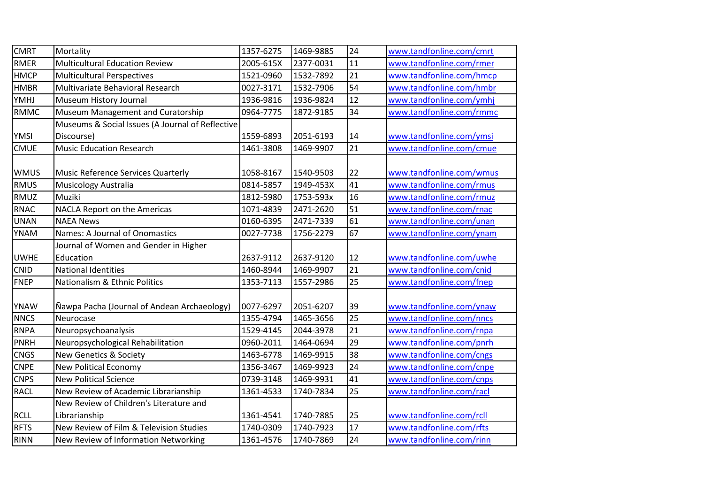| <b>CMRT</b> | Mortality                                        | 1357-6275 | 1469-9885 | 24              | www.tandfonline.com/cmrt |
|-------------|--------------------------------------------------|-----------|-----------|-----------------|--------------------------|
| <b>RMER</b> | <b>Multicultural Education Review</b>            | 2005-615X | 2377-0031 | 11              | www.tandfonline.com/rmer |
| <b>HMCP</b> | <b>Multicultural Perspectives</b>                | 1521-0960 | 1532-7892 | $\overline{21}$ | www.tandfonline.com/hmcp |
| <b>HMBR</b> | Multivariate Behavioral Research                 | 0027-3171 | 1532-7906 | 54              | www.tandfonline.com/hmbr |
| YMHJ        | Museum History Journal                           | 1936-9816 | 1936-9824 | 12              | www.tandfonline.com/ymhj |
| <b>RMMC</b> | Museum Management and Curatorship                | 0964-7775 | 1872-9185 | 34              | www.tandfonline.com/rmmc |
|             | Museums & Social Issues (A Journal of Reflective |           |           |                 |                          |
| <b>YMSI</b> | Discourse)                                       | 1559-6893 | 2051-6193 | 14              | www.tandfonline.com/ymsi |
| <b>CMUE</b> | <b>Music Education Research</b>                  | 1461-3808 | 1469-9907 | 21              | www.tandfonline.com/cmue |
|             |                                                  |           |           |                 |                          |
| <b>WMUS</b> | Music Reference Services Quarterly               | 1058-8167 | 1540-9503 | 22              | www.tandfonline.com/wmus |
| <b>RMUS</b> | Musicology Australia                             | 0814-5857 | 1949-453X | 41              | www.tandfonline.com/rmus |
| <b>RMUZ</b> | Muziki                                           | 1812-5980 | 1753-593x | 16              | www.tandfonline.com/rmuz |
| <b>RNAC</b> | NACLA Report on the Americas                     | 1071-4839 | 2471-2620 | 51              | www.tandfonline.com/rnac |
| <b>UNAN</b> | <b>NAEA News</b>                                 | 0160-6395 | 2471-7339 | 61              | www.tandfonline.com/unan |
| <b>YNAM</b> | Names: A Journal of Onomastics                   | 0027-7738 | 1756-2279 | 67              | www.tandfonline.com/ynam |
|             | Journal of Women and Gender in Higher            |           |           |                 |                          |
| <b>UWHE</b> | Education                                        | 2637-9112 | 2637-9120 | 12              | www.tandfonline.com/uwhe |
| CNID        | <b>National Identities</b>                       | 1460-8944 | 1469-9907 | $\overline{21}$ | www.tandfonline.com/cnid |
| <b>FNEP</b> | Nationalism & Ethnic Politics                    | 1353-7113 | 1557-2986 | 25              | www.tandfonline.com/fnep |
|             |                                                  |           |           |                 |                          |
| <b>YNAW</b> | Nawpa Pacha (Journal of Andean Archaeology)      | 0077-6297 | 2051-6207 | 39              | www.tandfonline.com/ynaw |
| <b>NNCS</b> | Neurocase                                        | 1355-4794 | 1465-3656 | 25              | www.tandfonline.com/nncs |
| <b>RNPA</b> | Neuropsychoanalysis                              | 1529-4145 | 2044-3978 | 21              | www.tandfonline.com/rnpa |
| <b>PNRH</b> | Neuropsychological Rehabilitation                | 0960-2011 | 1464-0694 | $\overline{29}$ | www.tandfonline.com/pnrh |
| <b>CNGS</b> | <b>New Genetics &amp; Society</b>                | 1463-6778 | 1469-9915 | 38              | www.tandfonline.com/cngs |
| <b>CNPE</b> | <b>New Political Economy</b>                     | 1356-3467 | 1469-9923 | 24              | www.tandfonline.com/cnpe |
| <b>CNPS</b> | <b>New Political Science</b>                     | 0739-3148 | 1469-9931 | 41              | www.tandfonline.com/cnps |
| <b>RACL</b> | New Review of Academic Librarianship             | 1361-4533 | 1740-7834 | 25              | www.tandfonline.com/racl |
|             | New Review of Children's Literature and          |           |           |                 |                          |
| <b>RCLL</b> | Librarianship                                    | 1361-4541 | 1740-7885 | 25              | www.tandfonline.com/rcll |
| <b>RFTS</b> | New Review of Film & Television Studies          | 1740-0309 | 1740-7923 | 17              | www.tandfonline.com/rfts |
| <b>RINN</b> | New Review of Information Networking             | 1361-4576 | 1740-7869 | 24              | www.tandfonline.com/rinn |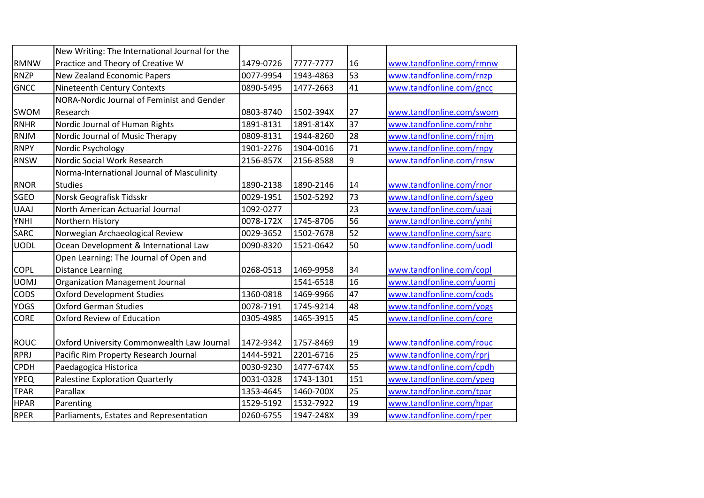|             | New Writing: The International Journal for the |           |           |     |                          |
|-------------|------------------------------------------------|-----------|-----------|-----|--------------------------|
| <b>RMNW</b> | Practice and Theory of Creative W              | 1479-0726 | 7777-7777 | 16  | www.tandfonline.com/rmnw |
| <b>RNZP</b> | <b>New Zealand Economic Papers</b>             | 0077-9954 | 1943-4863 | 53  | www.tandfonline.com/rnzp |
| <b>GNCC</b> | Nineteenth Century Contexts                    | 0890-5495 | 1477-2663 | 41  | www.tandfonline.com/gncc |
|             | NORA-Nordic Journal of Feminist and Gender     |           |           |     |                          |
| SWOM        | Research                                       | 0803-8740 | 1502-394X | 27  | www.tandfonline.com/swom |
| <b>RNHR</b> | Nordic Journal of Human Rights                 | 1891-8131 | 1891-814X | 37  | www.tandfonline.com/rnhr |
| <b>RNJM</b> | Nordic Journal of Music Therapy                | 0809-8131 | 1944-8260 | 28  | www.tandfonline.com/rnjm |
| <b>RNPY</b> | Nordic Psychology                              | 1901-2276 | 1904-0016 | 71  | www.tandfonline.com/rnpy |
| <b>RNSW</b> | Nordic Social Work Research                    | 2156-857X | 2156-8588 | 9   | www.tandfonline.com/rnsw |
|             | Norma-International Journal of Masculinity     |           |           |     |                          |
| <b>RNOR</b> | <b>Studies</b>                                 | 1890-2138 | 1890-2146 | 14  | www.tandfonline.com/rnor |
| SGEO        | Norsk Geografisk Tidsskr                       | 0029-1951 | 1502-5292 | 73  | www.tandfonline.com/sgeo |
| <b>UAAJ</b> | North American Actuarial Journal               | 1092-0277 |           | 23  | www.tandfonline.com/uaaj |
| <b>YNHI</b> | Northern History                               | 0078-172X | 1745-8706 | 56  | www.tandfonline.com/ynhi |
| SARC        | Norwegian Archaeological Review                | 0029-3652 | 1502-7678 | 52  | www.tandfonline.com/sarc |
| <b>UODL</b> | Ocean Development & International Law          | 0090-8320 | 1521-0642 | 50  | www.tandfonline.com/uodl |
|             | Open Learning: The Journal of Open and         |           |           |     |                          |
| <b>COPL</b> | <b>Distance Learning</b>                       | 0268-0513 | 1469-9958 | 34  | www.tandfonline.com/copl |
| <b>UOMJ</b> | <b>Organization Management Journal</b>         |           | 1541-6518 | 16  | www.tandfonline.com/uomj |
| CODS        | <b>Oxford Development Studies</b>              | 1360-0818 | 1469-9966 | 47  | www.tandfonline.com/cods |
| <b>YOGS</b> | <b>Oxford German Studies</b>                   | 0078-7191 | 1745-9214 | 48  | www.tandfonline.com/yogs |
| <b>CORE</b> | <b>Oxford Review of Education</b>              | 0305-4985 | 1465-3915 | 45  | www.tandfonline.com/core |
|             |                                                |           |           |     |                          |
| <b>ROUC</b> | Oxford University Commonwealth Law Journal     | 1472-9342 | 1757-8469 | 19  | www.tandfonline.com/rouc |
| <b>RPRJ</b> | Pacific Rim Property Research Journal          | 1444-5921 | 2201-6716 | 25  | www.tandfonline.com/rprj |
| <b>CPDH</b> | Paedagogica Historica                          | 0030-9230 | 1477-674X | 55  | www.tandfonline.com/cpdh |
| <b>YPEQ</b> | <b>Palestine Exploration Quarterly</b>         | 0031-0328 | 1743-1301 | 151 | www.tandfonline.com/ypeq |
| <b>TPAR</b> | Parallax                                       | 1353-4645 | 1460-700X | 25  | www.tandfonline.com/tpar |
| <b>HPAR</b> | Parenting                                      | 1529-5192 | 1532-7922 | 19  | www.tandfonline.com/hpar |
| <b>RPER</b> | Parliaments, Estates and Representation        | 0260-6755 | 1947-248X | 39  | www.tandfonline.com/rper |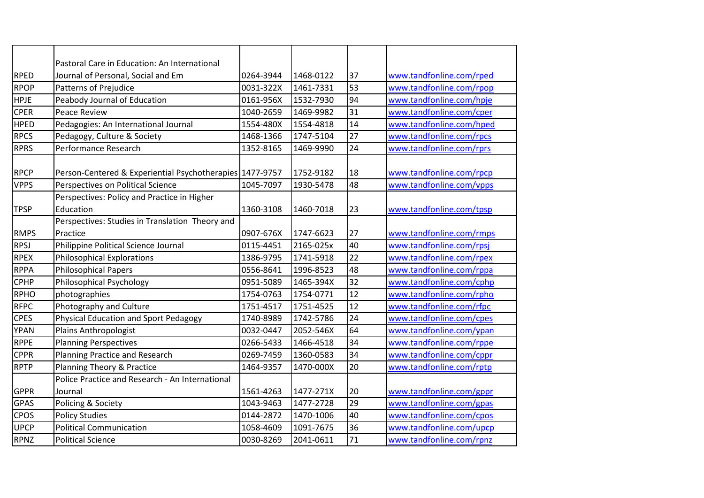|             | Pastoral Care in Education: An International             |           |           |    |                          |
|-------------|----------------------------------------------------------|-----------|-----------|----|--------------------------|
| <b>RPED</b> | Journal of Personal, Social and Em                       | 0264-3944 | 1468-0122 | 37 | www.tandfonline.com/rped |
| <b>RPOP</b> | <b>Patterns of Prejudice</b>                             | 0031-322X | 1461-7331 | 53 | www.tandfonline.com/rpop |
| <b>HPJE</b> | Peabody Journal of Education                             | 0161-956X | 1532-7930 | 94 | www.tandfonline.com/hpje |
| <b>CPER</b> | Peace Review                                             | 1040-2659 | 1469-9982 | 31 | www.tandfonline.com/cper |
| <b>HPED</b> | Pedagogies: An International Journal                     | 1554-480X | 1554-4818 | 14 | www.tandfonline.com/hped |
| <b>RPCS</b> | Pedagogy, Culture & Society                              | 1468-1366 | 1747-5104 | 27 | www.tandfonline.com/rpcs |
| <b>RPRS</b> | Performance Research                                     | 1352-8165 | 1469-9990 | 24 | www.tandfonline.com/rprs |
|             |                                                          |           |           |    |                          |
| <b>RPCP</b> | Person-Centered & Experiential Psychotherapies 1477-9757 |           | 1752-9182 | 18 | www.tandfonline.com/rpcp |
| <b>VPPS</b> | Perspectives on Political Science                        | 1045-7097 | 1930-5478 | 48 | www.tandfonline.com/vpps |
|             | Perspectives: Policy and Practice in Higher              |           |           |    |                          |
| <b>TPSP</b> | Education                                                | 1360-3108 | 1460-7018 | 23 | www.tandfonline.com/tpsp |
|             | Perspectives: Studies in Translation Theory and          |           |           |    |                          |
| <b>RMPS</b> | Practice                                                 | 0907-676X | 1747-6623 | 27 | www.tandfonline.com/rmps |
| <b>RPSJ</b> | Philippine Political Science Journal                     | 0115-4451 | 2165-025x | 40 | www.tandfonline.com/rpsj |
| <b>RPEX</b> | <b>Philosophical Explorations</b>                        | 1386-9795 | 1741-5918 | 22 | www.tandfonline.com/rpex |
| <b>RPPA</b> | <b>Philosophical Papers</b>                              | 0556-8641 | 1996-8523 | 48 | www.tandfonline.com/rppa |
| <b>CPHP</b> | <b>Philosophical Psychology</b>                          | 0951-5089 | 1465-394X | 32 | www.tandfonline.com/cphp |
| <b>RPHO</b> | photographies                                            | 1754-0763 | 1754-0771 | 12 | www.tandfonline.com/rpho |
| <b>RFPC</b> | Photography and Culture                                  | 1751-4517 | 1751-4525 | 12 | www.tandfonline.com/rfpc |
| <b>CPES</b> | Physical Education and Sport Pedagogy                    | 1740-8989 | 1742-5786 | 24 | www.tandfonline.com/cpes |
| YPAN        | Plains Anthropologist                                    | 0032-0447 | 2052-546X | 64 | www.tandfonline.com/ypan |
| <b>RPPE</b> | <b>Planning Perspectives</b>                             | 0266-5433 | 1466-4518 | 34 | www.tandfonline.com/rppe |
| <b>CPPR</b> | Planning Practice and Research                           | 0269-7459 | 1360-0583 | 34 | www.tandfonline.com/cppr |
| <b>RPTP</b> | Planning Theory & Practice                               | 1464-9357 | 1470-000X | 20 | www.tandfonline.com/rptp |
|             | Police Practice and Research - An International          |           |           |    |                          |
| <b>GPPR</b> | Journal                                                  | 1561-4263 | 1477-271X | 20 | www.tandfonline.com/gppr |
| <b>GPAS</b> | Policing & Society                                       | 1043-9463 | 1477-2728 | 29 | www.tandfonline.com/gpas |
| CPOS        | <b>Policy Studies</b>                                    | 0144-2872 | 1470-1006 | 40 | www.tandfonline.com/cpos |
| <b>UPCP</b> | <b>Political Communication</b>                           | 1058-4609 | 1091-7675 | 36 | www.tandfonline.com/upcp |
| <b>RPNZ</b> | <b>Political Science</b>                                 | 0030-8269 | 2041-0611 | 71 | www.tandfonline.com/rpnz |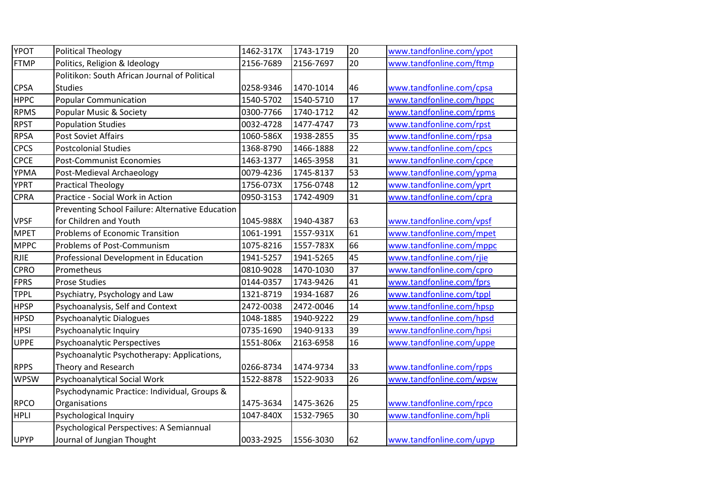| <b>YPOT</b> | <b>Political Theology</b>                        | 1462-317X | 1743-1719 | 20 | www.tandfonline.com/ypot |
|-------------|--------------------------------------------------|-----------|-----------|----|--------------------------|
| <b>FTMP</b> | Politics, Religion & Ideology                    | 2156-7689 | 2156-7697 | 20 | www.tandfonline.com/ftmp |
|             | Politikon: South African Journal of Political    |           |           |    |                          |
| <b>CPSA</b> | <b>Studies</b>                                   | 0258-9346 | 1470-1014 | 46 | www.tandfonline.com/cpsa |
| <b>HPPC</b> | <b>Popular Communication</b>                     | 1540-5702 | 1540-5710 | 17 | www.tandfonline.com/hppc |
| RPMS        | Popular Music & Society                          | 0300-7766 | 1740-1712 | 42 | www.tandfonline.com/rpms |
| <b>RPST</b> | <b>Population Studies</b>                        | 0032-4728 | 1477-4747 | 73 | www.tandfonline.com/rpst |
| <b>RPSA</b> | <b>Post Soviet Affairs</b>                       | 1060-586X | 1938-2855 | 35 | www.tandfonline.com/rpsa |
| <b>CPCS</b> | <b>Postcolonial Studies</b>                      | 1368-8790 | 1466-1888 | 22 | www.tandfonline.com/cpcs |
| <b>CPCE</b> | <b>Post-Communist Economies</b>                  | 1463-1377 | 1465-3958 | 31 | www.tandfonline.com/cpce |
| <b>YPMA</b> | Post-Medieval Archaeology                        | 0079-4236 | 1745-8137 | 53 | www.tandfonline.com/ypma |
| <b>YPRT</b> | <b>Practical Theology</b>                        | 1756-073X | 1756-0748 | 12 | www.tandfonline.com/yprt |
| <b>CPRA</b> | Practice - Social Work in Action                 | 0950-3153 | 1742-4909 | 31 | www.tandfonline.com/cpra |
|             | Preventing School Failure: Alternative Education |           |           |    |                          |
| <b>VPSF</b> | for Children and Youth                           | 1045-988X | 1940-4387 | 63 | www.tandfonline.com/vpsf |
| <b>MPET</b> | <b>Problems of Economic Transition</b>           | 1061-1991 | 1557-931X | 61 | www.tandfonline.com/mpet |
| <b>MPPC</b> | <b>Problems of Post-Communism</b>                | 1075-8216 | 1557-783X | 66 | www.tandfonline.com/mppc |
| RJIE        | Professional Development in Education            | 1941-5257 | 1941-5265 | 45 | www.tandfonline.com/rjie |
| <b>CPRO</b> | Prometheus                                       | 0810-9028 | 1470-1030 | 37 | www.tandfonline.com/cpro |
| <b>FPRS</b> | <b>Prose Studies</b>                             | 0144-0357 | 1743-9426 | 41 | www.tandfonline.com/fprs |
| TPPL        | Psychiatry, Psychology and Law                   | 1321-8719 | 1934-1687 | 26 | www.tandfonline.com/tppl |
| <b>HPSP</b> | Psychoanalysis, Self and Context                 | 2472-0038 | 2472-0046 | 14 | www.tandfonline.com/hpsp |
| <b>HPSD</b> | Psychoanalytic Dialogues                         | 1048-1885 | 1940-9222 | 29 | www.tandfonline.com/hpsd |
| <b>HPSI</b> | Psychoanalytic Inquiry                           | 0735-1690 | 1940-9133 | 39 | www.tandfonline.com/hpsi |
| <b>UPPE</b> | Psychoanalytic Perspectives                      | 1551-806x | 2163-6958 | 16 | www.tandfonline.com/uppe |
|             | Psychoanalytic Psychotherapy: Applications,      |           |           |    |                          |
| <b>RPPS</b> | Theory and Research                              | 0266-8734 | 1474-9734 | 33 | www.tandfonline.com/rpps |
| <b>WPSW</b> | Psychoanalytical Social Work                     | 1522-8878 | 1522-9033 | 26 | www.tandfonline.com/wpsw |
|             | Psychodynamic Practice: Individual, Groups &     |           |           |    |                          |
| <b>RPCO</b> | Organisations                                    | 1475-3634 | 1475-3626 | 25 | www.tandfonline.com/rpco |
| <b>HPLI</b> | Psychological Inquiry                            | 1047-840X | 1532-7965 | 30 | www.tandfonline.com/hpli |
|             | Psychological Perspectives: A Semiannual         |           |           |    |                          |
| <b>UPYP</b> | Journal of Jungian Thought                       | 0033-2925 | 1556-3030 | 62 | www.tandfonline.com/upyp |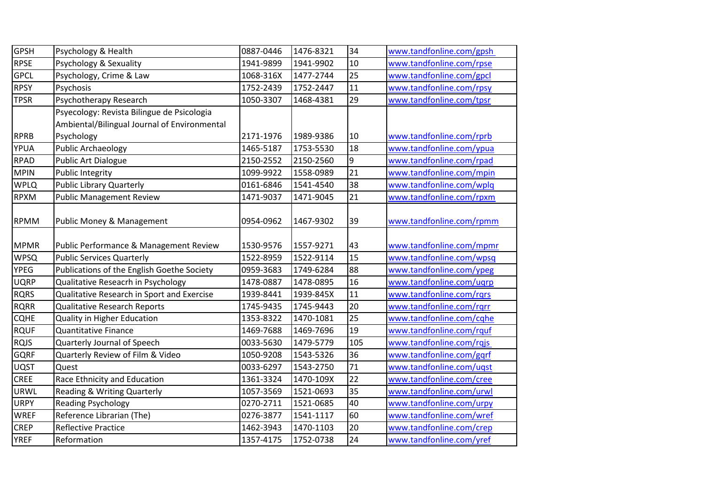| <b>GPSH</b> | Psychology & Health                          | 0887-0446 | 1476-8321 | 34              | www.tandfonline.com/gpsh |
|-------------|----------------------------------------------|-----------|-----------|-----------------|--------------------------|
| <b>RPSE</b> | Psychology & Sexuality                       | 1941-9899 | 1941-9902 | 10              | www.tandfonline.com/rpse |
| <b>GPCL</b> | Psychology, Crime & Law                      | 1068-316X | 1477-2744 | 25              | www.tandfonline.com/gpcl |
| <b>RPSY</b> | Psychosis                                    | 1752-2439 | 1752-2447 | 11              | www.tandfonline.com/rpsy |
| <b>TPSR</b> | Psychotherapy Research                       | 1050-3307 | 1468-4381 | 29              | www.tandfonline.com/tpsr |
|             | Psyecology: Revista Bilingue de Psicologia   |           |           |                 |                          |
|             | Ambiental/Bilingual Journal of Environmental |           |           |                 |                          |
| <b>RPRB</b> | Psychology                                   | 2171-1976 | 1989-9386 | 10              | www.tandfonline.com/rprb |
| YPUA        | <b>Public Archaeology</b>                    | 1465-5187 | 1753-5530 | 18              | www.tandfonline.com/ypua |
| <b>RPAD</b> | Public Art Dialogue                          | 2150-2552 | 2150-2560 | 9               | www.tandfonline.com/rpad |
| <b>MPIN</b> | <b>Public Integrity</b>                      | 1099-9922 | 1558-0989 | $\overline{21}$ | www.tandfonline.com/mpin |
| <b>WPLQ</b> | Public Library Quarterly                     | 0161-6846 | 1541-4540 | 38              | www.tandfonline.com/wplq |
| <b>RPXM</b> | <b>Public Management Review</b>              | 1471-9037 | 1471-9045 | 21              | www.tandfonline.com/rpxm |
| <b>RPMM</b> | Public Money & Management                    | 0954-0962 | 1467-9302 | 39              | www.tandfonline.com/rpmm |
| <b>MPMR</b> | Public Performance & Management Review       | 1530-9576 | 1557-9271 | 43              | www.tandfonline.com/mpmr |
| <b>WPSQ</b> | <b>Public Services Quarterly</b>             | 1522-8959 | 1522-9114 | 15              | www.tandfonline.com/wpsq |
| <b>YPEG</b> | Publications of the English Goethe Society   | 0959-3683 | 1749-6284 | 88              | www.tandfonline.com/ypeg |
| <b>UQRP</b> | Qualitative Reseacrh in Psychology           | 1478-0887 | 1478-0895 | 16              | www.tandfonline.com/uqrp |
| <b>RQRS</b> | Qualitative Research in Sport and Exercise   | 1939-8441 | 1939-845X | 11              | www.tandfonline.com/rqrs |
| <b>RQRR</b> | <b>Qualitative Research Reports</b>          | 1745-9435 | 1745-9443 | 20              | www.tandfonline.com/rgrr |
| <b>CQHE</b> | Quality in Higher Education                  | 1353-8322 | 1470-1081 | 25              | www.tandfonline.com/cqhe |
| <b>RQUF</b> | <b>Quantitative Finance</b>                  | 1469-7688 | 1469-7696 | 19              | www.tandfonline.com/rquf |
| <b>RQJS</b> | Quarterly Journal of Speech                  | 0033-5630 | 1479-5779 | 105             | www.tandfonline.com/rqjs |
| <b>GQRF</b> | Quarterly Review of Film & Video             | 1050-9208 | 1543-5326 | 36              | www.tandfonline.com/gqrf |
| <b>UQST</b> | Quest                                        | 0033-6297 | 1543-2750 | 71              | www.tandfonline.com/uqst |
| <b>CREE</b> | Race Ethnicity and Education                 | 1361-3324 | 1470-109X | 22              | www.tandfonline.com/cree |
| <b>URWL</b> | <b>Reading &amp; Writing Quarterly</b>       | 1057-3569 | 1521-0693 | 35              | www.tandfonline.com/urwl |
| <b>URPY</b> | <b>Reading Psychology</b>                    | 0270-2711 | 1521-0685 | 40              | www.tandfonline.com/urpy |
| <b>WREF</b> | Reference Librarian (The)                    | 0276-3877 | 1541-1117 | 60              | www.tandfonline.com/wref |
| <b>CREP</b> | <b>Reflective Practice</b>                   | 1462-3943 | 1470-1103 | 20              | www.tandfonline.com/crep |
| <b>YREF</b> | Reformation                                  | 1357-4175 | 1752-0738 | 24              | www.tandfonline.com/yref |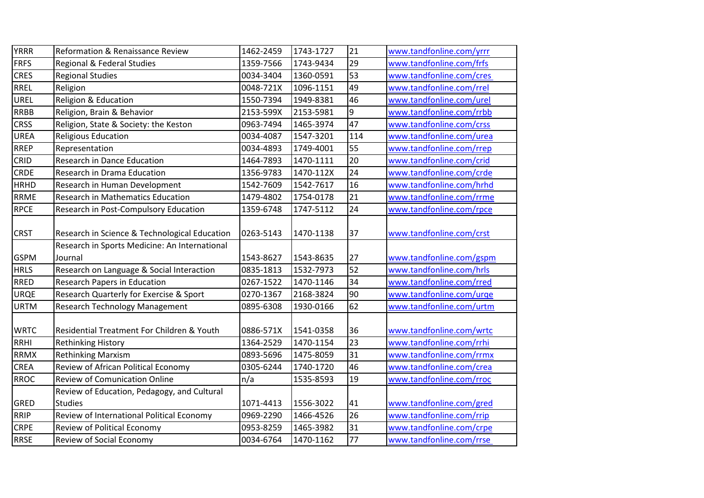| <b>YRRR</b> | Reformation & Renaissance Review              | 1462-2459 | 1743-1727 | 21  | www.tandfonline.com/yrrr |
|-------------|-----------------------------------------------|-----------|-----------|-----|--------------------------|
| <b>FRFS</b> | Regional & Federal Studies                    | 1359-7566 | 1743-9434 | 29  | www.tandfonline.com/frfs |
| <b>CRES</b> | <b>Regional Studies</b>                       | 0034-3404 | 1360-0591 | 53  | www.tandfonline.com/cres |
| <b>RREL</b> | Religion                                      | 0048-721X | 1096-1151 | 49  | www.tandfonline.com/rrel |
| UREL        | Religion & Education                          | 1550-7394 | 1949-8381 | 46  | www.tandfonline.com/urel |
| <b>RRBB</b> | Religion, Brain & Behavior                    | 2153-599X | 2153-5981 | 9   | www.tandfonline.com/rrbb |
| <b>CRSS</b> | Religion, State & Society: the Keston         | 0963-7494 | 1465-3974 | 47  | www.tandfonline.com/crss |
| <b>UREA</b> | <b>Religious Education</b>                    | 0034-4087 | 1547-3201 | 114 | www.tandfonline.com/urea |
| <b>RREP</b> | Representation                                | 0034-4893 | 1749-4001 | 55  | www.tandfonline.com/rrep |
| CRID        | <b>Research in Dance Education</b>            | 1464-7893 | 1470-1111 | 20  | www.tandfonline.com/crid |
| CRDE        | Research in Drama Education                   | 1356-9783 | 1470-112X | 24  | www.tandfonline.com/crde |
| <b>HRHD</b> | Research in Human Development                 | 1542-7609 | 1542-7617 | 16  | www.tandfonline.com/hrhd |
| RRME        | <b>Research in Mathematics Education</b>      | 1479-4802 | 1754-0178 | 21  | www.tandfonline.com/rrme |
| <b>RPCE</b> | Research in Post-Compulsory Education         | 1359-6748 | 1747-5112 | 24  | www.tandfonline.com/rpce |
|             |                                               |           |           |     |                          |
| <b>CRST</b> | Research in Science & Technological Education | 0263-5143 | 1470-1138 | 37  | www.tandfonline.com/crst |
|             | Research in Sports Medicine: An International |           |           |     |                          |
| <b>GSPM</b> | Journal                                       | 1543-8627 | 1543-8635 | 27  | www.tandfonline.com/gspm |
| <b>HRLS</b> | Research on Language & Social Interaction     | 0835-1813 | 1532-7973 | 52  | www.tandfonline.com/hrls |
| <b>RRED</b> | <b>Research Papers in Education</b>           | 0267-1522 | 1470-1146 | 34  | www.tandfonline.com/rred |
| <b>URQE</b> | Research Quarterly for Exercise & Sport       | 0270-1367 | 2168-3824 | 90  | www.tandfonline.com/urge |
| <b>URTM</b> | <b>Research Technology Management</b>         | 0895-6308 | 1930-0166 | 62  | www.tandfonline.com/urtm |
|             |                                               |           |           |     |                          |
| <b>WRTC</b> | Residential Treatment For Children & Youth    | 0886-571X | 1541-0358 | 36  | www.tandfonline.com/wrtc |
| <b>RRHI</b> | <b>Rethinking History</b>                     | 1364-2529 | 1470-1154 | 23  | www.tandfonline.com/rrhi |
| <b>RRMX</b> | <b>Rethinking Marxism</b>                     | 0893-5696 | 1475-8059 | 31  | www.tandfonline.com/rrmx |
| <b>CREA</b> | Review of African Political Economy           | 0305-6244 | 1740-1720 | 46  | www.tandfonline.com/crea |
| <b>RROC</b> | <b>Review of Comunication Online</b>          | n/a       | 1535-8593 | 19  | www.tandfonline.com/rroc |
|             | Review of Education, Pedagogy, and Cultural   |           |           |     |                          |
| GRED        | <b>Studies</b>                                | 1071-4413 | 1556-3022 | 41  | www.tandfonline.com/gred |
| <b>RRIP</b> | Review of International Political Economy     | 0969-2290 | 1466-4526 | 26  | www.tandfonline.com/rrip |
| <b>CRPE</b> | Review of Political Economy                   | 0953-8259 | 1465-3982 | 31  | www.tandfonline.com/crpe |
| <b>RRSE</b> | Review of Social Economy                      | 0034-6764 | 1470-1162 | 77  | www.tandfonline.com/rrse |
|             |                                               |           |           |     |                          |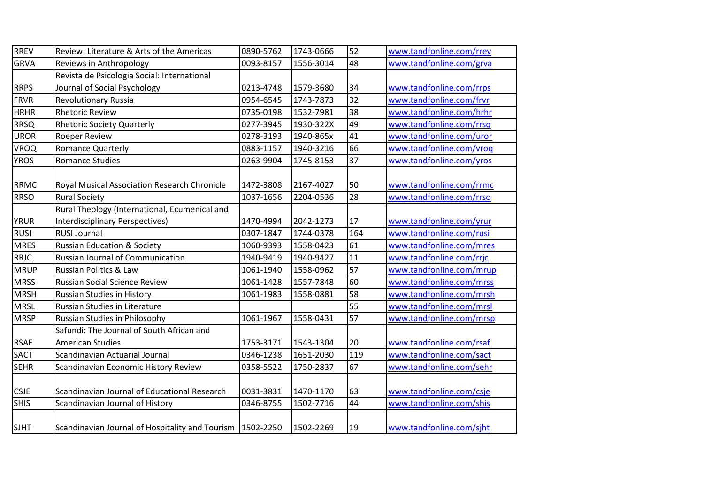| <b>RREV</b> | Review: Literature & Arts of the Americas                   | 0890-5762 | 1743-0666 | 52  | www.tandfonline.com/rrev |
|-------------|-------------------------------------------------------------|-----------|-----------|-----|--------------------------|
| <b>GRVA</b> | Reviews in Anthropology                                     | 0093-8157 | 1556-3014 | 48  | www.tandfonline.com/grva |
|             | Revista de Psicologia Social: International                 |           |           |     |                          |
| <b>RRPS</b> | Journal of Social Psychology                                | 0213-4748 | 1579-3680 | 34  | www.tandfonline.com/rrps |
| <b>FRVR</b> | <b>Revolutionary Russia</b>                                 | 0954-6545 | 1743-7873 | 32  | www.tandfonline.com/frvr |
| <b>HRHR</b> | <b>Rhetoric Review</b>                                      | 0735-0198 | 1532-7981 | 38  | www.tandfonline.com/hrhr |
| <b>RRSQ</b> | <b>Rhetoric Society Quarterly</b>                           | 0277-3945 | 1930-322X | 49  | www.tandfonline.com/rrsq |
| <b>UROR</b> | Roeper Review                                               | 0278-3193 | 1940-865x | 41  | www.tandfonline.com/uror |
| <b>VROQ</b> | Romance Quarterly                                           | 0883-1157 | 1940-3216 | 66  | www.tandfonline.com/vroq |
| <b>YROS</b> | <b>Romance Studies</b>                                      | 0263-9904 | 1745-8153 | 37  | www.tandfonline.com/yros |
| <b>RRMC</b> | Royal Musical Association Research Chronicle                | 1472-3808 | 2167-4027 | 50  | www.tandfonline.com/rrmc |
| <b>RRSO</b> | <b>Rural Society</b>                                        | 1037-1656 | 2204-0536 | 28  | www.tandfonline.com/rrso |
|             | Rural Theology (International, Ecumenical and               |           |           |     |                          |
| <b>YRUR</b> | <b>Interdisciplinary Perspectives)</b>                      | 1470-4994 | 2042-1273 | 17  | www.tandfonline.com/yrur |
| <b>RUSI</b> | <b>RUSI Journal</b>                                         | 0307-1847 | 1744-0378 | 164 | www.tandfonline.com/rusi |
| <b>MRES</b> | <b>Russian Education &amp; Society</b>                      | 1060-9393 | 1558-0423 | 61  | www.tandfonline.com/mres |
| <b>RRJC</b> | <b>Russian Journal of Communication</b>                     | 1940-9419 | 1940-9427 | 11  | www.tandfonline.com/rrjc |
| <b>MRUP</b> | Russian Politics & Law                                      | 1061-1940 | 1558-0962 | 57  | www.tandfonline.com/mrup |
| <b>MRSS</b> | <b>Russian Social Science Review</b>                        | 1061-1428 | 1557-7848 | 60  | www.tandfonline.com/mrss |
| <b>MRSH</b> | Russian Studies in History                                  | 1061-1983 | 1558-0881 | 58  | www.tandfonline.com/mrsh |
| <b>MRSL</b> | Russian Studies in Literature                               |           |           | 55  | www.tandfonline.com/mrsl |
| <b>MRSP</b> | Russian Studies in Philosophy                               | 1061-1967 | 1558-0431 | 57  | www.tandfonline.com/mrsp |
|             | Safundi: The Journal of South African and                   |           |           |     |                          |
| <b>RSAF</b> | <b>American Studies</b>                                     | 1753-3171 | 1543-1304 | 20  | www.tandfonline.com/rsaf |
| <b>SACT</b> | Scandinavian Actuarial Journal                              | 0346-1238 | 1651-2030 | 119 | www.tandfonline.com/sact |
| <b>SEHR</b> | Scandinavian Economic History Review                        | 0358-5522 | 1750-2837 | 67  | www.tandfonline.com/sehr |
| <b>CSJE</b> | Scandinavian Journal of Educational Research                | 0031-3831 | 1470-1170 | 63  | www.tandfonline.com/csje |
| <b>SHIS</b> | Scandinavian Journal of History                             | 0346-8755 | 1502-7716 | 44  | www.tandfonline.com/shis |
| <b>SJHT</b> | Scandinavian Journal of Hospitality and Tourism   1502-2250 |           | 1502-2269 | 19  | www.tandfonline.com/sjht |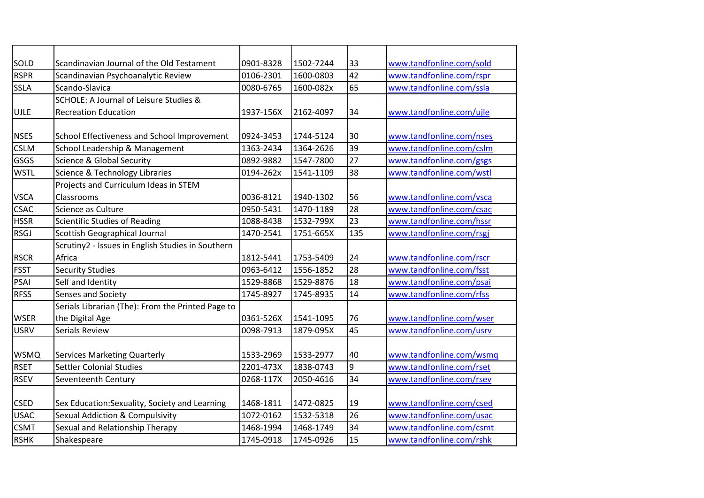| SOLD        | Scandinavian Journal of the Old Testament         | 0901-8328 | 1502-7244 | 33  | www.tandfonline.com/sold |
|-------------|---------------------------------------------------|-----------|-----------|-----|--------------------------|
| <b>RSPR</b> | Scandinavian Psychoanalytic Review                | 0106-2301 | 1600-0803 | 42  | www.tandfonline.com/rspr |
| SSLA        | Scando-Slavica                                    | 0080-6765 | 1600-082x | 65  | www.tandfonline.com/ssla |
|             | SCHOLE: A Journal of Leisure Studies &            |           |           |     |                          |
| <b>UJLE</b> | <b>Recreation Education</b>                       | 1937-156X | 2162-4097 | 34  | www.tandfonline.com/ujle |
|             |                                                   |           |           |     |                          |
| <b>NSES</b> | School Effectiveness and School Improvement       | 0924-3453 | 1744-5124 | 30  | www.tandfonline.com/nses |
| <b>CSLM</b> | School Leadership & Management                    | 1363-2434 | 1364-2626 | 39  | www.tandfonline.com/cslm |
| GSGS        | Science & Global Security                         | 0892-9882 | 1547-7800 | 27  | www.tandfonline.com/gsgs |
| <b>WSTL</b> | Science & Technology Libraries                    | 0194-262x | 1541-1109 | 38  | www.tandfonline.com/wstl |
|             | Projects and Curriculum Ideas in STEM             |           |           |     |                          |
| <b>VSCA</b> | Classrooms                                        | 0036-8121 | 1940-1302 | 56  | www.tandfonline.com/vsca |
| <b>CSAC</b> | Science as Culture                                | 0950-5431 | 1470-1189 | 28  | www.tandfonline.com/csac |
| <b>HSSR</b> | Scientific Studies of Reading                     | 1088-8438 | 1532-799X | 23  | www.tandfonline.com/hssr |
| <b>RSGJ</b> | <b>Scottish Geographical Journal</b>              | 1470-2541 | 1751-665X | 135 | www.tandfonline.com/rsgi |
|             | Scrutiny2 - Issues in English Studies in Southern |           |           |     |                          |
| <b>RSCR</b> | Africa                                            | 1812-5441 | 1753-5409 | 24  | www.tandfonline.com/rscr |
| <b>FSST</b> | <b>Security Studies</b>                           | 0963-6412 | 1556-1852 | 28  | www.tandfonline.com/fsst |
| PSAI        | Self and Identity                                 | 1529-8868 | 1529-8876 | 18  | www.tandfonline.com/psai |
| <b>RFSS</b> | Senses and Society                                | 1745-8927 | 1745-8935 | 14  | www.tandfonline.com/rfss |
|             | Serials Librarian (The): From the Printed Page to |           |           |     |                          |
| <b>WSER</b> | the Digital Age                                   | 0361-526X | 1541-1095 | 76  | www.tandfonline.com/wser |
| <b>USRV</b> | <b>Serials Review</b>                             | 0098-7913 | 1879-095X | 45  | www.tandfonline.com/usrv |
|             |                                                   |           |           |     |                          |
| <b>WSMQ</b> | <b>Services Marketing Quarterly</b>               | 1533-2969 | 1533-2977 | 40  | www.tandfonline.com/wsmq |
| <b>RSET</b> | <b>Settler Colonial Studies</b>                   | 2201-473X | 1838-0743 | l9  | www.tandfonline.com/rset |
| <b>RSEV</b> | Seventeenth Century                               | 0268-117X | 2050-4616 | 34  | www.tandfonline.com/rsev |
|             |                                                   |           |           |     |                          |
| <b>CSED</b> | Sex Education: Sexuality, Society and Learning    | 1468-1811 | 1472-0825 | 19  | www.tandfonline.com/csed |
| <b>USAC</b> | <b>Sexual Addiction &amp; Compulsivity</b>        | 1072-0162 | 1532-5318 | 26  | www.tandfonline.com/usac |
| <b>CSMT</b> | Sexual and Relationship Therapy                   | 1468-1994 | 1468-1749 | 34  | www.tandfonline.com/csmt |
| <b>RSHK</b> | Shakespeare                                       | 1745-0918 | 1745-0926 | 15  | www.tandfonline.com/rshk |
|             |                                                   |           |           |     |                          |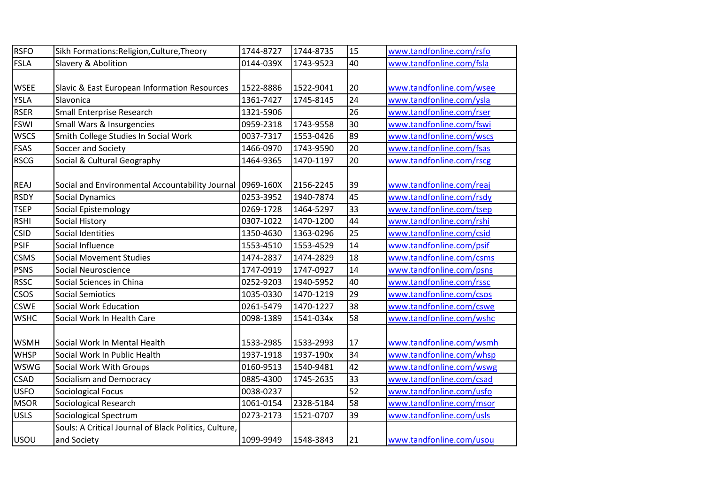| <b>RSFO</b> | Sikh Formations: Religion, Culture, Theory            | 1744-8727 | 1744-8735 | 15              | www.tandfonline.com/rsfo |
|-------------|-------------------------------------------------------|-----------|-----------|-----------------|--------------------------|
| <b>FSLA</b> | Slavery & Abolition                                   | 0144-039X | 1743-9523 | 40              | www.tandfonline.com/fsla |
|             |                                                       |           |           |                 |                          |
| <b>WSEE</b> | Slavic & East European Information Resources          | 1522-8886 | 1522-9041 | 20              | www.tandfonline.com/wsee |
| YSLA        | Slavonica                                             | 1361-7427 | 1745-8145 | 24              | www.tandfonline.com/ysla |
| <b>RSER</b> | Small Enterprise Research                             | 1321-5906 |           | 26              | www.tandfonline.com/rser |
| <b>FSWI</b> | Small Wars & Insurgencies                             | 0959-2318 | 1743-9558 | 30              | www.tandfonline.com/fswi |
| <b>WSCS</b> | Smith College Studies In Social Work                  | 0037-7317 | 1553-0426 | 89              | www.tandfonline.com/wscs |
| <b>FSAS</b> | Soccer and Society                                    | 1466-0970 | 1743-9590 | 20              | www.tandfonline.com/fsas |
| <b>RSCG</b> | Social & Cultural Geography                           | 1464-9365 | 1470-1197 | 20              | www.tandfonline.com/rscg |
|             |                                                       |           |           |                 |                          |
| REAJ        | Social and Environmental Accountability Journal       | 0969-160X | 2156-2245 | 39              | www.tandfonline.com/reaj |
| <b>RSDY</b> | <b>Social Dynamics</b>                                | 0253-3952 | 1940-7874 | 45              | www.tandfonline.com/rsdy |
| <b>TSEP</b> | Social Epistemology                                   | 0269-1728 | 1464-5297 | 33              | www.tandfonline.com/tsep |
| <b>RSHI</b> | <b>Social History</b>                                 | 0307-1022 | 1470-1200 | 44              | www.tandfonline.com/rshi |
| <b>CSID</b> | <b>Social Identities</b>                              | 1350-4630 | 1363-0296 | 25              | www.tandfonline.com/csid |
| <b>PSIF</b> | Social Influence                                      | 1553-4510 | 1553-4529 | 14              | www.tandfonline.com/psif |
| <b>CSMS</b> | <b>Social Movement Studies</b>                        | 1474-2837 | 1474-2829 | 18              | www.tandfonline.com/csms |
| <b>PSNS</b> | Social Neuroscience                                   | 1747-0919 | 1747-0927 | 14              | www.tandfonline.com/psns |
| <b>RSSC</b> | Social Sciences in China                              | 0252-9203 | 1940-5952 | 40              | www.tandfonline.com/rssc |
| <b>CSOS</b> | <b>Social Semiotics</b>                               | 1035-0330 | 1470-1219 | $\overline{29}$ | www.tandfonline.com/csos |
| <b>CSWE</b> | Social Work Education                                 | 0261-5479 | 1470-1227 | 38              | www.tandfonline.com/cswe |
| <b>WSHC</b> | Social Work In Health Care                            | 0098-1389 | 1541-034x | 58              | www.tandfonline.com/wshc |
|             |                                                       |           |           |                 |                          |
| <b>WSMH</b> | Social Work In Mental Health                          | 1533-2985 | 1533-2993 | 17              | www.tandfonline.com/wsmh |
| <b>WHSP</b> | Social Work In Public Health                          | 1937-1918 | 1937-190x | 34              | www.tandfonline.com/whsp |
| <b>WSWG</b> | Social Work With Groups                               | 0160-9513 | 1540-9481 | 42              | www.tandfonline.com/wswg |
| CSAD        | Socialism and Democracy                               | 0885-4300 | 1745-2635 | 33              | www.tandfonline.com/csad |
| <b>USFO</b> | <b>Sociological Focus</b>                             | 0038-0237 |           | 52              | www.tandfonline.com/usfo |
| <b>MSOR</b> | Sociological Research                                 | 1061-0154 | 2328-5184 | 58              | www.tandfonline.com/msor |
| <b>USLS</b> | Sociological Spectrum                                 | 0273-2173 | 1521-0707 | 39              | www.tandfonline.com/usls |
|             | Souls: A Critical Journal of Black Politics, Culture, |           |           |                 |                          |
| <b>USOU</b> | and Society                                           | 1099-9949 | 1548-3843 | 21              | www.tandfonline.com/usou |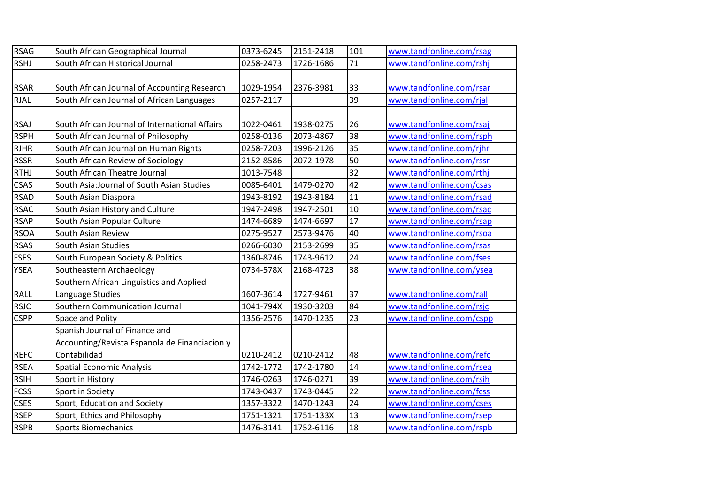| <b>RSAG</b> | South African Geographical Journal             | 0373-6245 | 2151-2418 | 101             | www.tandfonline.com/rsag |
|-------------|------------------------------------------------|-----------|-----------|-----------------|--------------------------|
| <b>RSHJ</b> | South African Historical Journal               | 0258-2473 | 1726-1686 | 71              | www.tandfonline.com/rshj |
|             |                                                |           |           |                 |                          |
| <b>RSAR</b> | South African Journal of Accounting Research   | 1029-1954 | 2376-3981 | 33              | www.tandfonline.com/rsar |
| <b>RJAL</b> | South African Journal of African Languages     | 0257-2117 |           | 39              | www.tandfonline.com/rjal |
|             |                                                |           |           |                 |                          |
| <b>RSAJ</b> | South African Journal of International Affairs | 1022-0461 | 1938-0275 | 26              | www.tandfonline.com/rsaj |
| <b>RSPH</b> | South African Journal of Philosophy            | 0258-0136 | 2073-4867 | 38              | www.tandfonline.com/rsph |
| <b>RJHR</b> | South African Journal on Human Rights          | 0258-7203 | 1996-2126 | 35              | www.tandfonline.com/rjhr |
| <b>RSSR</b> | South African Review of Sociology              | 2152-8586 | 2072-1978 | 50              | www.tandfonline.com/rssr |
| <b>RTHJ</b> | South African Theatre Journal                  | 1013-7548 |           | 32              | www.tandfonline.com/rthj |
| <b>CSAS</b> | South Asia: Journal of South Asian Studies     | 0085-6401 | 1479-0270 | 42              | www.tandfonline.com/csas |
| <b>RSAD</b> | South Asian Diaspora                           | 1943-8192 | 1943-8184 | 11              | www.tandfonline.com/rsad |
| <b>RSAC</b> | South Asian History and Culture                | 1947-2498 | 1947-2501 | 10              | www.tandfonline.com/rsac |
| <b>RSAP</b> | South Asian Popular Culture                    | 1474-6689 | 1474-6697 | 17              | www.tandfonline.com/rsap |
| <b>RSOA</b> | South Asian Review                             | 0275-9527 | 2573-9476 | 40              | www.tandfonline.com/rsoa |
| <b>RSAS</b> | South Asian Studies                            | 0266-6030 | 2153-2699 | 35              | www.tandfonline.com/rsas |
| <b>FSES</b> | South European Society & Politics              | 1360-8746 | 1743-9612 | 24              | www.tandfonline.com/fses |
| <b>YSEA</b> | Southeastern Archaeology                       | 0734-578X | 2168-4723 | 38              | www.tandfonline.com/ysea |
|             | Southern African Linguistics and Applied       |           |           |                 |                          |
| RALL        | Language Studies                               | 1607-3614 | 1727-9461 | 37              | www.tandfonline.com/rall |
| <b>RSJC</b> | Southern Communication Journal                 | 1041-794X | 1930-3203 | 84              | www.tandfonline.com/rsjc |
| <b>CSPP</b> | Space and Polity                               | 1356-2576 | 1470-1235 | 23              | www.tandfonline.com/cspp |
|             | Spanish Journal of Finance and                 |           |           |                 |                          |
|             | Accounting/Revista Espanola de Financiacion y  |           |           |                 |                          |
| <b>REFC</b> | Contabilidad                                   | 0210-2412 | 0210-2412 | 48              | www.tandfonline.com/refc |
| <b>RSEA</b> | <b>Spatial Economic Analysis</b>               | 1742-1772 | 1742-1780 | 14              | www.tandfonline.com/rsea |
| <b>RSIH</b> | Sport in History                               | 1746-0263 | 1746-0271 | 39              | www.tandfonline.com/rsih |
| <b>FCSS</b> | Sport in Society                               | 1743-0437 | 1743-0445 | 22              | www.tandfonline.com/fcss |
| <b>CSES</b> | Sport, Education and Society                   | 1357-3322 | 1470-1243 | $\overline{24}$ | www.tandfonline.com/cses |
| <b>RSEP</b> | Sport, Ethics and Philosophy                   | 1751-1321 | 1751-133X | 13              | www.tandfonline.com/rsep |
| <b>RSPB</b> | <b>Sports Biomechanics</b>                     | 1476-3141 | 1752-6116 | 18              | www.tandfonline.com/rspb |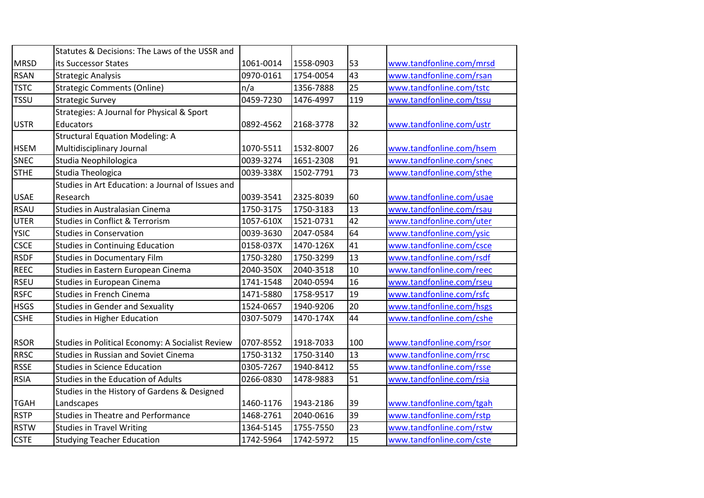|             | Statutes & Decisions: The Laws of the USSR and    |           |           |                 |                          |
|-------------|---------------------------------------------------|-----------|-----------|-----------------|--------------------------|
| <b>MRSD</b> | its Successor States                              | 1061-0014 | 1558-0903 | 53              | www.tandfonline.com/mrsd |
| <b>RSAN</b> | <b>Strategic Analysis</b>                         | 0970-0161 | 1754-0054 | 43              | www.tandfonline.com/rsan |
| <b>TSTC</b> | <b>Strategic Comments (Online)</b>                | n/a       | 1356-7888 | $\overline{25}$ | www.tandfonline.com/tstc |
| <b>TSSU</b> | <b>Strategic Survey</b>                           | 0459-7230 | 1476-4997 | 119             | www.tandfonline.com/tssu |
|             | Strategies: A Journal for Physical & Sport        |           |           |                 |                          |
| <b>USTR</b> | Educators                                         | 0892-4562 | 2168-3778 | 32              | www.tandfonline.com/ustr |
|             | <b>Structural Equation Modeling: A</b>            |           |           |                 |                          |
| <b>HSEM</b> | Multidisciplinary Journal                         | 1070-5511 | 1532-8007 | 26              | www.tandfonline.com/hsem |
| SNEC        | Studia Neophilologica                             | 0039-3274 | 1651-2308 | 91              | www.tandfonline.com/snec |
| <b>STHE</b> | Studia Theologica                                 | 0039-338X | 1502-7791 | 73              | www.tandfonline.com/sthe |
|             | Studies in Art Education: a Journal of Issues and |           |           |                 |                          |
| <b>USAE</b> | Research                                          | 0039-3541 | 2325-8039 | 60              | www.tandfonline.com/usae |
| <b>RSAU</b> | Studies in Australasian Cinema                    | 1750-3175 | 1750-3183 | 13              | www.tandfonline.com/rsau |
| <b>UTER</b> | <b>Studies in Conflict &amp; Terrorism</b>        | 1057-610X | 1521-0731 | 42              | www.tandfonline.com/uter |
| <b>YSIC</b> | <b>Studies in Conservation</b>                    | 0039-3630 | 2047-0584 | 64              | www.tandfonline.com/ysic |
| <b>CSCE</b> | <b>Studies in Continuing Education</b>            | 0158-037X | 1470-126X | 41              | www.tandfonline.com/csce |
| <b>RSDF</b> | <b>Studies in Documentary Film</b>                | 1750-3280 | 1750-3299 | 13              | www.tandfonline.com/rsdf |
| <b>REEC</b> | Studies in Eastern European Cinema                | 2040-350X | 2040-3518 | 10              | www.tandfonline.com/reec |
| <b>RSEU</b> | <b>Studies in European Cinema</b>                 | 1741-1548 | 2040-0594 | 16              | www.tandfonline.com/rseu |
| <b>RSFC</b> | <b>Studies in French Cinema</b>                   | 1471-5880 | 1758-9517 | 19              | www.tandfonline.com/rsfc |
| <b>HSGS</b> | <b>Studies in Gender and Sexuality</b>            | 1524-0657 | 1940-9206 | $\overline{20}$ | www.tandfonline.com/hsgs |
| <b>CSHE</b> | <b>Studies in Higher Education</b>                | 0307-5079 | 1470-174X | 44              | www.tandfonline.com/cshe |
|             |                                                   |           |           |                 |                          |
| <b>RSOR</b> | Studies in Political Economy: A Socialist Review  | 0707-8552 | 1918-7033 | 100             | www.tandfonline.com/rsor |
| <b>RRSC</b> | <b>Studies in Russian and Soviet Cinema</b>       | 1750-3132 | 1750-3140 | 13              | www.tandfonline.com/rrsc |
| <b>RSSE</b> | <b>Studies in Science Education</b>               | 0305-7267 | 1940-8412 | 55              | www.tandfonline.com/rsse |
| <b>RSIA</b> | Studies in the Education of Adults                | 0266-0830 | 1478-9883 | 51              | www.tandfonline.com/rsia |
|             | Studies in the History of Gardens & Designed      |           |           |                 |                          |
| <b>TGAH</b> | Landscapes                                        | 1460-1176 | 1943-2186 | 39              | www.tandfonline.com/tgah |
| <b>RSTP</b> | <b>Studies in Theatre and Performance</b>         | 1468-2761 | 2040-0616 | 39              | www.tandfonline.com/rstp |
| <b>RSTW</b> | <b>Studies in Travel Writing</b>                  | 1364-5145 | 1755-7550 | 23              | www.tandfonline.com/rstw |
| <b>CSTE</b> | <b>Studying Teacher Education</b>                 | 1742-5964 | 1742-5972 | 15              | www.tandfonline.com/cste |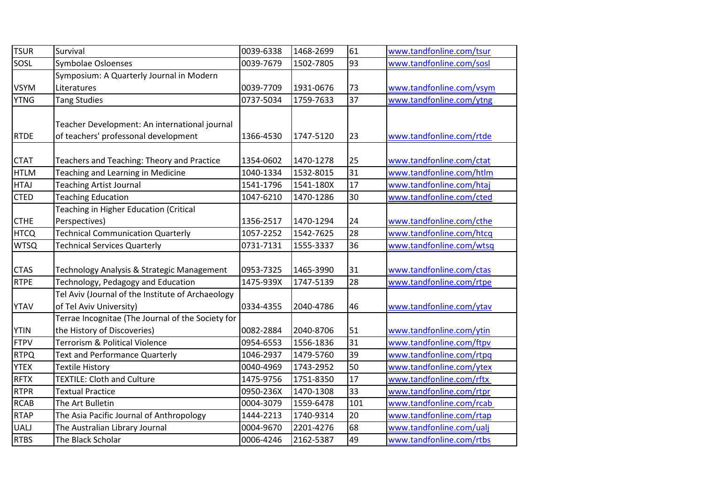| <b>TSUR</b> | Survival                                          | 0039-6338 | 1468-2699 | 61  | www.tandfonline.com/tsur |
|-------------|---------------------------------------------------|-----------|-----------|-----|--------------------------|
| SOSL        | Symbolae Osloenses                                | 0039-7679 | 1502-7805 | 93  | www.tandfonline.com/sosl |
|             | Symposium: A Quarterly Journal in Modern          |           |           |     |                          |
| <b>VSYM</b> | Literatures                                       | 0039-7709 | 1931-0676 | 73  | www.tandfonline.com/vsym |
| <b>YTNG</b> | <b>Tang Studies</b>                               | 0737-5034 | 1759-7633 | 37  | www.tandfonline.com/ytng |
|             |                                                   |           |           |     |                          |
|             | Teacher Development: An international journal     |           |           |     |                          |
| <b>RTDE</b> | of teachers' professonal development              | 1366-4530 | 1747-5120 | 23  | www.tandfonline.com/rtde |
|             |                                                   |           |           |     |                          |
| <b>CTAT</b> | Teachers and Teaching: Theory and Practice        | 1354-0602 | 1470-1278 | 25  | www.tandfonline.com/ctat |
| <b>HTLM</b> | Teaching and Learning in Medicine                 | 1040-1334 | 1532-8015 | 31  | www.tandfonline.com/htlm |
| <b>HTAJ</b> | <b>Teaching Artist Journal</b>                    | 1541-1796 | 1541-180X | 17  | www.tandfonline.com/htaj |
| <b>CTED</b> | <b>Teaching Education</b>                         | 1047-6210 | 1470-1286 | 30  | www.tandfonline.com/cted |
|             | Teaching in Higher Education (Critical            |           |           |     |                          |
| <b>CTHE</b> | Perspectives)                                     | 1356-2517 | 1470-1294 | 24  | www.tandfonline.com/cthe |
| <b>HTCQ</b> | <b>Technical Communication Quarterly</b>          | 1057-2252 | 1542-7625 | 28  | www.tandfonline.com/htcq |
| <b>WTSQ</b> | <b>Technical Services Quarterly</b>               | 0731-7131 | 1555-3337 | 36  | www.tandfonline.com/wtsq |
|             |                                                   |           |           |     |                          |
| <b>CTAS</b> | Technology Analysis & Strategic Management        | 0953-7325 | 1465-3990 | 31  | www.tandfonline.com/ctas |
| <b>RTPE</b> | Technology, Pedagogy and Education                | 1475-939X | 1747-5139 | 28  | www.tandfonline.com/rtpe |
|             | Tel Aviv (Journal of the Institute of Archaeology |           |           |     |                          |
| <b>YTAV</b> | of Tel Aviv University)                           | 0334-4355 | 2040-4786 | 46  | www.tandfonline.com/ytav |
|             | Terrae Incognitae (The Journal of the Society for |           |           |     |                          |
| <b>YTIN</b> | the History of Discoveries)                       | 0082-2884 | 2040-8706 | 51  | www.tandfonline.com/ytin |
| <b>FTPV</b> | <b>Terrorism &amp; Political Violence</b>         | 0954-6553 | 1556-1836 | 31  | www.tandfonline.com/ftpv |
| <b>RTPQ</b> | <b>Text and Performance Quarterly</b>             | 1046-2937 | 1479-5760 | 39  | www.tandfonline.com/rtpq |
| <b>YTEX</b> | Textile History                                   | 0040-4969 | 1743-2952 | 50  | www.tandfonline.com/ytex |
| <b>RFTX</b> | <b>TEXTILE: Cloth and Culture</b>                 | 1475-9756 | 1751-8350 | 17  | www.tandfonline.com/rftx |
| <b>RTPR</b> | <b>Textual Practice</b>                           | 0950-236X | 1470-1308 | 33  | www.tandfonline.com/rtpr |
| <b>RCAB</b> | The Art Bulletin                                  | 0004-3079 | 1559-6478 | 101 | www.tandfonline.com/rcab |
| <b>RTAP</b> | The Asia Pacific Journal of Anthropology          | 1444-2213 | 1740-9314 | 20  | www.tandfonline.com/rtap |
| <b>UALJ</b> | The Australian Library Journal                    | 0004-9670 | 2201-4276 | 68  | www.tandfonline.com/ualj |
| <b>RTBS</b> | The Black Scholar                                 | 0006-4246 | 2162-5387 | 49  | www.tandfonline.com/rtbs |
|             |                                                   |           |           |     |                          |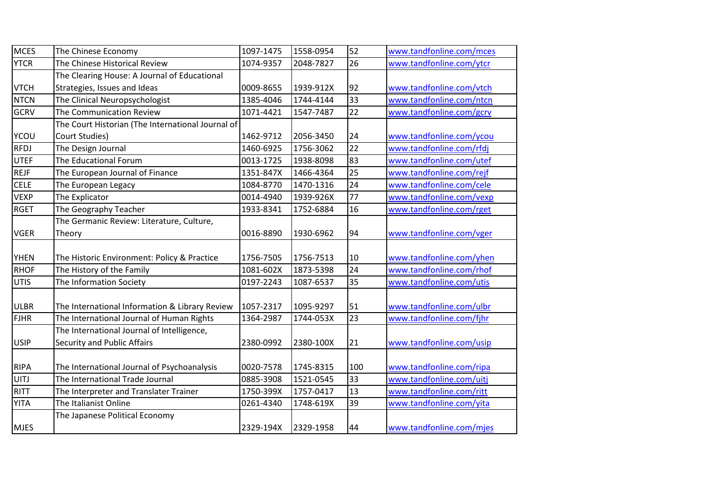| <b>MCES</b> | The Chinese Economy                               | 1097-1475 | 1558-0954 | 52  | www.tandfonline.com/mces |
|-------------|---------------------------------------------------|-----------|-----------|-----|--------------------------|
| <b>YTCR</b> | The Chinese Historical Review                     | 1074-9357 | 2048-7827 | 26  | www.tandfonline.com/ytcr |
|             | The Clearing House: A Journal of Educational      |           |           |     |                          |
| <b>VTCH</b> | Strategies, Issues and Ideas                      | 0009-8655 | 1939-912X | 92  | www.tandfonline.com/vtch |
| <b>NTCN</b> | The Clinical Neuropsychologist                    | 1385-4046 | 1744-4144 | 33  | www.tandfonline.com/ntcn |
| <b>GCRV</b> | The Communication Review                          | 1071-4421 | 1547-7487 | 22  | www.tandfonline.com/gcrv |
|             | The Court Historian (The International Journal of |           |           |     |                          |
| <b>YCOU</b> | Court Studies)                                    | 1462-9712 | 2056-3450 | 24  | www.tandfonline.com/ycou |
| <b>RFDJ</b> | The Design Journal                                | 1460-6925 | 1756-3062 | 22  | www.tandfonline.com/rfdj |
| <b>UTEF</b> | The Educational Forum                             | 0013-1725 | 1938-8098 | 83  | www.tandfonline.com/utef |
| <b>REJF</b> | The European Journal of Finance                   | 1351-847X | 1466-4364 | 25  | www.tandfonline.com/rejf |
| <b>CELE</b> | The European Legacy                               | 1084-8770 | 1470-1316 | 24  | www.tandfonline.com/cele |
| <b>VEXP</b> | The Explicator                                    | 0014-4940 | 1939-926X | 77  | www.tandfonline.com/vexp |
| <b>RGET</b> | The Geography Teacher                             | 1933-8341 | 1752-6884 | 16  | www.tandfonline.com/rget |
|             | The Germanic Review: Literature, Culture,         |           |           |     |                          |
| <b>VGER</b> | Theory                                            | 0016-8890 | 1930-6962 | 94  | www.tandfonline.com/vger |
|             |                                                   |           |           |     |                          |
| <b>YHEN</b> | The Historic Environment: Policy & Practice       | 1756-7505 | 1756-7513 | 10  | www.tandfonline.com/yhen |
| <b>RHOF</b> | The History of the Family                         | 1081-602X | 1873-5398 | 24  | www.tandfonline.com/rhof |
| <b>UTIS</b> | The Information Society                           | 0197-2243 | 1087-6537 | 35  | www.tandfonline.com/utis |
|             |                                                   |           |           |     |                          |
| <b>ULBR</b> | The International Information & Library Review    | 1057-2317 | 1095-9297 | 51  | www.tandfonline.com/ulbr |
| <b>FJHR</b> | The International Journal of Human Rights         | 1364-2987 | 1744-053X | 23  | www.tandfonline.com/fjhr |
|             | The International Journal of Intelligence,        |           |           |     |                          |
| <b>USIP</b> | Security and Public Affairs                       | 2380-0992 | 2380-100X | 21  | www.tandfonline.com/usip |
|             |                                                   |           |           |     |                          |
| <b>RIPA</b> | The International Journal of Psychoanalysis       | 0020-7578 | 1745-8315 | 100 | www.tandfonline.com/ripa |
| UITJ        | The International Trade Journal                   | 0885-3908 | 1521-0545 | 33  | www.tandfonline.com/uitj |
| <b>RITT</b> | The Interpreter and Translater Trainer            | 1750-399X | 1757-0417 | 13  | www.tandfonline.com/ritt |
| <b>YITA</b> | The Italianist Online                             | 0261-4340 | 1748-619X | 39  | www.tandfonline.com/yita |
|             | The Japanese Political Economy                    |           |           |     |                          |
| <b>MJES</b> |                                                   | 2329-194X | 2329-1958 | 44  | www.tandfonline.com/mjes |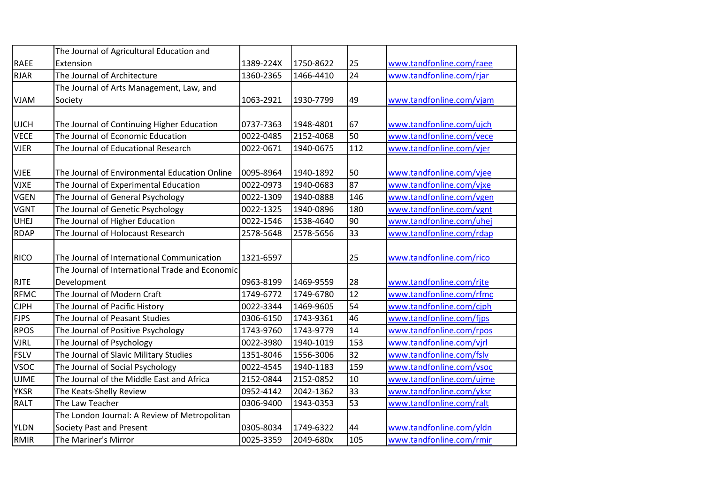|             | The Journal of Agricultural Education and       |           |           |                 |                          |
|-------------|-------------------------------------------------|-----------|-----------|-----------------|--------------------------|
| <b>RAEE</b> | Extension                                       | 1389-224X | 1750-8622 | 25              | www.tandfonline.com/raee |
| <b>RJAR</b> | The Journal of Architecture                     | 1360-2365 | 1466-4410 | 24              | www.tandfonline.com/rjar |
|             | The Journal of Arts Management, Law, and        |           |           |                 |                          |
| <b>VJAM</b> | Society                                         | 1063-2921 | 1930-7799 | 49              | www.tandfonline.com/vjam |
|             |                                                 |           |           |                 |                          |
| <b>UJCH</b> | The Journal of Continuing Higher Education      | 0737-7363 | 1948-4801 | 67              | www.tandfonline.com/ujch |
| <b>VECE</b> | The Journal of Economic Education               | 0022-0485 | 2152-4068 | 50              | www.tandfonline.com/vece |
| <b>VJER</b> | The Journal of Educational Research             | 0022-0671 | 1940-0675 | 112             | www.tandfonline.com/vjer |
|             |                                                 |           |           |                 |                          |
| <b>VJEE</b> | The Journal of Environmental Education Online   | 0095-8964 | 1940-1892 | 50              | www.tandfonline.com/vjee |
| <b>VJXE</b> | The Journal of Experimental Education           | 0022-0973 | 1940-0683 | 87              | www.tandfonline.com/vjxe |
| <b>VGEN</b> | The Journal of General Psychology               | 0022-1309 | 1940-0888 | 146             | www.tandfonline.com/vgen |
| <b>VGNT</b> | The Journal of Genetic Psychology               | 0022-1325 | 1940-0896 | 180             | www.tandfonline.com/vgnt |
| <b>UHEJ</b> | The Journal of Higher Education                 | 0022-1546 | 1538-4640 | 90              | www.tandfonline.com/uhej |
| <b>RDAP</b> | The Journal of Holocaust Research               | 2578-5648 | 2578-5656 | 33              | www.tandfonline.com/rdap |
|             |                                                 |           |           |                 |                          |
| <b>RICO</b> | The Journal of International Communication      | 1321-6597 |           | 25              | www.tandfonline.com/rico |
|             | The Journal of International Trade and Economic |           |           |                 |                          |
| <b>RJTE</b> | Development                                     | 0963-8199 | 1469-9559 | 28              | www.tandfonline.com/rjte |
| <b>RFMC</b> | The Journal of Modern Craft                     | 1749-6772 | 1749-6780 | $\overline{12}$ | www.tandfonline.com/rfmc |
| <b>CJPH</b> | The Journal of Pacific History                  | 0022-3344 | 1469-9605 | 54              | www.tandfonline.com/cjph |
| <b>FJPS</b> | The Journal of Peasant Studies                  | 0306-6150 | 1743-9361 | 46              | www.tandfonline.com/fjps |
| <b>RPOS</b> | The Journal of Positive Psychology              | 1743-9760 | 1743-9779 | 14              | www.tandfonline.com/rpos |
| <b>VJRL</b> | The Journal of Psychology                       | 0022-3980 | 1940-1019 | 153             | www.tandfonline.com/vjrl |
| <b>FSLV</b> | The Journal of Slavic Military Studies          | 1351-8046 | 1556-3006 | $\overline{32}$ | www.tandfonline.com/fslv |
| <b>VSOC</b> | The Journal of Social Psychology                | 0022-4545 | 1940-1183 | 159             | www.tandfonline.com/vsoc |
| <b>UJME</b> | The Journal of the Middle East and Africa       | 2152-0844 | 2152-0852 | 10              | www.tandfonline.com/ujme |
| <b>YKSR</b> | The Keats-Shelly Review                         | 0952-4142 | 2042-1362 | 33              | www.tandfonline.com/yksr |
| <b>RALT</b> | The Law Teacher                                 | 0306-9400 | 1943-0353 | 53              | www.tandfonline.com/ralt |
|             | The London Journal: A Review of Metropolitan    |           |           |                 |                          |
| <b>YLDN</b> | Society Past and Present                        | 0305-8034 | 1749-6322 | 44              | www.tandfonline.com/yldn |
| <b>RMIR</b> | The Mariner's Mirror                            | 0025-3359 | 2049-680x | 105             | www.tandfonline.com/rmir |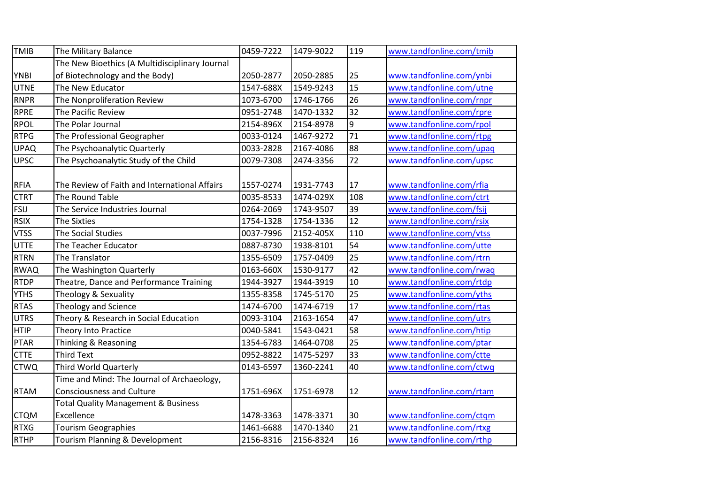| <b>TMIB</b> | The Military Balance                           | 0459-7222 | 1479-9022 | 119             | www.tandfonline.com/tmib |
|-------------|------------------------------------------------|-----------|-----------|-----------------|--------------------------|
|             | The New Bioethics (A Multidisciplinary Journal |           |           |                 |                          |
| <b>YNBI</b> | of Biotechnology and the Body)                 | 2050-2877 | 2050-2885 | 25              | www.tandfonline.com/ynbi |
| <b>UTNE</b> | The New Educator                               | 1547-688X | 1549-9243 | 15              | www.tandfonline.com/utne |
| <b>RNPR</b> | The Nonproliferation Review                    | 1073-6700 | 1746-1766 | 26              | www.tandfonline.com/rnpr |
| <b>RPRE</b> | The Pacific Review                             | 0951-2748 | 1470-1332 | 32              | www.tandfonline.com/rpre |
| <b>RPOL</b> | The Polar Journal                              | 2154-896X | 2154-8978 | ٥               | www.tandfonline.com/rpol |
| <b>RTPG</b> | The Professional Geographer                    | 0033-0124 | 1467-9272 | 71              | www.tandfonline.com/rtpg |
| <b>UPAQ</b> | The Psychoanalytic Quarterly                   | 0033-2828 | 2167-4086 | 88              | www.tandfonline.com/upaq |
| <b>UPSC</b> | The Psychoanalytic Study of the Child          | 0079-7308 | 2474-3356 | $\overline{72}$ | www.tandfonline.com/upsc |
|             |                                                |           |           |                 |                          |
| <b>RFIA</b> | The Review of Faith and International Affairs  | 1557-0274 | 1931-7743 | 17              | www.tandfonline.com/rfia |
| <b>CTRT</b> | The Round Table                                | 0035-8533 | 1474-029X | 108             | www.tandfonline.com/ctrt |
| <b>FSIJ</b> | The Service Industries Journal                 | 0264-2069 | 1743-9507 | 39              | www.tandfonline.com/fsij |
| <b>RSIX</b> | <b>The Sixties</b>                             | 1754-1328 | 1754-1336 | 12              | www.tandfonline.com/rsix |
| <b>VTSS</b> | The Social Studies                             | 0037-7996 | 2152-405X | 110             | www.tandfonline.com/vtss |
| <b>UTTE</b> | The Teacher Educator                           | 0887-8730 | 1938-8101 | 54              | www.tandfonline.com/utte |
| <b>RTRN</b> | The Translator                                 | 1355-6509 | 1757-0409 | 25              | www.tandfonline.com/rtrn |
| <b>RWAQ</b> | The Washington Quarterly                       | 0163-660X | 1530-9177 | 42              | www.tandfonline.com/rwaq |
| <b>RTDP</b> | Theatre, Dance and Performance Training        | 1944-3927 | 1944-3919 | 10              | www.tandfonline.com/rtdp |
| <b>YTHS</b> | Theology & Sexuality                           | 1355-8358 | 1745-5170 | 25              | www.tandfonline.com/yths |
| <b>RTAS</b> | <b>Theology and Science</b>                    | 1474-6700 | 1474-6719 | 17              | www.tandfonline.com/rtas |
| <b>UTRS</b> | Theory & Research in Social Education          | 0093-3104 | 2163-1654 | 47              | www.tandfonline.com/utrs |
| <b>HTIP</b> | Theory Into Practice                           | 0040-5841 | 1543-0421 | 58              | www.tandfonline.com/htip |
| PTAR        | Thinking & Reasoning                           | 1354-6783 | 1464-0708 | 25              | www.tandfonline.com/ptar |
| <b>CTTE</b> | <b>Third Text</b>                              | 0952-8822 | 1475-5297 | 33              | www.tandfonline.com/ctte |
| <b>CTWQ</b> | Third World Quarterly                          | 0143-6597 | 1360-2241 | 40              | www.tandfonline.com/ctwq |
|             | Time and Mind: The Journal of Archaeology,     |           |           |                 |                          |
| <b>RTAM</b> | <b>Consciousness and Culture</b>               | 1751-696X | 1751-6978 | 12              | www.tandfonline.com/rtam |
|             | <b>Total Quality Management &amp; Business</b> |           |           |                 |                          |
| <b>CTQM</b> | Excellence                                     | 1478-3363 | 1478-3371 | 30              | www.tandfonline.com/ctqm |
| <b>RTXG</b> | <b>Tourism Geographies</b>                     | 1461-6688 | 1470-1340 | 21              | www.tandfonline.com/rtxg |
| <b>RTHP</b> | Tourism Planning & Development                 | 2156-8316 | 2156-8324 | 16              | www.tandfonline.com/rthp |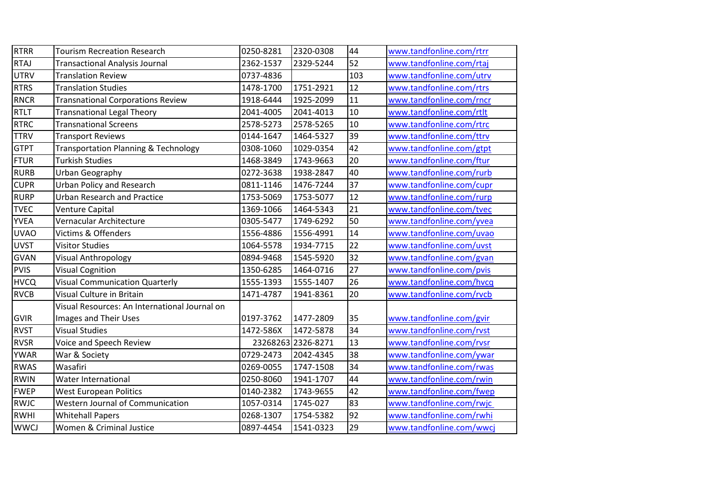| <b>RTRR</b> | <b>Tourism Recreation Research</b>              | 0250-8281 | 2320-0308          | 44  | www.tandfonline.com/rtrr |
|-------------|-------------------------------------------------|-----------|--------------------|-----|--------------------------|
| <b>RTAJ</b> | <b>Transactional Analysis Journal</b>           | 2362-1537 | 2329-5244          | 52  | www.tandfonline.com/rtaj |
| <b>UTRV</b> | <b>Translation Review</b>                       | 0737-4836 |                    | 103 | www.tandfonline.com/utrv |
| <b>RTRS</b> | <b>Translation Studies</b>                      | 1478-1700 | 1751-2921          | 12  | www.tandfonline.com/rtrs |
| <b>RNCR</b> | <b>Transnational Corporations Review</b>        | 1918-6444 | 1925-2099          | 11  | www.tandfonline.com/rncr |
| <b>RTLT</b> | <b>Transnational Legal Theory</b>               | 2041-4005 | 2041-4013          | 10  | www.tandfonline.com/rtlt |
| <b>RTRC</b> | <b>Transnational Screens</b>                    | 2578-5273 | 2578-5265          | 10  | www.tandfonline.com/rtrc |
| <b>TTRV</b> | <b>Transport Reviews</b>                        | 0144-1647 | 1464-5327          | 39  | www.tandfonline.com/ttrv |
| <b>GTPT</b> | <b>Transportation Planning &amp; Technology</b> | 0308-1060 | 1029-0354          | 42  | www.tandfonline.com/gtpt |
| <b>FTUR</b> | <b>Turkish Studies</b>                          | 1468-3849 | 1743-9663          | 20  | www.tandfonline.com/ftur |
| <b>RURB</b> | Urban Geography                                 | 0272-3638 | 1938-2847          | 40  | www.tandfonline.com/rurb |
| <b>CUPR</b> | <b>Urban Policy and Research</b>                | 0811-1146 | 1476-7244          | 37  | www.tandfonline.com/cupr |
| <b>RURP</b> | <b>Urban Research and Practice</b>              | 1753-5069 | 1753-5077          | 12  | www.tandfonline.com/rurp |
| <b>TVEC</b> | Venture Capital                                 | 1369-1066 | 1464-5343          | 21  | www.tandfonline.com/tvec |
| <b>YVEA</b> | Vernacular Architecture                         | 0305-5477 | 1749-6292          | 50  | www.tandfonline.com/yvea |
| <b>UVAO</b> | Victims & Offenders                             | 1556-4886 | 1556-4991          | 14  | www.tandfonline.com/uvao |
| <b>UVST</b> | <b>Visitor Studies</b>                          | 1064-5578 | 1934-7715          | 22  | www.tandfonline.com/uvst |
| GVAN        | <b>Visual Anthropology</b>                      | 0894-9468 | 1545-5920          | 32  | www.tandfonline.com/gvan |
| <b>PVIS</b> | <b>Visual Cognition</b>                         | 1350-6285 | 1464-0716          | 27  | www.tandfonline.com/pvis |
| <b>HVCQ</b> | <b>Visual Communication Quarterly</b>           | 1555-1393 | 1555-1407          | 26  | www.tandfonline.com/hvcq |
| <b>RVCB</b> | Visual Culture in Britain                       | 1471-4787 | 1941-8361          | 20  | www.tandfonline.com/rvcb |
|             | Visual Resources: An International Journal on   |           |                    |     |                          |
| <b>GVIR</b> | Images and Their Uses                           | 0197-3762 | 1477-2809          | 35  | www.tandfonline.com/gvir |
| <b>RVST</b> | <b>Visual Studies</b>                           | 1472-586X | 1472-5878          | 34  | www.tandfonline.com/rvst |
| <b>RVSR</b> | Voice and Speech Review                         |           | 23268263 2326-8271 | 13  | www.tandfonline.com/rvsr |
| <b>YWAR</b> | War & Society                                   | 0729-2473 | 2042-4345          | 38  | www.tandfonline.com/ywar |
| <b>RWAS</b> | Wasafiri                                        | 0269-0055 | 1747-1508          | 34  | www.tandfonline.com/rwas |
| <b>RWIN</b> | Water International                             | 0250-8060 | 1941-1707          | 44  | www.tandfonline.com/rwin |
| <b>FWEP</b> | <b>West European Politics</b>                   | 0140-2382 | 1743-9655          | 42  | www.tandfonline.com/fwep |
| <b>RWJC</b> | Western Journal of Communication                | 1057-0314 | 1745-027           | 83  | www.tandfonline.com/rwjc |
| <b>RWHI</b> | <b>Whitehall Papers</b>                         | 0268-1307 | 1754-5382          | 92  | www.tandfonline.com/rwhi |
| <b>WWCJ</b> | Women & Criminal Justice                        | 0897-4454 | 1541-0323          | 29  | www.tandfonline.com/wwcj |